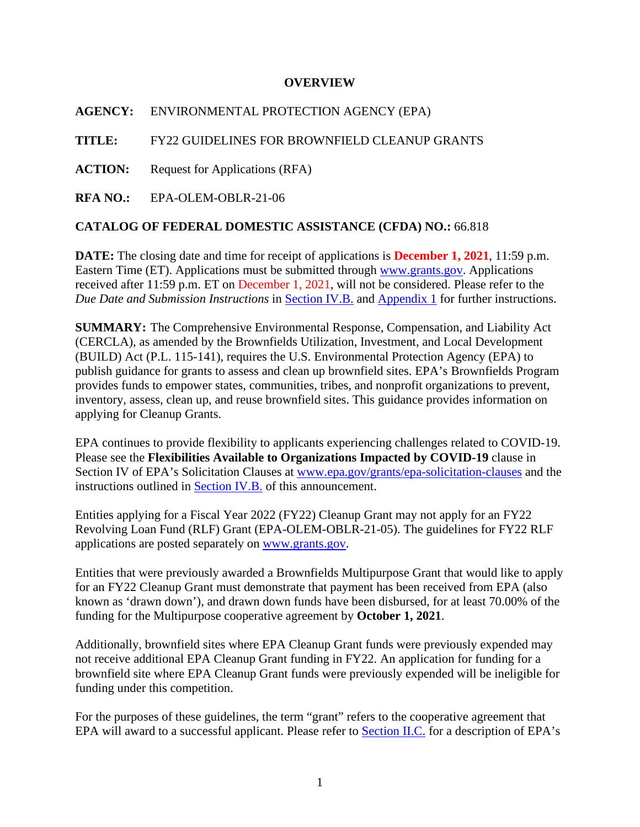#### **OVERVIEW**

**AGENCY:** ENVIRONMENTAL PROTECTION AGENCY (EPA)

**TITLE:** FY22 GUIDELINES FOR BROWNFIELD CLEANUP GRANTS

**ACTION:** Request for Applications (RFA)

**RFA NO.:** EPA-OLEM-OBLR-21-06

## **CATALOG OF FEDERAL DOMESTIC ASSISTANCE (CFDA) NO.:** 66.818

**DATE:** The closing date and time for receipt of applications is **December 1, 2021**, 11:59 p.m. Eastern Time (ET). Applications must be submitted through [www.grants.gov.](https://www.grants.gov/) Applications received after 11:59 p.m. ET on December 1, 2021, will not be considered. Please refer to the *Due Date and Submission Instructions* in [Section IV.B.](#page-30-0) and [Appendix 1](#page-57-0) for further instructions.

**SUMMARY:** The Comprehensive Environmental Response, Compensation, and Liability Act (CERCLA), as amended by the Brownfields Utilization, Investment, and Local Development (BUILD) Act (P.L. 115-141), requires the U.S. Environmental Protection Agency (EPA) to publish guidance for grants to assess and clean up brownfield sites. EPA's Brownfields Program provides funds to empower states, communities, tribes, and nonprofit organizations to prevent, inventory, assess, clean up, and reuse brownfield sites. This guidance provides information on applying for Cleanup Grants.

EPA continues to provide flexibility to applicants experiencing challenges related to COVID-19. Please see the **Flexibilities Available to Organizations Impacted by COVID-19** clause in Section IV of EPA's Solicitation Clauses at [www.epa.gov/grants/epa-solicitation-clauses](http://www.epa.gov/grants/epa-solicitation-clauses) and the instructions outlined in **Section IV.B.** of this announcement.

Entities applying for a Fiscal Year 2022 (FY22) Cleanup Grant may not apply for an FY22 Revolving Loan Fund (RLF) Grant (EPA-OLEM-OBLR-21-05). The guidelines for FY22 RLF applications are posted separately on [www.grants.gov.](http://www.grants.gov/)

Entities that were previously awarded a Brownfields Multipurpose Grant that would like to apply for an FY22 Cleanup Grant must demonstrate that payment has been received from EPA (also known as 'drawn down'), and drawn down funds have been disbursed, for at least 70.00% of the funding for the Multipurpose cooperative agreement by **October 1, 2021**.

Additionally, brownfield sites where EPA Cleanup Grant funds were previously expended may not receive additional EPA Cleanup Grant funding in FY22. An application for funding for a brownfield site where EPA Cleanup Grant funds were previously expended will be ineligible for funding under this competition.

For the purposes of these guidelines, the term "grant" refers to the cooperative agreement that EPA will award to a successful applicant. Please refer to [Section II.C.](#page-8-0) for a description of EPA's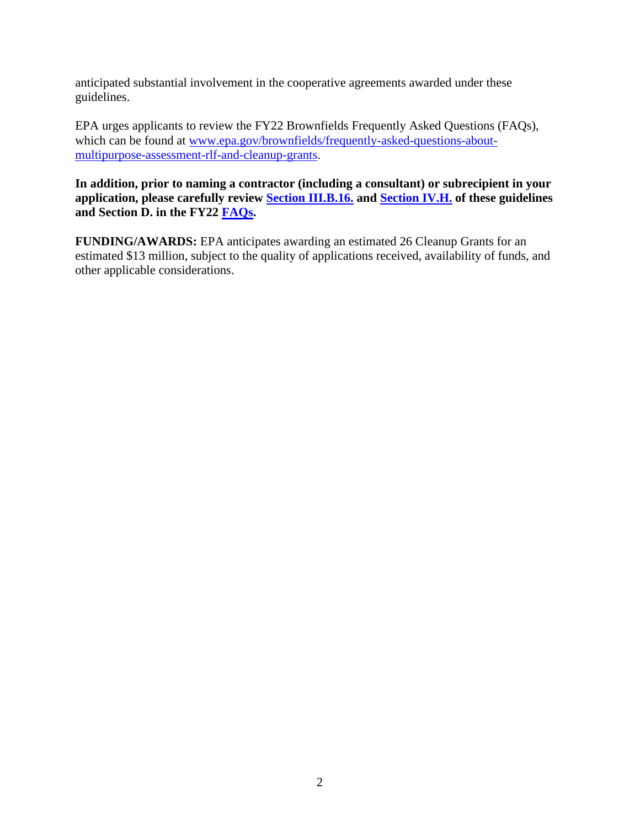anticipated substantial involvement in the cooperative agreements awarded under these guidelines.

EPA urges applicants to review the FY22 Brownfields Frequently Asked Questions (FAQs), which can be found at [www.epa.gov/brownfields/frequently-asked-questions-about](http://www.epa.gov/brownfields/frequently-asked-questions-about-multipurpose-assessment-rlf-and-cleanup-grants)[multipurpose-assessment-rlf-and-cleanup-grants.](http://www.epa.gov/brownfields/frequently-asked-questions-about-multipurpose-assessment-rlf-and-cleanup-grants)

**In addition, prior to naming a contractor (including a consultant) or subrecipient in your application, please carefully review [Section III.B.16.](#page-28-0) and [Section IV.H.](#page-45-0) of these guidelines and Section D. in the FY22 [FAQs.](https://www.epa.gov/brownfields/frequently-asked-questions-about-multipurpose-assessment-rlf-and-cleanup-grants)** 

**FUNDING/AWARDS:** EPA anticipates awarding an estimated 26 Cleanup Grants for an estimated \$13 million, subject to the quality of applications received, availability of funds, and other applicable considerations.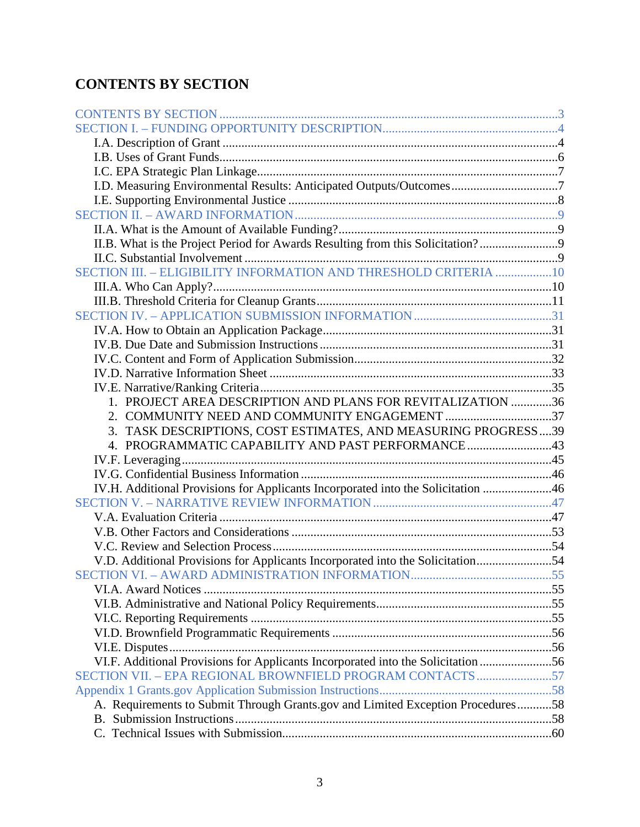# <span id="page-2-0"></span>**CONTENTS BY SECTION**

| I.D. Measuring Environmental Results: Anticipated Outputs/Outcomes7              |  |
|----------------------------------------------------------------------------------|--|
|                                                                                  |  |
|                                                                                  |  |
|                                                                                  |  |
| II.B. What is the Project Period for Awards Resulting from this Solicitation?    |  |
|                                                                                  |  |
| SECTION III. - ELIGIBILITY INFORMATION AND THRESHOLD CRITERIA 10                 |  |
|                                                                                  |  |
|                                                                                  |  |
|                                                                                  |  |
|                                                                                  |  |
|                                                                                  |  |
|                                                                                  |  |
|                                                                                  |  |
|                                                                                  |  |
| 1. PROJECT AREA DESCRIPTION AND PLANS FOR REVITALIZATION 36                      |  |
| 2. COMMUNITY NEED AND COMMUNITY ENGAGEMENT 37                                    |  |
| 3. TASK DESCRIPTIONS, COST ESTIMATES, AND MEASURING PROGRESS39                   |  |
| 4. PROGRAMMATIC CAPABILITY AND PAST PERFORMANCE43                                |  |
|                                                                                  |  |
|                                                                                  |  |
| IV.H. Additional Provisions for Applicants Incorporated into the Solicitation 46 |  |
|                                                                                  |  |
|                                                                                  |  |
|                                                                                  |  |
|                                                                                  |  |
| V.D. Additional Provisions for Applicants Incorporated into the Solicitation54   |  |
|                                                                                  |  |
|                                                                                  |  |
|                                                                                  |  |
|                                                                                  |  |
|                                                                                  |  |
|                                                                                  |  |
| VI.F. Additional Provisions for Applicants Incorporated into the Solicitation 56 |  |
| SECTION VII. - EPA REGIONAL BROWNFIELD PROGRAM CONTACTS 57                       |  |
|                                                                                  |  |
| A. Requirements to Submit Through Grants.gov and Limited Exception Procedures58  |  |
|                                                                                  |  |
|                                                                                  |  |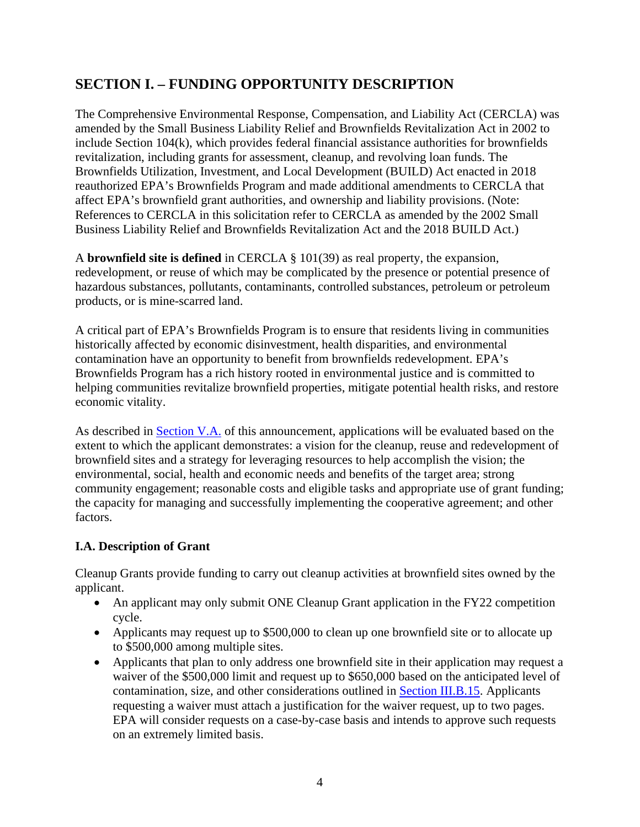# <span id="page-3-0"></span>**SECTION I. – FUNDING OPPORTUNITY DESCRIPTION**

The Comprehensive Environmental Response, Compensation, and Liability Act (CERCLA) was amended by the Small Business Liability Relief and Brownfields Revitalization Act in 2002 to include Section 104(k), which provides federal financial assistance authorities for brownfields revitalization, including grants for assessment, cleanup, and revolving loan funds. The Brownfields Utilization, Investment, and Local Development (BUILD) Act enacted in 2018 reauthorized EPA's Brownfields Program and made additional amendments to CERCLA that affect EPA's brownfield grant authorities, and ownership and liability provisions. (Note: References to CERCLA in this solicitation refer to CERCLA as amended by the 2002 Small Business Liability Relief and Brownfields Revitalization Act and the 2018 BUILD Act.)

A **brownfield site is defined** in CERCLA § 101(39) as real property, the expansion, redevelopment, or reuse of which may be complicated by the presence or potential presence of hazardous substances, pollutants, contaminants, controlled substances, petroleum or petroleum products, or is mine-scarred land.

A critical part of EPA's Brownfields Program is to ensure that residents living in communities historically affected by economic disinvestment, health disparities, and environmental contamination have an opportunity to benefit from brownfields redevelopment. EPA's Brownfields Program has a rich history rooted in environmental justice and is committed to helping communities revitalize brownfield properties, mitigate potential health risks, and restore economic vitality.

As described in [Section V.A.](#page-46-1) of this announcement, applications will be evaluated based on the extent to which the applicant demonstrates: a vision for the cleanup, reuse and redevelopment of brownfield sites and a strategy for leveraging resources to help accomplish the vision; the environmental, social, health and economic needs and benefits of the target area; strong community engagement; reasonable costs and eligible tasks and appropriate use of grant funding; the capacity for managing and successfully implementing the cooperative agreement; and other factors.

#### <span id="page-3-1"></span>**I.A. Description of Grant**

Cleanup Grants provide funding to carry out cleanup activities at brownfield sites owned by the applicant.

- An applicant may only submit ONE Cleanup Grant application in the FY22 competition cycle.
- Applicants may request up to \$500,000 to clean up one brownfield site or to allocate up to \$500,000 among multiple sites.
- Applicants that plan to only address one brownfield site in their application may request a waiver of the \$500,000 limit and request up to \$650,000 based on the anticipated level of contamination, size, and other considerations outlined in [Section III.B.15.](#page-28-1) Applicants requesting a waiver must attach a justification for the waiver request, up to two pages. EPA will consider requests on a case-by-case basis and intends to approve such requests on an extremely limited basis.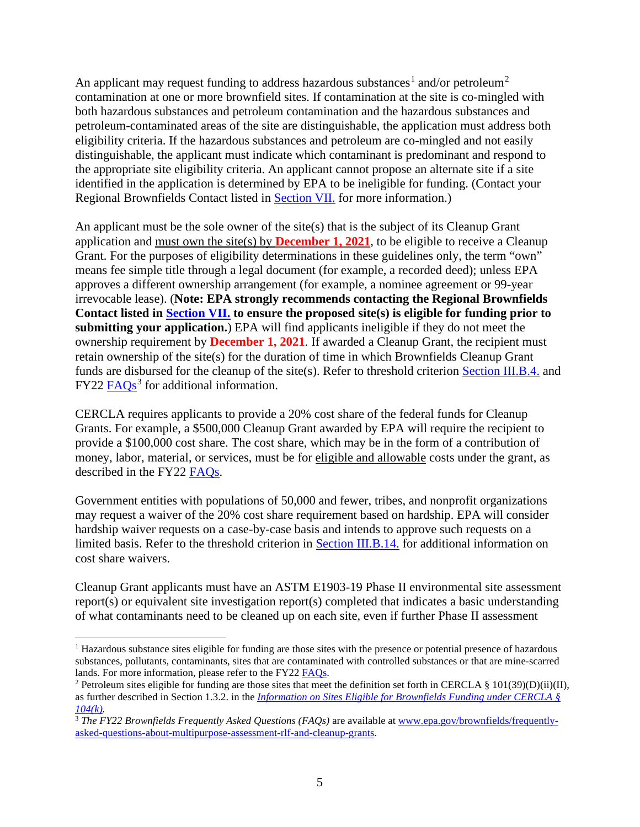An applicant may request funding to address hazardous substances<sup>[1](#page-4-0)</sup> and/or petroleum<sup>[2](#page-4-1)</sup> contamination at one or more brownfield sites. If contamination at the site is co-mingled with both hazardous substances and petroleum contamination and the hazardous substances and petroleum-contaminated areas of the site are distinguishable, the application must address both eligibility criteria. If the hazardous substances and petroleum are co-mingled and not easily distinguishable, the applicant must indicate which contaminant is predominant and respond to the appropriate site eligibility criteria. An applicant cannot propose an alternate site if a site identified in the application is determined by EPA to be ineligible for funding. (Contact your Regional Brownfields Contact listed in [Section VII.](#page-56-0) for more information.)

An applicant must be the sole owner of the site(s) that is the subject of its Cleanup Grant application and must own the site(s) by **December 1, 2021**, to be eligible to receive a Cleanup Grant. For the purposes of eligibility determinations in these guidelines only, the term "own" means fee simple title through a legal document (for example, a recorded deed); unless EPA approves a different ownership arrangement (for example, a nominee agreement or 99-year irrevocable lease). (**Note: EPA strongly recommends contacting the Regional Brownfields Contact listed in [Section VII.](#page-56-0) to ensure the proposed site(s) is eligible for funding prior to submitting your application.**) EPA will find applicants ineligible if they do not meet the ownership requirement by **December 1, 2021**. If awarded a Cleanup Grant, the recipient must retain ownership of the site(s) for the duration of time in which Brownfields Cleanup Grant funds are disbursed for the cleanup of the site(s). Refer to threshold criterion [Section III.B.4.](#page-13-0) and  $FY22$   $FAQs<sup>3</sup>$  $FAQs<sup>3</sup>$  $FAQs<sup>3</sup>$  for additional information.

CERCLA requires applicants to provide a 20% cost share of the federal funds for Cleanup Grants. For example, a \$500,000 Cleanup Grant awarded by EPA will require the recipient to provide a \$100,000 cost share. The cost share, which may be in the form of a contribution of money, labor, material, or services, must be for eligible and allowable costs under the grant, as described in the FY22 [FAQs.](https://www.epa.gov/brownfields/frequently-asked-questions-about-multipurpose-assessment-rlf-and-cleanup-grants)

Government entities with populations of 50,000 and fewer, tribes, and nonprofit organizations may request a waiver of the 20% cost share requirement based on hardship. EPA will consider hardship waiver requests on a case-by-case basis and intends to approve such requests on a limited basis. Refer to the threshold criterion in [Section III.B.14.](#page-26-0) for additional information on cost share waivers.

Cleanup Grant applicants must have an ASTM E1903-19 Phase II environmental site assessment report(s) or equivalent site investigation report(s) completed that indicates a basic understanding of what contaminants need to be cleaned up on each site, even if further Phase II assessment

<span id="page-4-0"></span><sup>&</sup>lt;sup>1</sup> Hazardous substance sites eligible for funding are those sites with the presence or potential presence of hazardous substances, pollutants, contaminants, sites that are contaminated with controlled substances or that are mine-scarred lands. For more information, please refer to the FY22 [FAQs.](https://www.epa.gov/brownfields/frequently-asked-questions-about-multipurpose-assessment-rlf-and-cleanup-grants)<br><sup>2</sup> Petroleum sites eligible for funding are those sites that meet the definition set forth in CERCLA § 101(39)(D)(ii)(II),

<span id="page-4-1"></span>as further described in Section 1.3.2. in the *[Information on Sites Eligible for Brownfields Funding under CERCLA §](https://www.epa.gov/brownfields/information-sites-eligible-brownfields-funding-under-cercla-ss-104k)  [104\(k\).](https://www.epa.gov/brownfields/information-sites-eligible-brownfields-funding-under-cercla-ss-104k)*

<span id="page-4-2"></span><sup>&</sup>lt;sup>3</sup> The FY22 Brownfields Frequently Asked Questions (FAQs) are available at [www.epa.gov/brownfields/frequently](http://www.epa.gov/brownfields/frequently-asked-questions-about-multipurpose-assessment-rlf-and-cleanup-grants)[asked-questions-about-multipurpose-assessment-rlf-and-cleanup-grants.](http://www.epa.gov/brownfields/frequently-asked-questions-about-multipurpose-assessment-rlf-and-cleanup-grants)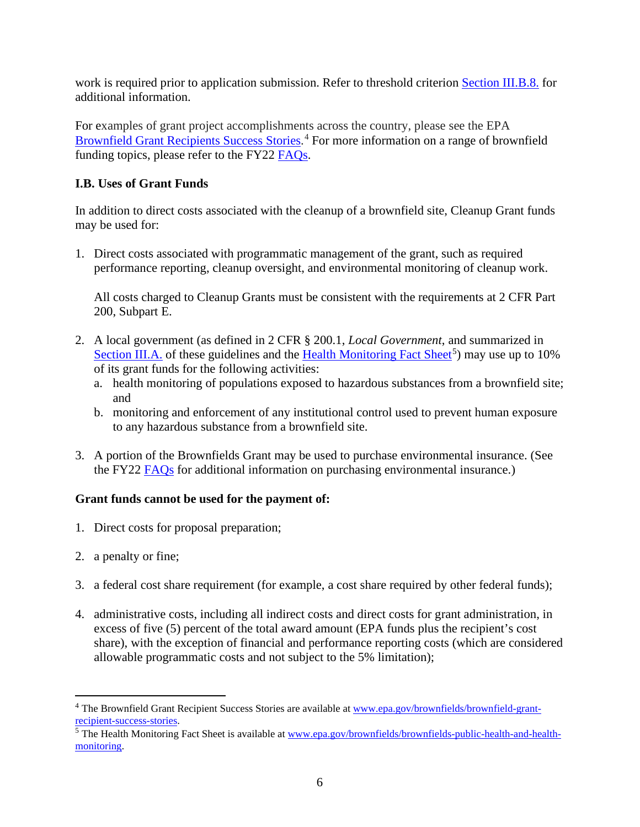work is required prior to application submission. Refer to threshold criterion [Section III.B.8.](#page-14-0) for additional information.

For examples of grant project accomplishments across the country, please see the EPA [Brownfield Grant Recipients Success Stories.](https://www.epa.gov/brownfields/brownfield-grant-recipient-success-stories)<sup>[4](#page-5-1)</sup> For more information on a range of brownfield funding topics, please refer to the FY22 [FAQs.](https://www.epa.gov/brownfields/frequently-asked-questions-about-multipurpose-assessment-rlf-and-cleanup-grants)

### <span id="page-5-0"></span>**I.B. Uses of Grant Funds**

In addition to direct costs associated with the cleanup of a brownfield site, Cleanup Grant funds may be used for:

1. Direct costs associated with programmatic management of the grant, such as required performance reporting, cleanup oversight, and environmental monitoring of cleanup work.

All costs charged to Cleanup Grants must be consistent with the requirements at 2 CFR Part 200, Subpart E.

- 2. A local government (as defined in 2 CFR § 200.1, *Local Government*, and summarized in [Section III.A.](#page-9-1) of these guidelines and the [Health Monitoring Fact Sheet](https://www.epa.gov/brownfields/brownfields-public-health-and-health-monitoring)<sup>[5](#page-5-2)</sup>) may use up to 10% of its grant funds for the following activities:
	- a. health monitoring of populations exposed to hazardous substances from a brownfield site; and
	- b. monitoring and enforcement of any institutional control used to prevent human exposure to any hazardous substance from a brownfield site.
- 3. A portion of the Brownfields Grant may be used to purchase environmental insurance. (See the FY22 [FAQs](https://www.epa.gov/brownfields/frequently-asked-questions-about-multipurpose-assessment-rlf-and-cleanup-grants) for additional information on purchasing environmental insurance.)

#### **Grant funds cannot be used for the payment of:**

- 1. Direct costs for proposal preparation;
- 2. a penalty or fine;
- 3. a federal cost share requirement (for example, a cost share required by other federal funds);
- 4. administrative costs, including all indirect costs and direct costs for grant administration, in excess of five (5) percent of the total award amount (EPA funds plus the recipient's cost share), with the exception of financial and performance reporting costs (which are considered allowable programmatic costs and not subject to the 5% limitation);

<span id="page-5-1"></span><sup>&</sup>lt;sup>4</sup> The Brownfield Grant Recipient Success Stories are available at [www.epa.gov/brownfields/brownfield-grant](http://www.epa.gov/brownfields/brownfield-grant-recipient-success-stories)[recipient-success-stories.](http://www.epa.gov/brownfields/brownfield-grant-recipient-success-stories)

<span id="page-5-2"></span><sup>&</sup>lt;sup>5</sup> The Health Monitoring Fact Sheet is available at [www.epa.gov/brownfields/brownfields-public-health-and-health](http://www.epa.gov/brownfields/brownfields-public-health-and-health-monitoring)[monitoring.](http://www.epa.gov/brownfields/brownfields-public-health-and-health-monitoring)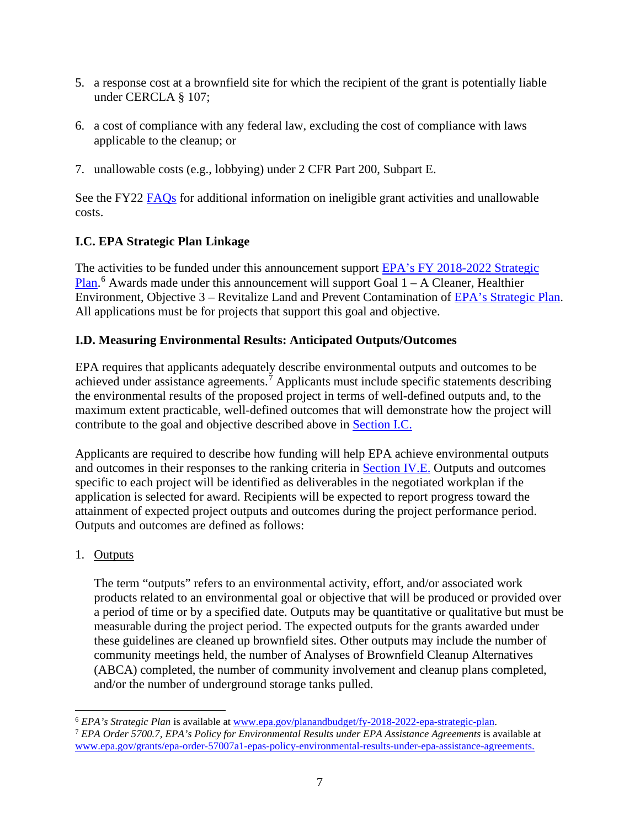- 5. a response cost at a brownfield site for which the recipient of the grant is potentially liable under CERCLA § 107;
- 6. a cost of compliance with any federal law, excluding the cost of compliance with laws applicable to the cleanup; or
- 7. unallowable costs (e.g., lobbying) under 2 CFR Part 200, Subpart E.

See the FY22 [FAQs](https://www.epa.gov/brownfields/frequently-asked-questions-about-multipurpose-assessment-rlf-and-cleanup-grants) for additional information on ineligible grant activities and unallowable costs.

## <span id="page-6-0"></span>**I.C. EPA Strategic Plan Linkage**

The activities to be funded under this announcement support [EPA's FY 2018-2022 Strategic](https://www.epa.gov/planandbudget/fy-2018-2022-epa-strategic-plan)  [Plan.](https://www.epa.gov/planandbudget/fy-2018-2022-epa-strategic-plan)<sup>[6](#page-6-2)</sup> Awards made under this announcement will support Goal 1 – A Cleaner, Healthier Environment, Objective 3 – Revitalize Land and Prevent Contamination of [EPA's Strategic Plan.](https://www.epa.gov/planandbudget/fy-2018-2022-epa-strategic-plan) All applications must be for projects that support this goal and objective.

## <span id="page-6-1"></span>**I.D. Measuring Environmental Results: Anticipated Outputs/Outcomes**

EPA requires that applicants adequately describe environmental outputs and outcomes to be achieved under assistance agreements.<sup> $\bar{7}$  $\bar{7}$  $\bar{7}$ </sup> Applicants must include specific statements describing the environmental results of the proposed project in terms of well-defined outputs and, to the maximum extent practicable, well-defined outcomes that will demonstrate how the project will contribute to the goal and objective described above in [Section I.C.](#page-6-0) 

Applicants are required to describe how funding will help EPA achieve environmental outputs and outcomes in their responses to the ranking criteria in [Section IV.E.](#page-34-0) Outputs and outcomes specific to each project will be identified as deliverables in the negotiated workplan if the application is selected for award. Recipients will be expected to report progress toward the attainment of expected project outputs and outcomes during the project performance period. Outputs and outcomes are defined as follows:

## 1. Outputs

The term "outputs" refers to an environmental activity, effort, and/or associated work products related to an environmental goal or objective that will be produced or provided over a period of time or by a specified date. Outputs may be quantitative or qualitative but must be measurable during the project period. The expected outputs for the grants awarded under these guidelines are cleaned up brownfield sites. Other outputs may include the number of community meetings held, the number of Analyses of Brownfield Cleanup Alternatives (ABCA) completed, the number of community involvement and cleanup plans completed, and/or the number of underground storage tanks pulled.

<span id="page-6-3"></span><span id="page-6-2"></span><sup>6</sup> *EPA's Strategic Plan* is available at [www.epa.gov/planandbudget/fy-2018-2022-epa-strategic-plan.](http://www.epa.gov/planandbudget/fy-2018-2022-epa-strategic-plan) 7 *EPA Order 5700.7, EPA's Policy for Environmental Results under EPA Assistance Agreements* is available at [www.epa.gov/grants/epa-order-57007a1-epas-policy-environmental-results-under-epa-assistance-agreements.](http://www.epa.gov/grants/epa-order-57007a1-epas-policy-environmental-results-under-epa-assistance-agreements)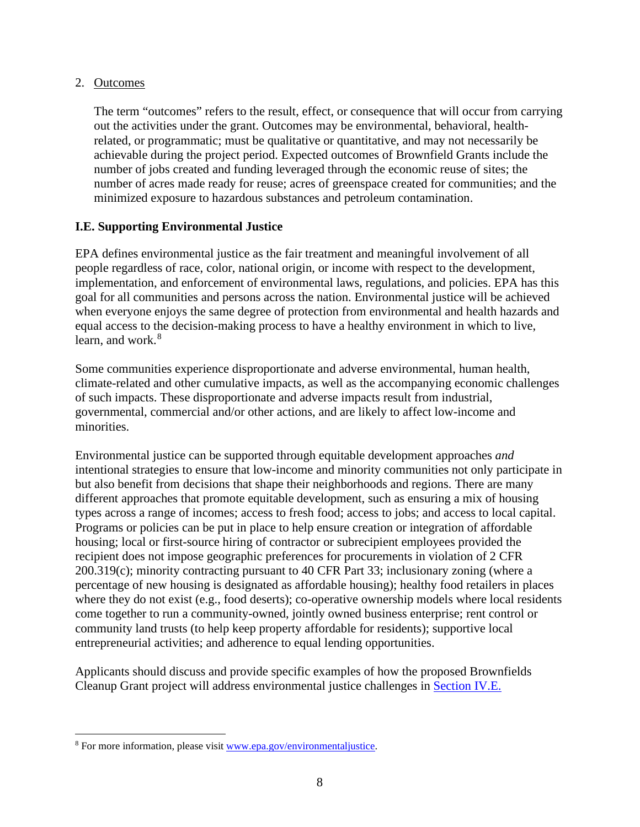#### 2. Outcomes

The term "outcomes" refers to the result, effect, or consequence that will occur from carrying out the activities under the grant. Outcomes may be environmental, behavioral, healthrelated, or programmatic; must be qualitative or quantitative, and may not necessarily be achievable during the project period. Expected outcomes of Brownfield Grants include the number of jobs created and funding leveraged through the economic reuse of sites; the number of acres made ready for reuse; acres of greenspace created for communities; and the minimized exposure to hazardous substances and petroleum contamination.

#### <span id="page-7-0"></span>**I.E. Supporting Environmental Justice**

EPA defines environmental justice as the fair treatment and meaningful involvement of all people regardless of race, color, national origin, or income with respect to the development, implementation, and enforcement of environmental laws, regulations, and policies. EPA has this goal for all communities and persons across the nation. Environmental justice will be achieved when everyone enjoys the same degree of protection from environmental and health hazards and equal access to the decision-making process to have a healthy environment in which to live, learn, and work. $8$ 

Some communities experience disproportionate and adverse environmental, human health, climate-related and other cumulative impacts, as well as the accompanying economic challenges of such impacts. These disproportionate and adverse impacts result from industrial, governmental, commercial and/or other actions, and are likely to affect low-income and minorities.

Environmental justice can be supported through equitable development approaches *and* intentional strategies to ensure that low-income and minority communities not only participate in but also benefit from decisions that shape their neighborhoods and regions. There are many different approaches that promote equitable development, such as ensuring a mix of housing types across a range of incomes; access to fresh food; access to jobs; and access to local capital. Programs or policies can be put in place to help ensure creation or integration of affordable housing; local or first-source hiring of contractor or subrecipient employees provided the recipient does not impose geographic preferences for procurements in violation of 2 CFR 200.319(c); minority contracting pursuant to 40 CFR Part 33; inclusionary zoning (where a percentage of new housing is designated as affordable housing); healthy food retailers in places where they do not exist (e.g., food deserts); co-operative ownership models where local residents come together to run a community-owned, jointly owned business enterprise; rent control or community land trusts (to help keep property affordable for residents); supportive local entrepreneurial activities; and adherence to equal lending opportunities.

Applicants should discuss and provide specific examples of how the proposed Brownfields Cleanup Grant project will address environmental justice challenges in [Section IV.E.](#page-34-0)

<span id="page-7-1"></span><sup>8</sup> For more information, please visi[t www.epa.gov/environmentaljustice.](http://www.epa.gov/environmentaljustice)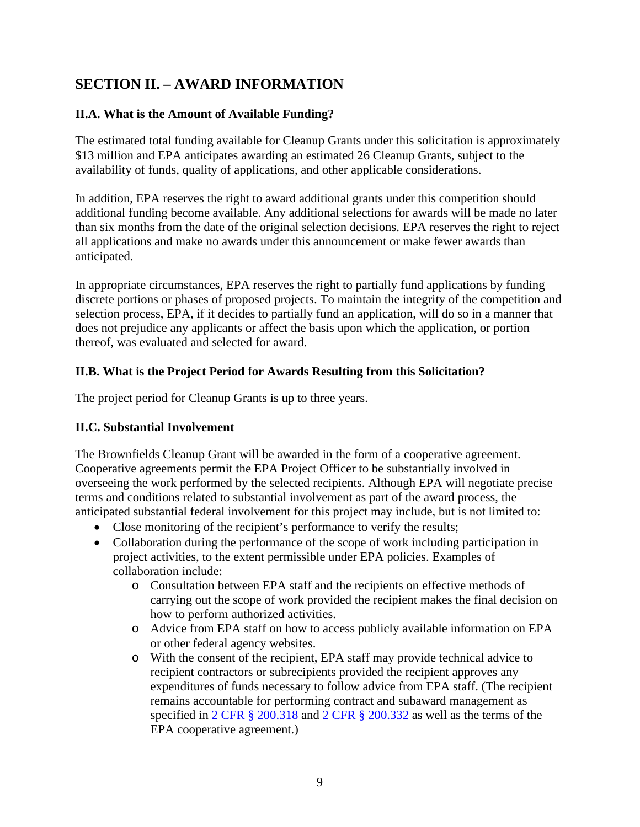# <span id="page-8-1"></span>**SECTION II. – AWARD INFORMATION**

## <span id="page-8-2"></span>**II.A. What is the Amount of Available Funding?**

The estimated total funding available for Cleanup Grants under this solicitation is approximately \$13 million and EPA anticipates awarding an estimated 26 Cleanup Grants, subject to the availability of funds, quality of applications, and other applicable considerations.

In addition, EPA reserves the right to award additional grants under this competition should additional funding become available. Any additional selections for awards will be made no later than six months from the date of the original selection decisions. EPA reserves the right to reject all applications and make no awards under this announcement or make fewer awards than anticipated.

In appropriate circumstances, EPA reserves the right to partially fund applications by funding discrete portions or phases of proposed projects. To maintain the integrity of the competition and selection process, EPA, if it decides to partially fund an application, will do so in a manner that does not prejudice any applicants or affect the basis upon which the application, or portion thereof, was evaluated and selected for award.

## <span id="page-8-3"></span>**II.B. What is the Project Period for Awards Resulting from this Solicitation?**

The project period for Cleanup Grants is up to three years.

#### <span id="page-8-0"></span>**II.C. Substantial Involvement**

The Brownfields Cleanup Grant will be awarded in the form of a cooperative agreement. Cooperative agreements permit the EPA Project Officer to be substantially involved in overseeing the work performed by the selected recipients. Although EPA will negotiate precise terms and conditions related to substantial involvement as part of the award process, the anticipated substantial federal involvement for this project may include, but is not limited to:

- Close monitoring of the recipient's performance to verify the results;
- Collaboration during the performance of the scope of work including participation in project activities, to the extent permissible under EPA policies. Examples of collaboration include:
	- o Consultation between EPA staff and the recipients on effective methods of carrying out the scope of work provided the recipient makes the final decision on how to perform authorized activities.
	- o Advice from EPA staff on how to access publicly available information on EPA or other federal agency websites.
	- o With the consent of the recipient, EPA staff may provide technical advice to recipient contractors or subrecipients provided the recipient approves any expenditures of funds necessary to follow advice from EPA staff. (The recipient remains accountable for performing contract and subaward management as specified in [2 CFR § 200.318](https://www.ecfr.gov/cgi-bin/text-idx?SID=34183e930e741a04ff06debe9d858069&mc=true&node=se2.1.200_1318&rgn=div8) and [2 CFR § 200.332](https://www.ecfr.gov/cgi-bin/text-idx?SID=fad22b17b4bd4c04ee1eafc308099edd&mc=true&node=se2.1.200_1332&rgn=div8) as well as the terms of the EPA cooperative agreement.)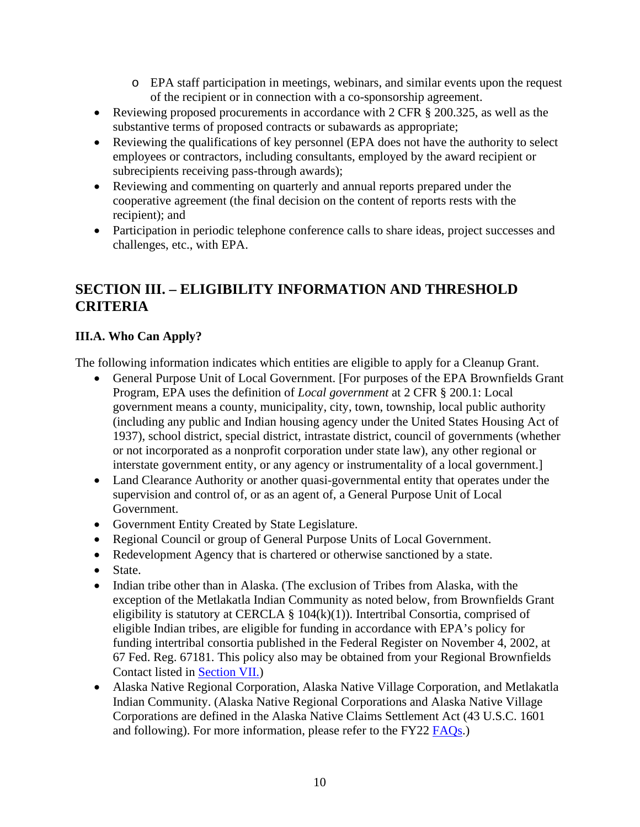- o EPA staff participation in meetings, webinars, and similar events upon the request of the recipient or in connection with a co-sponsorship agreement.
- Reviewing proposed procurements in accordance with 2 CFR § 200.325, as well as the substantive terms of proposed contracts or subawards as appropriate;
- Reviewing the qualifications of key personnel (EPA does not have the authority to select employees or contractors, including consultants, employed by the award recipient or subrecipients receiving pass-through awards);
- Reviewing and commenting on quarterly and annual reports prepared under the cooperative agreement (the final decision on the content of reports rests with the recipient); and
- Participation in periodic telephone conference calls to share ideas, project successes and challenges, etc., with EPA.

# <span id="page-9-0"></span>**SECTION III. – ELIGIBILITY INFORMATION AND THRESHOLD CRITERIA**

## <span id="page-9-1"></span>**III.A. Who Can Apply?**

The following information indicates which entities are eligible to apply for a Cleanup Grant.

- General Purpose Unit of Local Government. [For purposes of the EPA Brownfields Grant Program, EPA uses the definition of *Local government* at 2 CFR § 200.1: Local government means a county, municipality, city, town, township, local public authority (including any public and Indian housing agency under the United States Housing Act of 1937), school district, special district, intrastate district, council of governments (whether or not incorporated as a nonprofit corporation under state law), any other regional or interstate government entity, or any agency or instrumentality of a local government.]
- Land Clearance Authority or another quasi-governmental entity that operates under the supervision and control of, or as an agent of, a General Purpose Unit of Local Government.
- Government Entity Created by State Legislature.
- Regional Council or group of General Purpose Units of Local Government.
- Redevelopment Agency that is chartered or otherwise sanctioned by a state.
- State.
- Indian tribe other than in Alaska. (The exclusion of Tribes from Alaska, with the exception of the Metlakatla Indian Community as noted below, from Brownfields Grant eligibility is statutory at CERCLA  $\S$  104(k)(1)). Intertribal Consortia, comprised of eligible Indian tribes, are eligible for funding in accordance with EPA's policy for funding intertribal consortia published in the Federal Register on November 4, 2002, at 67 Fed. Reg. 67181. This policy also may be obtained from your Regional Brownfields Contact listed in [Section VII.\)](#page-56-0)
- Alaska Native Regional Corporation, Alaska Native Village Corporation, and Metlakatla Indian Community. (Alaska Native Regional Corporations and Alaska Native Village Corporations are defined in the Alaska Native Claims Settlement Act (43 U.S.C. 1601 and following). For more information, please refer to the FY22 [FAQs.](https://www.epa.gov/brownfields/frequently-asked-questions-about-multipurpose-assessment-rlf-and-cleanup-grants))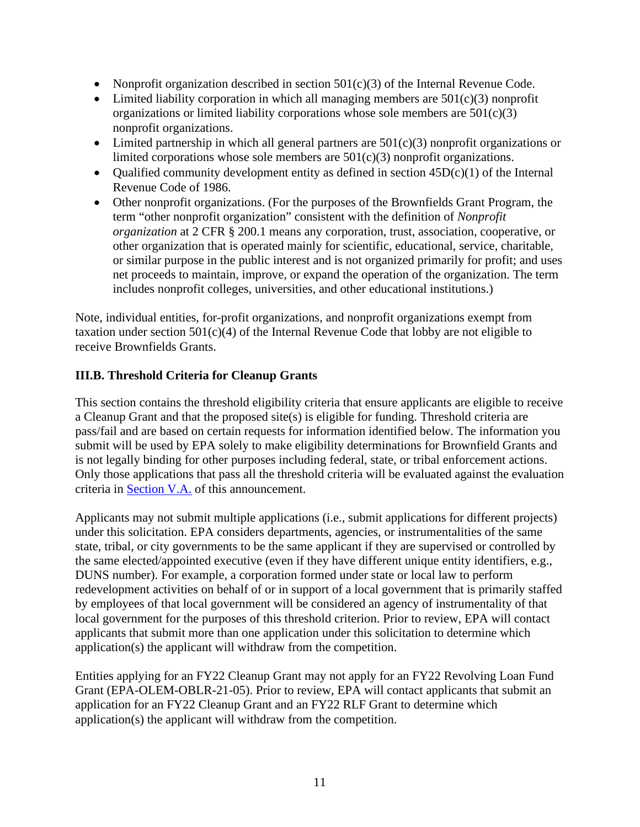- Nonprofit organization described in section  $501(c)(3)$  of the Internal Revenue Code.
- Limited liability corporation in which all managing members are  $501(c)(3)$  nonprofit organizations or limited liability corporations whose sole members are  $501(c)(3)$ nonprofit organizations.
- Limited partnership in which all general partners are  $501(c)(3)$  nonprofit organizations or limited corporations whose sole members are 501(c)(3) nonprofit organizations.
- Qualified community development entity as defined in section  $45D(c)(1)$  of the Internal Revenue Code of 1986.
- Other nonprofit organizations. (For the purposes of the Brownfields Grant Program, the term "other nonprofit organization" consistent with the definition of *Nonprofit organization* at 2 CFR § 200.1 means any corporation, trust, association, cooperative, or other organization that is operated mainly for scientific, educational, service, charitable, or similar purpose in the public interest and is not organized primarily for profit; and uses net proceeds to maintain, improve, or expand the operation of the organization. The term includes nonprofit colleges, universities, and other educational institutions.)

Note, individual entities, for-profit organizations, and nonprofit organizations exempt from taxation under section  $501(c)(4)$  of the Internal Revenue Code that lobby are not eligible to receive Brownfields Grants.

## <span id="page-10-0"></span>**III.B. Threshold Criteria for Cleanup Grants**

This section contains the threshold eligibility criteria that ensure applicants are eligible to receive a Cleanup Grant and that the proposed site(s) is eligible for funding. Threshold criteria are pass/fail and are based on certain requests for information identified below. The information you submit will be used by EPA solely to make eligibility determinations for Brownfield Grants and is not legally binding for other purposes including federal, state, or tribal enforcement actions. Only those applications that pass all the threshold criteria will be evaluated against the evaluation criteria in [Section V.A.](#page-46-1) of this announcement.

Applicants may not submit multiple applications (i.e., submit applications for different projects) under this solicitation. EPA considers departments, agencies, or instrumentalities of the same state, tribal, or city governments to be the same applicant if they are supervised or controlled by the same elected/appointed executive (even if they have different unique entity identifiers, e.g., DUNS number). For example, a corporation formed under state or local law to perform redevelopment activities on behalf of or in support of a local government that is primarily staffed by employees of that local government will be considered an agency of instrumentality of that local government for the purposes of this threshold criterion. Prior to review, EPA will contact applicants that submit more than one application under this solicitation to determine which application(s) the applicant will withdraw from the competition.

Entities applying for an FY22 Cleanup Grant may not apply for an FY22 Revolving Loan Fund Grant (EPA-OLEM-OBLR-21-05). Prior to review, EPA will contact applicants that submit an application for an FY22 Cleanup Grant and an FY22 RLF Grant to determine which application(s) the applicant will withdraw from the competition.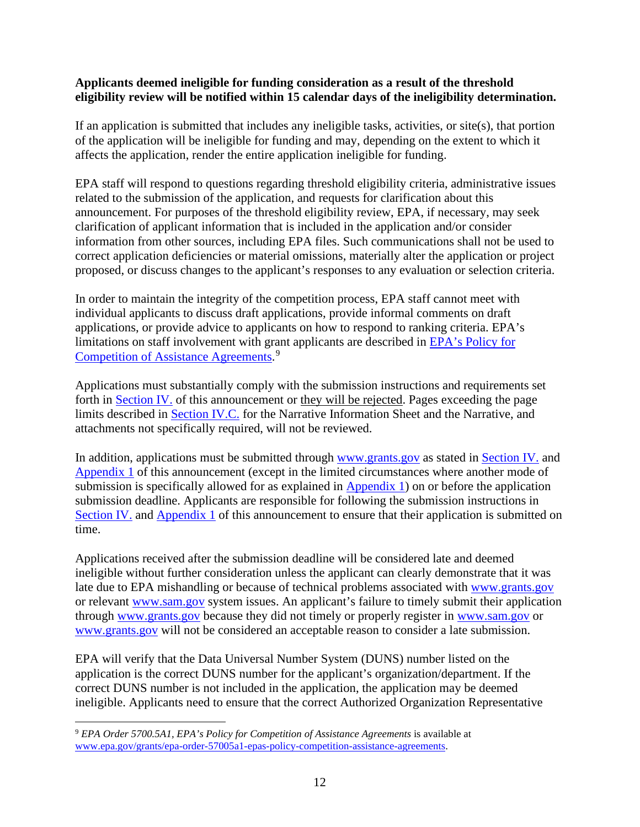#### **Applicants deemed ineligible for funding consideration as a result of the threshold eligibility review will be notified within 15 calendar days of the ineligibility determination.**

If an application is submitted that includes any ineligible tasks, activities, or site(s), that portion of the application will be ineligible for funding and may, depending on the extent to which it affects the application, render the entire application ineligible for funding.

EPA staff will respond to questions regarding threshold eligibility criteria, administrative issues related to the submission of the application, and requests for clarification about this announcement. For purposes of the threshold eligibility review, EPA, if necessary, may seek clarification of applicant information that is included in the application and/or consider information from other sources, including EPA files. Such communications shall not be used to correct application deficiencies or material omissions, materially alter the application or project proposed, or discuss changes to the applicant's responses to any evaluation or selection criteria.

In order to maintain the integrity of the competition process, EPA staff cannot meet with individual applicants to discuss draft applications, provide informal comments on draft applications, or provide advice to applicants on how to respond to ranking criteria. EPA's limitations on staff involvement with grant applicants are described in [EPA's Policy for](https://www.epa.gov/grants/epa-order-57005a1-epas-policy-competition-assistance-agreements)  [Competition of Assistance Agreements.](https://www.epa.gov/grants/epa-order-57005a1-epas-policy-competition-assistance-agreements)<sup>[9](#page-11-0)</sup>

Applications must substantially comply with the submission instructions and requirements set forth in [Section IV.](#page-30-1) of this announcement or they will be rejected. Pages exceeding the page limits described in [Section IV.C.](#page-31-0) for the Narrative Information Sheet and the Narrative, and attachments not specifically required, will not be reviewed.

In addition, applications must be submitted through [www.grants.gov](https://www.grants.gov/) as stated in [Section IV.](#page-30-1) and [Appendix 1](#page-57-0) of this announcement (except in the limited circumstances where another mode of submission is specifically allowed for as explained in  $\Delta$ ppendix 1) on or before the application submission deadline. Applicants are responsible for following the submission instructions in [Section IV.](#page-30-1) and [Appendix 1](#page-57-0) of this announcement to ensure that their application is submitted on time.

Applications received after the submission deadline will be considered late and deemed ineligible without further consideration unless the applicant can clearly demonstrate that it was late due to EPA mishandling or because of technical problems associated with [www.grants.gov](https://www.grants.gov/) or relevant [www.sam.gov](https://www.sam.gov/SAM/) system issues. An applicant's failure to timely submit their application through [www.grants.gov](https://www.grants.gov/) because they did not timely or properly register in [www.sam.gov](https://www.sam.gov/SAM/) or [www.grants.gov](https://www.grants.gov/) will not be considered an acceptable reason to consider a late submission.

EPA will verify that the Data Universal Number System (DUNS) number listed on the application is the correct DUNS number for the applicant's organization/department. If the correct DUNS number is not included in the application, the application may be deemed ineligible. Applicants need to ensure that the correct Authorized Organization Representative

<span id="page-11-0"></span><sup>9</sup> *EPA Order 5700.5A1, EPA's Policy for Competition of Assistance Agreements* is available at [www.epa.gov/grants/epa-order-57005a1-epas-policy-competition-assistance-agreements.](http://www.epa.gov/grants/epa-order-57005a1-epas-policy-competition-assistance-agreements)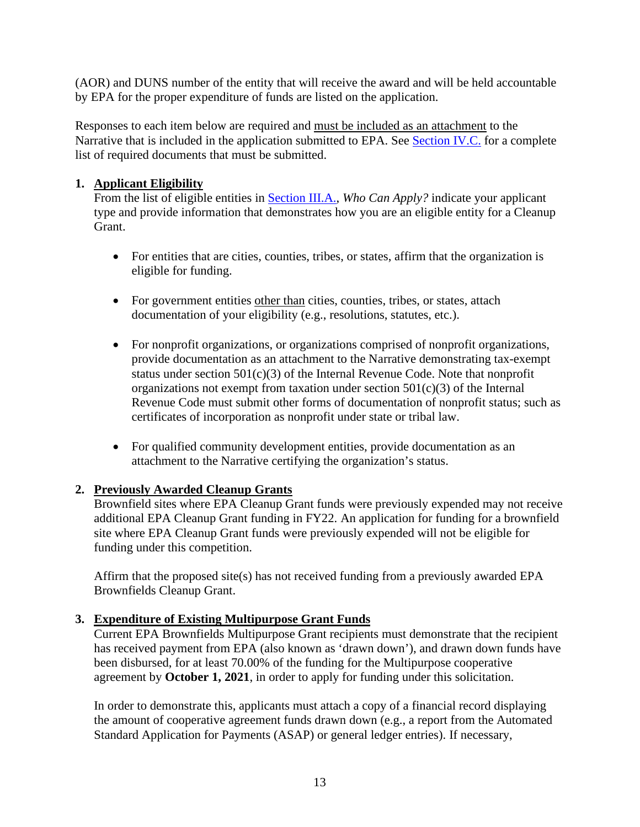(AOR) and DUNS number of the entity that will receive the award and will be held accountable by EPA for the proper expenditure of funds are listed on the application.

Responses to each item below are required and must be included as an attachment to the Narrative that is included in the application submitted to EPA. See [Section IV.C.](#page-31-0) for a complete list of required documents that must be submitted.

### <span id="page-12-0"></span>**1. Applicant Eligibility**

From the list of eligible entities in [Section III.A.,](#page-9-1) *Who Can Apply?* indicate your applicant type and provide information that demonstrates how you are an eligible entity for a Cleanup **Grant** 

- For entities that are cities, counties, tribes, or states, affirm that the organization is eligible for funding.
- For government entities other than cities, counties, tribes, or states, attach documentation of your eligibility (e.g., resolutions, statutes, etc.).
- For nonprofit organizations, or organizations comprised of nonprofit organizations, provide documentation as an attachment to the Narrative demonstrating tax-exempt status under section  $501(c)(3)$  of the Internal Revenue Code. Note that nonprofit organizations not exempt from taxation under section  $501(c)(3)$  of the Internal Revenue Code must submit other forms of documentation of nonprofit status; such as certificates of incorporation as nonprofit under state or tribal law.
- For qualified community development entities, provide documentation as an attachment to the Narrative certifying the organization's status.

## <span id="page-12-1"></span>**2. Previously Awarded Cleanup Grants**

Brownfield sites where EPA Cleanup Grant funds were previously expended may not receive additional EPA Cleanup Grant funding in FY22. An application for funding for a brownfield site where EPA Cleanup Grant funds were previously expended will not be eligible for funding under this competition.

Affirm that the proposed site(s) has not received funding from a previously awarded EPA Brownfields Cleanup Grant.

#### <span id="page-12-2"></span>**3. Expenditure of Existing Multipurpose Grant Funds**

Current EPA Brownfields Multipurpose Grant recipients must demonstrate that the recipient has received payment from EPA (also known as 'drawn down'), and drawn down funds have been disbursed, for at least 70.00% of the funding for the Multipurpose cooperative agreement by **October 1, 2021**, in order to apply for funding under this solicitation.

In order to demonstrate this, applicants must attach a copy of a financial record displaying the amount of cooperative agreement funds drawn down (e.g., a report from the Automated Standard Application for Payments (ASAP) or general ledger entries). If necessary,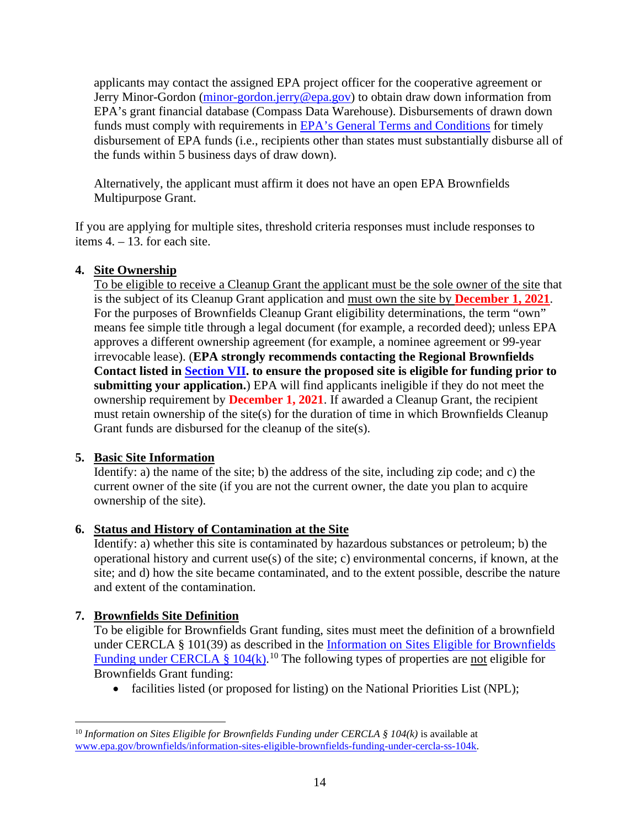applicants may contact the assigned EPA project officer for the cooperative agreement or Jerry Minor-Gordon [\(minor-gordon.jerry@epa.gov\)](mailto:minor-gordon.jerry@epa.gov) to obtain draw down information from EPA's grant financial database (Compass Data Warehouse). Disbursements of drawn down funds must comply with requirements in **EPA's General Terms and Conditions** for timely disbursement of EPA funds (i.e., recipients other than states must substantially disburse all of the funds within 5 business days of draw down).

Alternatively, the applicant must affirm it does not have an open EPA Brownfields Multipurpose Grant.

If you are applying for multiple sites, threshold criteria responses must include responses to items 4. – 13. for each site.

## <span id="page-13-0"></span>**4. Site Ownership**

To be eligible to receive a Cleanup Grant the applicant must be the sole owner of the site that is the subject of its Cleanup Grant application and must own the site by **December 1, 2021**. For the purposes of Brownfields Cleanup Grant eligibility determinations, the term "own" means fee simple title through a legal document (for example, a recorded deed); unless EPA approves a different ownership agreement (for example, a nominee agreement or 99-year irrevocable lease). (**EPA strongly recommends contacting the Regional Brownfields Contact listed in [Section VII.](#page-56-0) to ensure the proposed site is eligible for funding prior to submitting your application.**) EPA will find applicants ineligible if they do not meet the ownership requirement by **December 1, 2021**. If awarded a Cleanup Grant, the recipient must retain ownership of the site(s) for the duration of time in which Brownfields Cleanup Grant funds are disbursed for the cleanup of the site(s).

#### <span id="page-13-2"></span>**5. Basic Site Information**

Identify: a) the name of the site; b) the address of the site, including zip code; and c) the current owner of the site (if you are not the current owner, the date you plan to acquire ownership of the site).

## <span id="page-13-3"></span>**6. Status and History of Contamination at the Site**

Identify: a) whether this site is contaminated by hazardous substances or petroleum; b) the operational history and current use(s) of the site; c) environmental concerns, if known, at the site; and d) how the site became contaminated, and to the extent possible, describe the nature and extent of the contamination.

#### <span id="page-13-4"></span>**7. Brownfields Site Definition**

To be eligible for Brownfields Grant funding, sites must meet the definition of a brownfield under CERCLA § 101(39) as described in the [Information on Sites Eligible for Brownfields](https://www.epa.gov/brownfields/information-sites-eligible-brownfields-funding-under-cercla-ss-104k)  Funding under CERCLA §  $104(k)$  $104(k)$ .<sup>10</sup> The following types of properties are <u>not</u> eligible for Brownfields Grant funding:

• facilities listed (or proposed for listing) on the National Priorities List (NPL);

<span id="page-13-1"></span> $10$  *Information on Sites Eligible for Brownfields Funding under CERCLA § 104(k)* is available at [www.epa.gov/brownfields/information-sites-eligible-brownfields-funding-under-cercla-ss-104k.](http://www.epa.gov/brownfields/information-sites-eligible-brownfields-funding-under-cercla-ss-104k)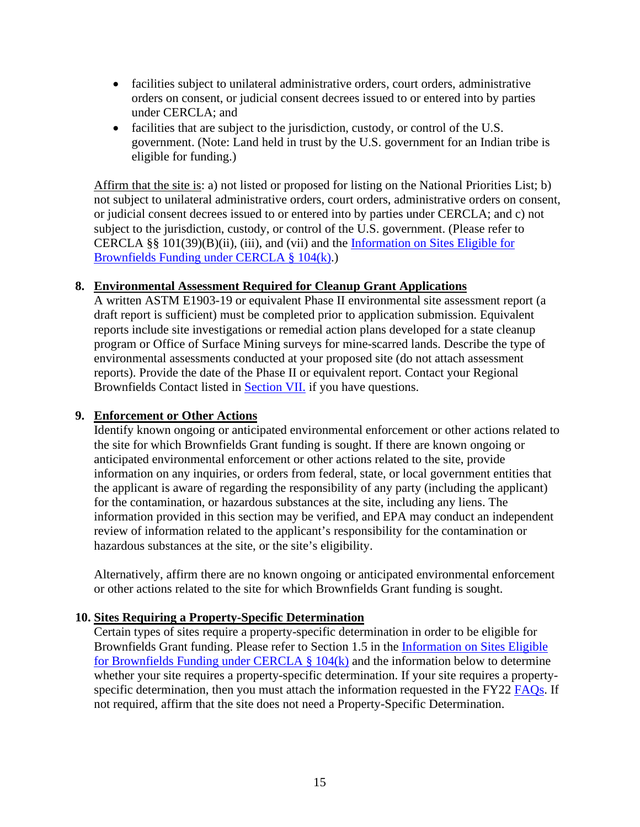- facilities subject to unilateral administrative orders, court orders, administrative orders on consent, or judicial consent decrees issued to or entered into by parties under CERCLA; and
- facilities that are subject to the jurisdiction, custody, or control of the U.S. government. (Note: Land held in trust by the U.S. government for an Indian tribe is eligible for funding.)

Affirm that the site is: a) not listed or proposed for listing on the National Priorities List; b) not subject to unilateral administrative orders, court orders, administrative orders on consent, or judicial consent decrees issued to or entered into by parties under CERCLA; and c) not subject to the jurisdiction, custody, or control of the U.S. government. (Please refer to CERCLA §§ 101(39)(B)(ii), (iii), and (vii) and the [Information on Sites Eligible for](https://www.epa.gov/brownfields/information-sites-eligible-brownfields-funding-under-cercla-ss-104k)  [Brownfields Funding under CERCLA § 104\(k\).](https://www.epa.gov/brownfields/information-sites-eligible-brownfields-funding-under-cercla-ss-104k))

#### <span id="page-14-0"></span>**8. Environmental Assessment Required for Cleanup Grant Applications**

A written ASTM E1903-19 or equivalent Phase II environmental site assessment report (a draft report is sufficient) must be completed prior to application submission. Equivalent reports include site investigations or remedial action plans developed for a state cleanup program or Office of Surface Mining surveys for mine-scarred lands. Describe the type of environmental assessments conducted at your proposed site (do not attach assessment reports). Provide the date of the Phase II or equivalent report. Contact your Regional Brownfields Contact listed in [Section VII.](#page-56-0) if you have questions.

#### <span id="page-14-1"></span>**9. Enforcement or Other Actions**

Identify known ongoing or anticipated environmental enforcement or other actions related to the site for which Brownfields Grant funding is sought. If there are known ongoing or anticipated environmental enforcement or other actions related to the site, provide information on any inquiries, or orders from federal, state, or local government entities that the applicant is aware of regarding the responsibility of any party (including the applicant) for the contamination, or hazardous substances at the site, including any liens. The information provided in this section may be verified, and EPA may conduct an independent review of information related to the applicant's responsibility for the contamination or hazardous substances at the site, or the site's eligibility.

Alternatively, affirm there are no known ongoing or anticipated environmental enforcement or other actions related to the site for which Brownfields Grant funding is sought.

#### <span id="page-14-2"></span>**10. Sites Requiring a Property-Specific Determination**

Certain types of sites require a property-specific determination in order to be eligible for Brownfields Grant funding. Please refer to Section 1.5 in the [Information on Sites Eligible](https://www.epa.gov/brownfields/information-sites-eligible-brownfields-funding-under-cercla-ss-104k)  [for Brownfields Funding under CERCLA § 104\(k\)](https://www.epa.gov/brownfields/information-sites-eligible-brownfields-funding-under-cercla-ss-104k) and the information below to determine whether your site requires a property-specific determination. If your site requires a property-specific determination, then you must attach the information requested in the FY22 [FAQs.](https://www.epa.gov/brownfields/frequently-asked-questions-about-multipurpose-assessment-rlf-and-cleanup-grants) If not required, affirm that the site does not need a Property-Specific Determination.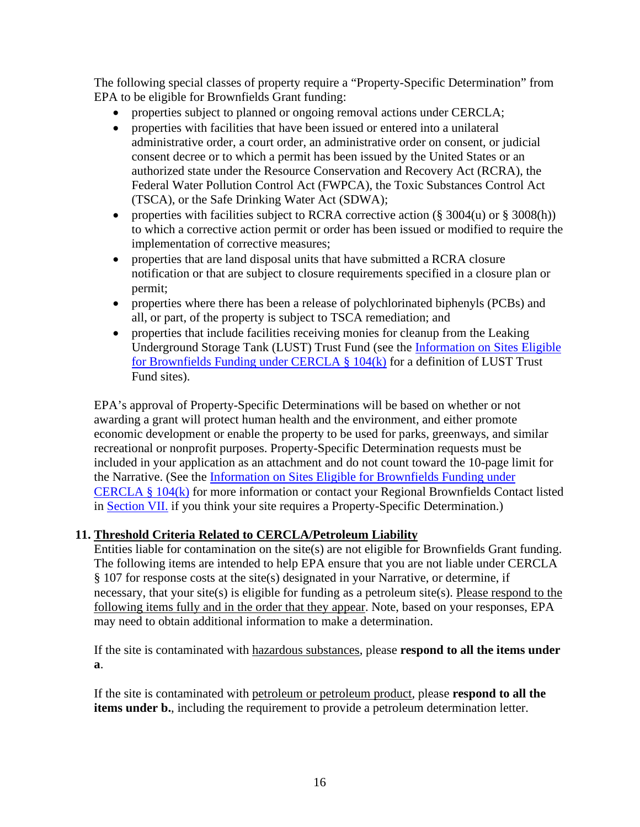The following special classes of property require a "Property-Specific Determination" from EPA to be eligible for Brownfields Grant funding:

- properties subject to planned or ongoing removal actions under CERCLA;
- properties with facilities that have been issued or entered into a unilateral administrative order, a court order, an administrative order on consent, or judicial consent decree or to which a permit has been issued by the United States or an authorized state under the Resource Conservation and Recovery Act (RCRA), the Federal Water Pollution Control Act (FWPCA), the Toxic Substances Control Act (TSCA), or the Safe Drinking Water Act (SDWA);
- properties with facilities subject to RCRA corrective action  $(\S 3004(u)$  or  $\S 3008(h))$ to which a corrective action permit or order has been issued or modified to require the implementation of corrective measures;
- properties that are land disposal units that have submitted a RCRA closure notification or that are subject to closure requirements specified in a closure plan or permit;
- properties where there has been a release of polychlorinated biphenyls (PCBs) and all, or part, of the property is subject to TSCA remediation; and
- properties that include facilities receiving monies for cleanup from the Leaking Underground Storage Tank (LUST) Trust Fund (see the [Information on Sites Eligible](https://www.epa.gov/brownfields/information-sites-eligible-brownfields-funding-under-cercla-ss-104k)  [for Brownfields Funding under CERCLA § 104\(k\)](https://www.epa.gov/brownfields/information-sites-eligible-brownfields-funding-under-cercla-ss-104k) for a definition of LUST Trust Fund sites).

EPA's approval of Property-Specific Determinations will be based on whether or not awarding a grant will protect human health and the environment, and either promote economic development or enable the property to be used for parks, greenways, and similar recreational or nonprofit purposes. Property-Specific Determination requests must be included in your application as an attachment and do not count toward the 10-page limit for the Narrative. (See the [Information on Sites Eligible for Brownfields Funding under](https://www.epa.gov/brownfields/information-sites-eligible-brownfields-funding-under-cercla-ss-104k)  [CERCLA § 104\(k\)](https://www.epa.gov/brownfields/information-sites-eligible-brownfields-funding-under-cercla-ss-104k) for more information or contact your Regional Brownfields Contact listed in [Section VII.](#page-56-0) if you think your site requires a Property-Specific Determination.)

## **11. Threshold Criteria Related to CERCLA/Petroleum Liability**

Entities liable for contamination on the site(s) are not eligible for Brownfields Grant funding. The following items are intended to help EPA ensure that you are not liable under CERCLA § 107 for response costs at the site(s) designated in your Narrative, or determine, if necessary, that your site(s) is eligible for funding as a petroleum site(s). Please respond to the following items fully and in the order that they appear. Note, based on your responses, EPA may need to obtain additional information to make a determination.

If the site is contaminated with hazardous substances, please **respond to all the items under a**.

If the site is contaminated with petroleum or petroleum product, please **respond to all the items under b.**, including the requirement to provide a petroleum determination letter.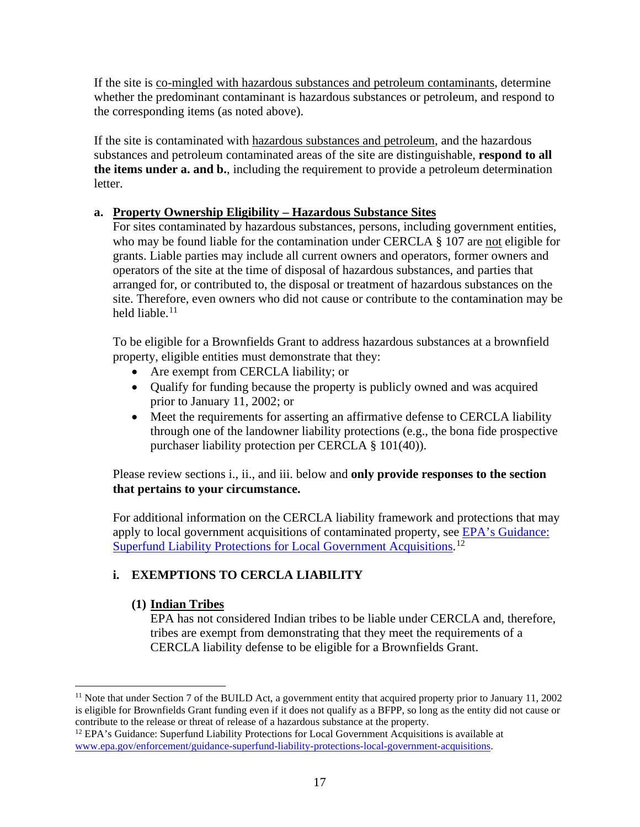If the site is co-mingled with hazardous substances and petroleum contaminants, determine whether the predominant contaminant is hazardous substances or petroleum, and respond to the corresponding items (as noted above).

If the site is contaminated with hazardous substances and petroleum, and the hazardous substances and petroleum contaminated areas of the site are distinguishable, **respond to all the items under a. and b.**, including the requirement to provide a petroleum determination letter.

## <span id="page-16-2"></span>**a. Property Ownership Eligibility – Hazardous Substance Sites**

For sites contaminated by hazardous substances, persons, including government entities, who may be found liable for the contamination under CERCLA § 107 are not eligible for grants. Liable parties may include all current owners and operators, former owners and operators of the site at the time of disposal of hazardous substances, and parties that arranged for, or contributed to, the disposal or treatment of hazardous substances on the site. Therefore, even owners who did not cause or contribute to the contamination may be held liable  $11$ 

To be eligible for a Brownfields Grant to address hazardous substances at a brownfield property, eligible entities must demonstrate that they:

- Are exempt from CERCLA liability; or
- Qualify for funding because the property is publicly owned and was acquired prior to January 11, 2002; or
- Meet the requirements for asserting an affirmative defense to CERCLA liability through one of the landowner liability protections (e.g., the bona fide prospective purchaser liability protection per CERCLA § 101(40)).

Please review sections i., ii., and iii. below and **only provide responses to the section that pertains to your circumstance.**

For additional information on the CERCLA liability framework and protections that may apply to local government acquisitions of contaminated property, see [EPA's Guidance:](https://www.epa.gov/enforcement/guidance-superfund-liability-protections-local-government-acquisitions)  [Superfund Liability Protections for Local Government Acquisitions.](https://www.epa.gov/enforcement/guidance-superfund-liability-protections-local-government-acquisitions)<sup>[12](#page-16-1)</sup>

## **i. EXEMPTIONS TO CERCLA LIABILITY**

#### **(1) Indian Tribes**

EPA has not considered Indian tribes to be liable under CERCLA and, therefore, tribes are exempt from demonstrating that they meet the requirements of a CERCLA liability defense to be eligible for a Brownfields Grant.

<span id="page-16-0"></span><sup>&</sup>lt;sup>11</sup> Note that under Section 7 of the BUILD Act, a government entity that acquired property prior to January 11, 2002 is eligible for Brownfields Grant funding even if it does not qualify as a BFPP, so long as the entity did not cause or contribute to the release or threat of release of a hazardous substance at the property.

<span id="page-16-1"></span> $12$  EPA's Guidance: Superfund Liability Protections for Local Government Acquisitions is available at [www.epa.gov/enforcement/guidance-superfund-liability-protections-local-government-acquisitions.](http://www.epa.gov/enforcement/guidance-superfund-liability-protections-local-government-acquisitions)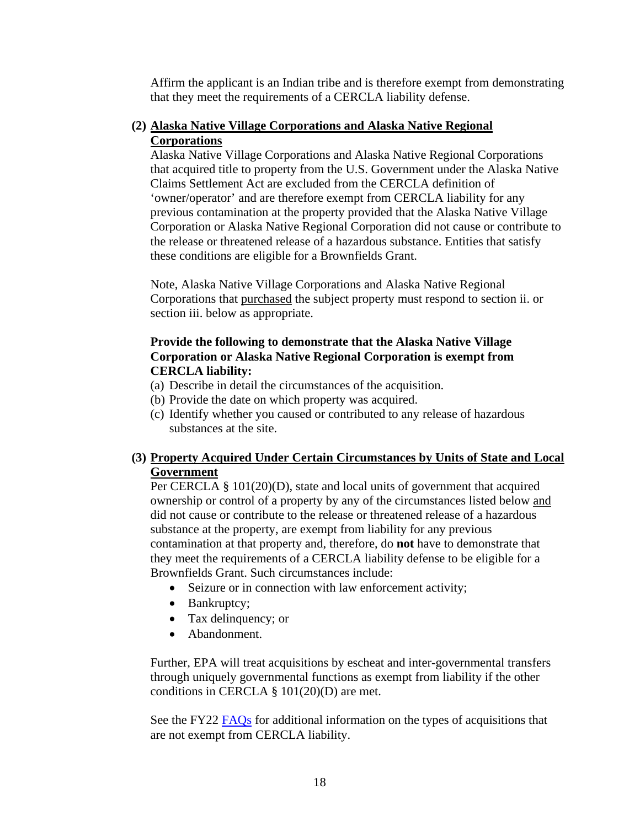Affirm the applicant is an Indian tribe and is therefore exempt from demonstrating that they meet the requirements of a CERCLA liability defense.

#### **(2) Alaska Native Village Corporations and Alaska Native Regional Corporations**

Alaska Native Village Corporations and Alaska Native Regional Corporations that acquired title to property from the U.S. Government under the Alaska Native Claims Settlement Act are excluded from the CERCLA definition of 'owner/operator' and are therefore exempt from CERCLA liability for any previous contamination at the property provided that the Alaska Native Village Corporation or Alaska Native Regional Corporation did not cause or contribute to the release or threatened release of a hazardous substance. Entities that satisfy these conditions are eligible for a Brownfields Grant.

Note, Alaska Native Village Corporations and Alaska Native Regional Corporations that purchased the subject property must respond to section ii. or section iii. below as appropriate.

#### **Provide the following to demonstrate that the Alaska Native Village Corporation or Alaska Native Regional Corporation is exempt from CERCLA liability:**

- (a) Describe in detail the circumstances of the acquisition.
- (b) Provide the date on which property was acquired.
- (c) Identify whether you caused or contributed to any release of hazardous substances at the site.

#### **(3) Property Acquired Under Certain Circumstances by Units of State and Local Government**

Per CERCLA § 101(20)(D), state and local units of government that acquired ownership or control of a property by any of the circumstances listed below and did not cause or contribute to the release or threatened release of a hazardous substance at the property, are exempt from liability for any previous contamination at that property and, therefore, do **not** have to demonstrate that they meet the requirements of a CERCLA liability defense to be eligible for a Brownfields Grant. Such circumstances include:

- Seizure or in connection with law enforcement activity;
- Bankruptcy;
- Tax delinquency; or
- Abandonment.

Further, EPA will treat acquisitions by escheat and inter-governmental transfers through uniquely governmental functions as exempt from liability if the other conditions in CERCLA § 101(20)(D) are met.

See the FY22 [FAQs](https://www.epa.gov/brownfields/frequently-asked-questions-about-multipurpose-assessment-rlf-and-cleanup-grants) for additional information on the types of acquisitions that are not exempt from CERCLA liability.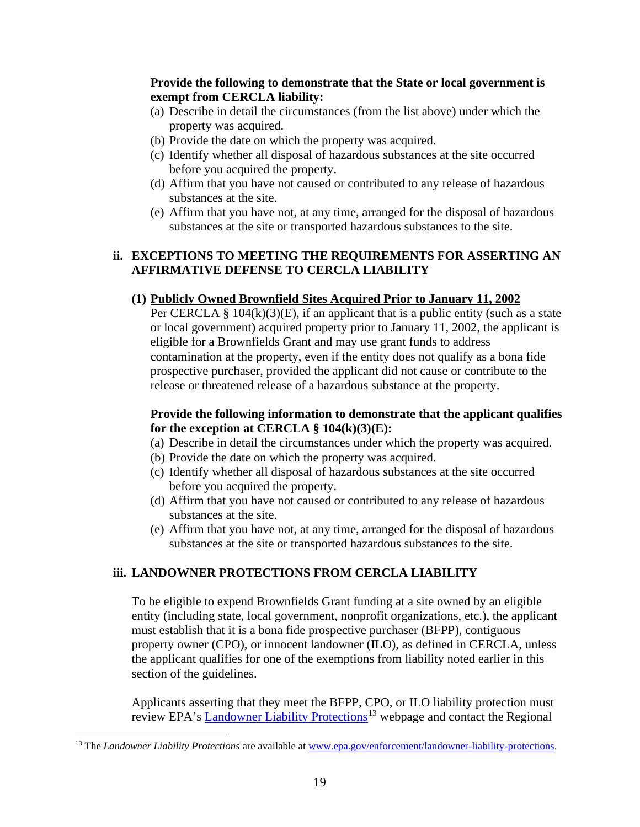#### **Provide the following to demonstrate that the State or local government is exempt from CERCLA liability:**

- (a) Describe in detail the circumstances (from the list above) under which the property was acquired.
- (b) Provide the date on which the property was acquired.
- (c) Identify whether all disposal of hazardous substances at the site occurred before you acquired the property.
- (d) Affirm that you have not caused or contributed to any release of hazardous substances at the site.
- (e) Affirm that you have not, at any time, arranged for the disposal of hazardous substances at the site or transported hazardous substances to the site.

#### <span id="page-18-1"></span>**ii. EXCEPTIONS TO MEETING THE REQUIREMENTS FOR ASSERTING AN AFFIRMATIVE DEFENSE TO CERCLA LIABILITY**

#### **(1) Publicly Owned Brownfield Sites Acquired Prior to January 11, 2002**

Per CERCLA §  $104(k)(3)(E)$ , if an applicant that is a public entity (such as a state or local government) acquired property prior to January 11, 2002, the applicant is eligible for a Brownfields Grant and may use grant funds to address contamination at the property, even if the entity does not qualify as a bona fide prospective purchaser, provided the applicant did not cause or contribute to the release or threatened release of a hazardous substance at the property.

#### **Provide the following information to demonstrate that the applicant qualifies for the exception at CERCLA § 104(k)(3)(E):**

- (a) Describe in detail the circumstances under which the property was acquired.
- (b) Provide the date on which the property was acquired.
- (c) Identify whether all disposal of hazardous substances at the site occurred before you acquired the property.
- (d) Affirm that you have not caused or contributed to any release of hazardous substances at the site.
- (e) Affirm that you have not, at any time, arranged for the disposal of hazardous substances at the site or transported hazardous substances to the site.

#### **iii. LANDOWNER PROTECTIONS FROM CERCLA LIABILITY**

To be eligible to expend Brownfields Grant funding at a site owned by an eligible entity (including state, local government, nonprofit organizations, etc.), the applicant must establish that it is a bona fide prospective purchaser (BFPP), contiguous property owner (CPO), or innocent landowner (ILO), as defined in CERCLA, unless the applicant qualifies for one of the exemptions from liability noted earlier in this section of the guidelines.

Applicants asserting that they meet the BFPP, CPO, or ILO liability protection must review EPA's [Landowner Liability Protections](https://www.epa.gov/enforcement/landowner-liability-protections)<sup>[13](#page-18-0)</sup> webpage and contact the Regional

<span id="page-18-0"></span><sup>&</sup>lt;sup>13</sup> The *Landowner Liability Protections* are available at [www.epa.gov/enforcement/landowner-liability-protections.](http://www.epa.gov/enforcement/landowner-liability-protections)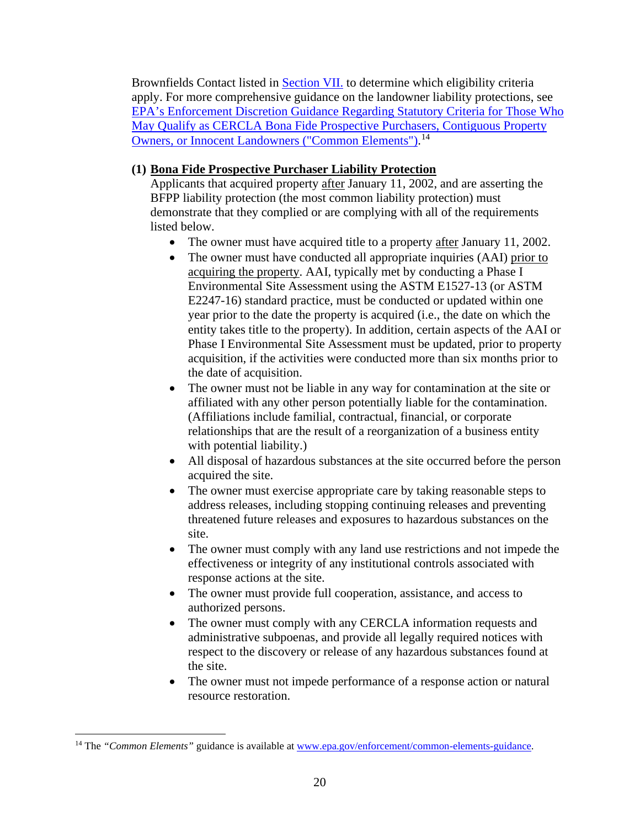Brownfields Contact listed in **Section VII**, to determine which eligibility criteria apply. For more comprehensive guidance on the landowner liability protections, see [EPA's Enforcement Discretion Guidance Regarding Statutory Criteria for Those Who](https://epa.gov/enforcement/common-elements-guidance)  [May Qualify as CERCLA Bona Fide Prospective Purchasers, Contiguous Property](https://epa.gov/enforcement/common-elements-guidance)  **[Owners, or Innocent Landowners \("Common Elements"\).](https://epa.gov/enforcement/common-elements-guidance)**<sup>[14](#page-19-0)</sup>

### **(1) Bona Fide Prospective Purchaser Liability Protection**

Applicants that acquired property after January 11, 2002, and are asserting the BFPP liability protection (the most common liability protection) must demonstrate that they complied or are complying with all of the requirements listed below.

- The owner must have acquired title to a property after January 11, 2002.
- The owner must have conducted all appropriate inquiries (AAI) prior to acquiring the property. AAI, typically met by conducting a Phase I Environmental Site Assessment using the ASTM E1527-13 (or ASTM E2247-16) standard practice, must be conducted or updated within one year prior to the date the property is acquired (i.e., the date on which the entity takes title to the property). In addition, certain aspects of the AAI or Phase I Environmental Site Assessment must be updated, prior to property acquisition, if the activities were conducted more than six months prior to the date of acquisition.
- The owner must not be liable in any way for contamination at the site or affiliated with any other person potentially liable for the contamination. (Affiliations include familial, contractual, financial, or corporate relationships that are the result of a reorganization of a business entity with potential liability.)
- All disposal of hazardous substances at the site occurred before the person acquired the site.
- The owner must exercise appropriate care by taking reasonable steps to address releases, including stopping continuing releases and preventing threatened future releases and exposures to hazardous substances on the site.
- The owner must comply with any land use restrictions and not impede the effectiveness or integrity of any institutional controls associated with response actions at the site.
- The owner must provide full cooperation, assistance, and access to authorized persons.
- The owner must comply with any CERCLA information requests and administrative subpoenas, and provide all legally required notices with respect to the discovery or release of any hazardous substances found at the site.
- The owner must not impede performance of a response action or natural resource restoration.

<span id="page-19-0"></span><sup>&</sup>lt;sup>14</sup> The "Common Elements" guidance is available at www.epa.gov/enforcement/common-elements-guidance.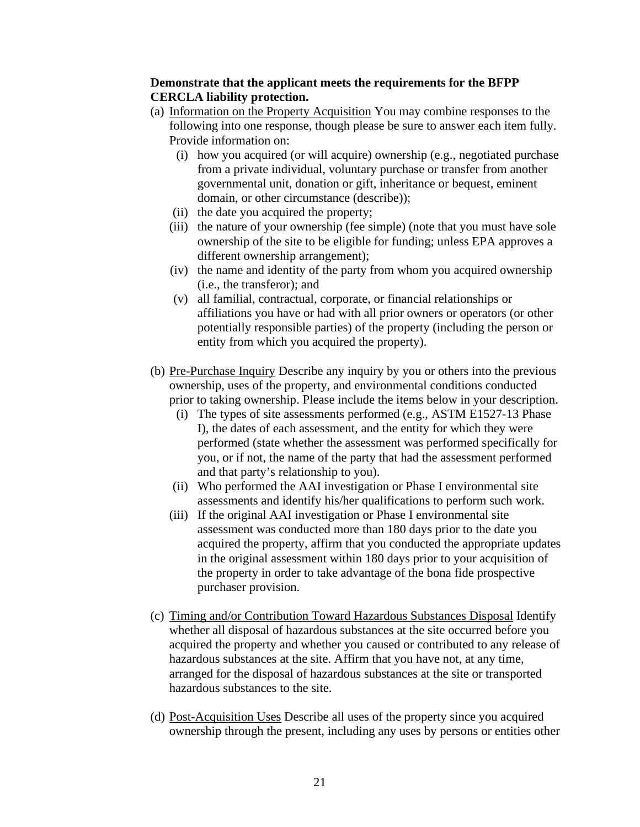#### **Demonstrate that the applicant meets the requirements for the BFPP CERCLA liability protection.**

- (a) Information on the Property Acquisition You may combine responses to the following into one response, though please be sure to answer each item fully. Provide information on:
	- (i) how you acquired (or will acquire) ownership (e.g., negotiated purchase from a private individual, voluntary purchase or transfer from another governmental unit, donation or gift, inheritance or bequest, eminent domain, or other circumstance (describe));
	- (ii) the date you acquired the property;
	- (iii) the nature of your ownership (fee simple) (note that you must have sole ownership of the site to be eligible for funding; unless EPA approves a different ownership arrangement);
	- (iv) the name and identity of the party from whom you acquired ownership (i.e., the transferor); and
	- (v) all familial, contractual, corporate, or financial relationships or affiliations you have or had with all prior owners or operators (or other potentially responsible parties) of the property (including the person or entity from which you acquired the property).
- (b) Pre-Purchase Inquiry Describe any inquiry by you or others into the previous ownership, uses of the property, and environmental conditions conducted prior to taking ownership. Please include the items below in your description.
	- (i) The types of site assessments performed (e.g., ASTM E1527-13 Phase I), the dates of each assessment, and the entity for which they were performed (state whether the assessment was performed specifically for you, or if not, the name of the party that had the assessment performed and that party's relationship to you).
	- (ii) Who performed the AAI investigation or Phase I environmental site assessments and identify his/her qualifications to perform such work.
	- (iii) If the original AAI investigation or Phase I environmental site assessment was conducted more than 180 days prior to the date you acquired the property, affirm that you conducted the appropriate updates in the original assessment within 180 days prior to your acquisition of the property in order to take advantage of the bona fide prospective purchaser provision.
- (c) Timing and/or Contribution Toward Hazardous Substances Disposal Identify whether all disposal of hazardous substances at the site occurred before you acquired the property and whether you caused or contributed to any release of hazardous substances at the site. Affirm that you have not, at any time, arranged for the disposal of hazardous substances at the site or transported hazardous substances to the site.
- (d) Post-Acquisition Uses Describe all uses of the property since you acquired ownership through the present, including any uses by persons or entities other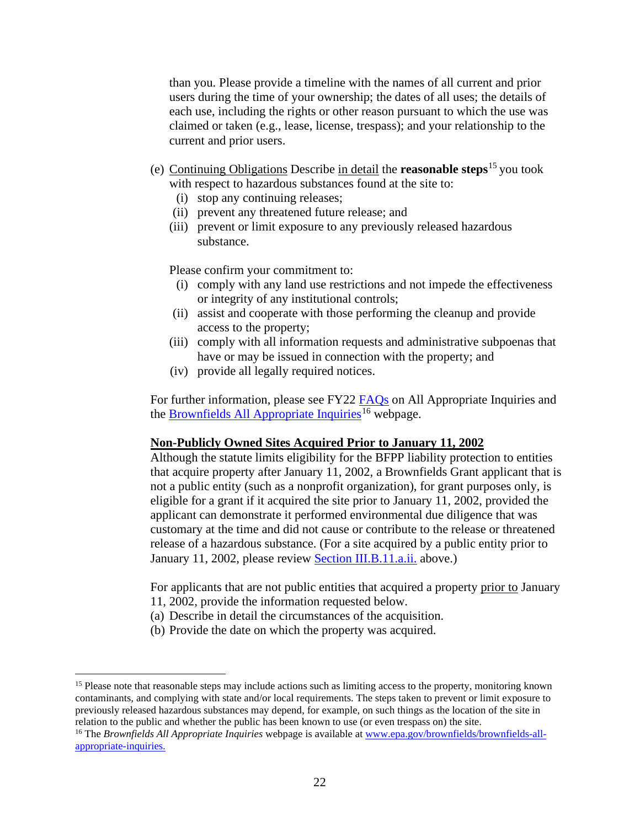than you. Please provide a timeline with the names of all current and prior users during the time of your ownership; the dates of all uses; the details of each use, including the rights or other reason pursuant to which the use was claimed or taken (e.g., lease, license, trespass); and your relationship to the current and prior users.

- (e) Continuing Obligations Describe in detail the **reasonable steps**[15](#page-21-0) you took with respect to hazardous substances found at the site to:
	- (i) stop any continuing releases;
	- (ii) prevent any threatened future release; and
	- (iii) prevent or limit exposure to any previously released hazardous substance.

Please confirm your commitment to:

- (i) comply with any land use restrictions and not impede the effectiveness or integrity of any institutional controls;
- (ii) assist and cooperate with those performing the cleanup and provide access to the property;
- (iii) comply with all information requests and administrative subpoenas that have or may be issued in connection with the property; and
- (iv) provide all legally required notices.

For further information, please see FY22 [FAQs](https://www.epa.gov/brownfields/frequently-asked-questions-about-multipurpose-assessment-rlf-and-cleanup-grants) on All Appropriate Inquiries and the [Brownfields All Appropriate Inquiries](https://www.epa.gov/brownfields/brownfields-all-appropriate-inquiries)<sup>16</sup> webpage.

#### **Non-Publicly Owned Sites Acquired Prior to January 11, 2002**

Although the statute limits eligibility for the BFPP liability protection to entities that acquire property after January 11, 2002, a Brownfields Grant applicant that is not a public entity (such as a nonprofit organization), for grant purposes only, is eligible for a grant if it acquired the site prior to January 11, 2002, provided the applicant can demonstrate it performed environmental due diligence that was customary at the time and did not cause or contribute to the release or threatened release of a hazardous substance. (For a site acquired by a public entity prior to January 11, 2002, please review [Section III.B.11.a.ii.](#page-18-1) above.)

For applicants that are not public entities that acquired a property prior to January 11, 2002, provide the information requested below.

- (a) Describe in detail the circumstances of the acquisition.
- (b) Provide the date on which the property was acquired.

<span id="page-21-0"></span><sup>&</sup>lt;sup>15</sup> Please note that reasonable steps may include actions such as limiting access to the property, monitoring known contaminants, and complying with state and/or local requirements. The steps taken to prevent or limit exposure to previously released hazardous substances may depend, for example, on such things as the location of the site in relation to the public and whether the public has been known to use (or even trespass on) the site.

<span id="page-21-1"></span><sup>&</sup>lt;sup>16</sup> The *Brownfields All Appropriate Inquiries* webpage is available a[t www.epa.gov/brownfields/brownfields-all](http://www.epa.gov/brownfields/brownfields-all-appropriate-inquiries)[appropriate-inquiries.](http://www.epa.gov/brownfields/brownfields-all-appropriate-inquiries)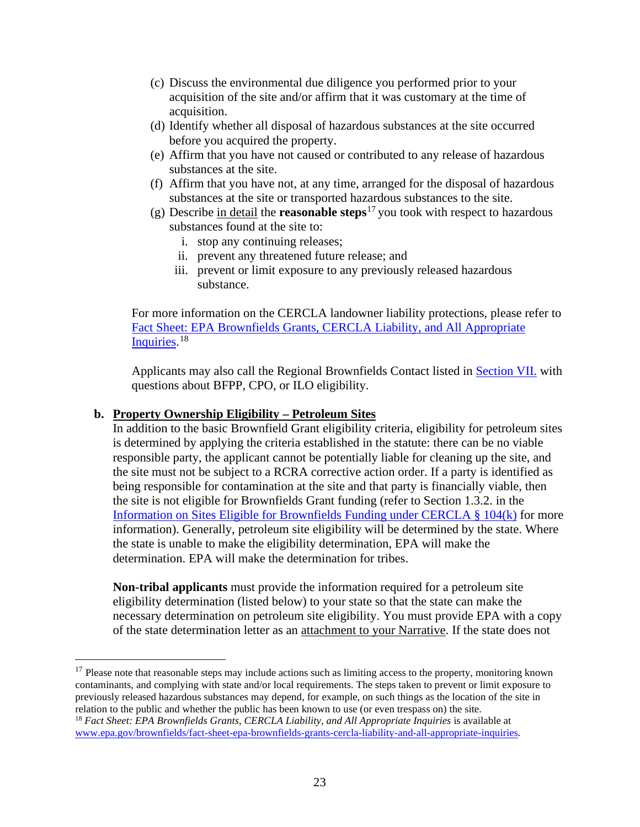- (c) Discuss the environmental due diligence you performed prior to your acquisition of the site and/or affirm that it was customary at the time of acquisition.
- (d) Identify whether all disposal of hazardous substances at the site occurred before you acquired the property.
- (e) Affirm that you have not caused or contributed to any release of hazardous substances at the site.
- (f) Affirm that you have not, at any time, arranged for the disposal of hazardous substances at the site or transported hazardous substances to the site.
- (g) Describe in detail the **reasonable steps**[17](#page-22-0) you took with respect to hazardous substances found at the site to:
	- i. stop any continuing releases;
	- ii. prevent any threatened future release; and
	- iii. prevent or limit exposure to any previously released hazardous substance.

For more information on the CERCLA landowner liability protections, please refer to [Fact Sheet: EPA Brownfields Grants, CERCLA Liability, and All Appropriate](https://www.epa.gov/brownfields/fact-sheet-epa-brownfields-grants-cercla-liability-and-all-appropriate-inquiries)  [Inquiries.](https://www.epa.gov/brownfields/fact-sheet-epa-brownfields-grants-cercla-liability-and-all-appropriate-inquiries)<sup>[18](#page-22-1)</sup>

Applicants may also call the Regional Brownfields Contact listed in **Section VII.** with questions about BFPP, CPO, or ILO eligibility.

#### <span id="page-22-2"></span>**b. Property Ownership Eligibility – Petroleum Sites**

In addition to the basic Brownfield Grant eligibility criteria, eligibility for petroleum sites is determined by applying the criteria established in the statute: there can be no viable responsible party, the applicant cannot be potentially liable for cleaning up the site, and the site must not be subject to a RCRA corrective action order. If a party is identified as being responsible for contamination at the site and that party is financially viable, then the site is not eligible for Brownfields Grant funding (refer to Section 1.3.2. in the [Information on Sites Eligible for Brownfields Funding under CERCLA § 104\(k\)](https://www.epa.gov/brownfields/information-sites-eligible-brownfields-funding-under-cercla-ss-104k) for more information). Generally, petroleum site eligibility will be determined by the state. Where the state is unable to make the eligibility determination, EPA will make the determination. EPA will make the determination for tribes.

**Non-tribal applicants** must provide the information required for a petroleum site eligibility determination (listed below) to your state so that the state can make the necessary determination on petroleum site eligibility. You must provide EPA with a copy of the state determination letter as an attachment to your Narrative. If the state does not

<span id="page-22-1"></span><span id="page-22-0"></span> $17$  Please note that reasonable steps may include actions such as limiting access to the property, monitoring known contaminants, and complying with state and/or local requirements. The steps taken to prevent or limit exposure to previously released hazardous substances may depend, for example, on such things as the location of the site in relation to the public and whether the public has been known to use (or even trespass on) the site. <sup>18</sup> Fact Sheet: EPA Brownfields Grants, CERCLA Liability, and All Appropriate Inquiries is available at [www.epa.gov/brownfields/fact-sheet-epa-brownfields-grants-cercla-liability-and-all-appropriate-inquiries](http://www.epa.gov/brownfields/fact-sheet-epa-brownfields-grants-cercla-liability-and-all-appropriate-inquiries)*.*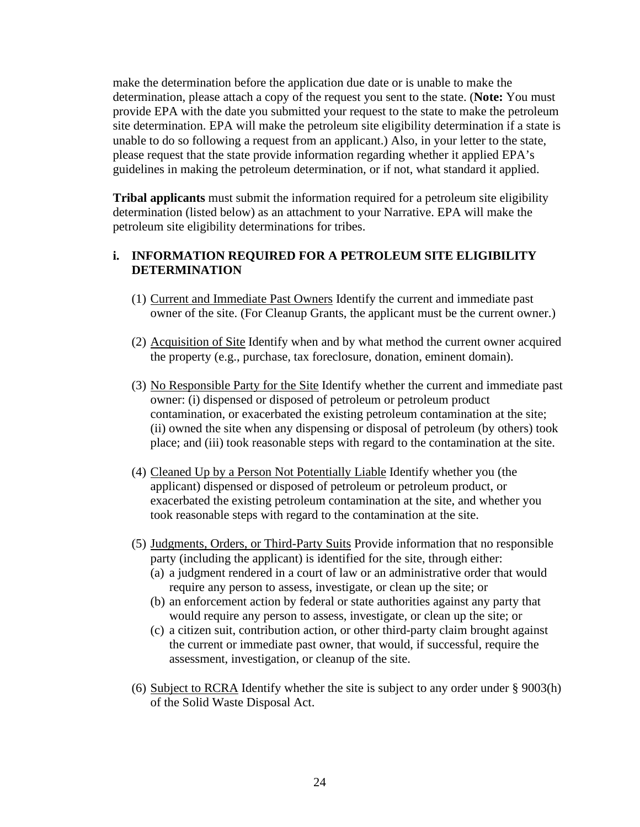make the determination before the application due date or is unable to make the determination, please attach a copy of the request you sent to the state. (**Note:** You must provide EPA with the date you submitted your request to the state to make the petroleum site determination. EPA will make the petroleum site eligibility determination if a state is unable to do so following a request from an applicant.) Also, in your letter to the state, please request that the state provide information regarding whether it applied EPA's guidelines in making the petroleum determination, or if not, what standard it applied.

**Tribal applicants** must submit the information required for a petroleum site eligibility determination (listed below) as an attachment to your Narrative. EPA will make the petroleum site eligibility determinations for tribes.

#### **i. INFORMATION REQUIRED FOR A PETROLEUM SITE ELIGIBILITY DETERMINATION**

- (1) Current and Immediate Past Owners Identify the current and immediate past owner of the site. (For Cleanup Grants, the applicant must be the current owner.)
- (2) Acquisition of Site Identify when and by what method the current owner acquired the property (e.g., purchase, tax foreclosure, donation, eminent domain).
- (3) No Responsible Party for the Site Identify whether the current and immediate past owner: (i) dispensed or disposed of petroleum or petroleum product contamination, or exacerbated the existing petroleum contamination at the site; (ii) owned the site when any dispensing or disposal of petroleum (by others) took place; and (iii) took reasonable steps with regard to the contamination at the site.
- (4) Cleaned Up by a Person Not Potentially Liable Identify whether you (the applicant) dispensed or disposed of petroleum or petroleum product, or exacerbated the existing petroleum contamination at the site, and whether you took reasonable steps with regard to the contamination at the site.
- (5) Judgments, Orders, or Third-Party Suits Provide information that no responsible party (including the applicant) is identified for the site, through either:
	- (a) a judgment rendered in a court of law or an administrative order that would require any person to assess, investigate, or clean up the site; or
	- (b) an enforcement action by federal or state authorities against any party that would require any person to assess, investigate, or clean up the site; or
	- (c) a citizen suit, contribution action, or other third-party claim brought against the current or immediate past owner, that would, if successful, require the assessment, investigation, or cleanup of the site.
- (6) Subject to RCRA Identify whether the site is subject to any order under § 9003(h) of the Solid Waste Disposal Act.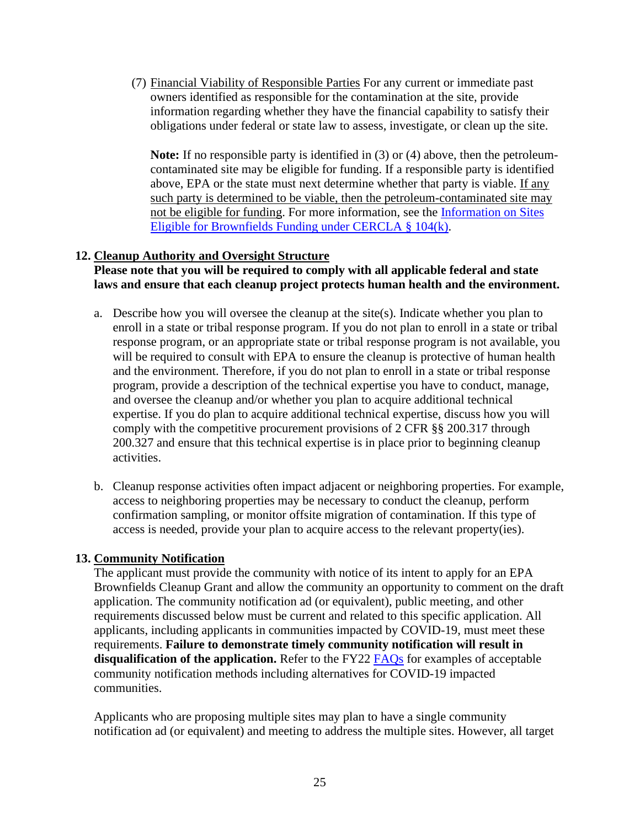(7) Financial Viability of Responsible Parties For any current or immediate past owners identified as responsible for the contamination at the site, provide information regarding whether they have the financial capability to satisfy their obligations under federal or state law to assess, investigate, or clean up the site.

**Note:** If no responsible party is identified in (3) or (4) above, then the petroleumcontaminated site may be eligible for funding. If a responsible party is identified above, EPA or the state must next determine whether that party is viable. If any such party is determined to be viable, then the petroleum-contaminated site may not be eligible for funding. For more information, see the [Information on Sites](https://www.epa.gov/brownfields/information-sites-eligible-brownfields-funding-under-cercla-ss-104k)  [Eligible for Brownfields Funding under CERCLA § 104\(k\).](https://www.epa.gov/brownfields/information-sites-eligible-brownfields-funding-under-cercla-ss-104k)

#### <span id="page-24-0"></span>**12. Cleanup Authority and Oversight Structure**

#### **Please note that you will be required to comply with all applicable federal and state laws and ensure that each cleanup project protects human health and the environment.**

- a. Describe how you will oversee the cleanup at the site(s). Indicate whether you plan to enroll in a state or tribal response program. If you do not plan to enroll in a state or tribal response program, or an appropriate state or tribal response program is not available, you will be required to consult with EPA to ensure the cleanup is protective of human health and the environment. Therefore, if you do not plan to enroll in a state or tribal response program, provide a description of the technical expertise you have to conduct, manage, and oversee the cleanup and/or whether you plan to acquire additional technical expertise. If you do plan to acquire additional technical expertise, discuss how you will comply with the competitive procurement provisions of 2 CFR §§ 200.317 through 200.327 and ensure that this technical expertise is in place prior to beginning cleanup activities.
- b. Cleanup response activities often impact adjacent or neighboring properties. For example, access to neighboring properties may be necessary to conduct the cleanup, perform confirmation sampling, or monitor offsite migration of contamination. If this type of access is needed, provide your plan to acquire access to the relevant property(ies).

#### <span id="page-24-1"></span>**13. Community Notification**

The applicant must provide the community with notice of its intent to apply for an EPA Brownfields Cleanup Grant and allow the community an opportunity to comment on the draft application. The community notification ad (or equivalent), public meeting, and other requirements discussed below must be current and related to this specific application. All applicants, including applicants in communities impacted by COVID-19, must meet these requirements. **Failure to demonstrate timely community notification will result in disqualification of the application.** Refer to the FY22 [FAQs](https://www.epa.gov/brownfields/frequently-asked-questions-about-multipurpose-assessment-rlf-and-cleanup-grants) for examples of acceptable community notification methods including alternatives for COVID-19 impacted communities.

Applicants who are proposing multiple sites may plan to have a single community notification ad (or equivalent) and meeting to address the multiple sites. However, all target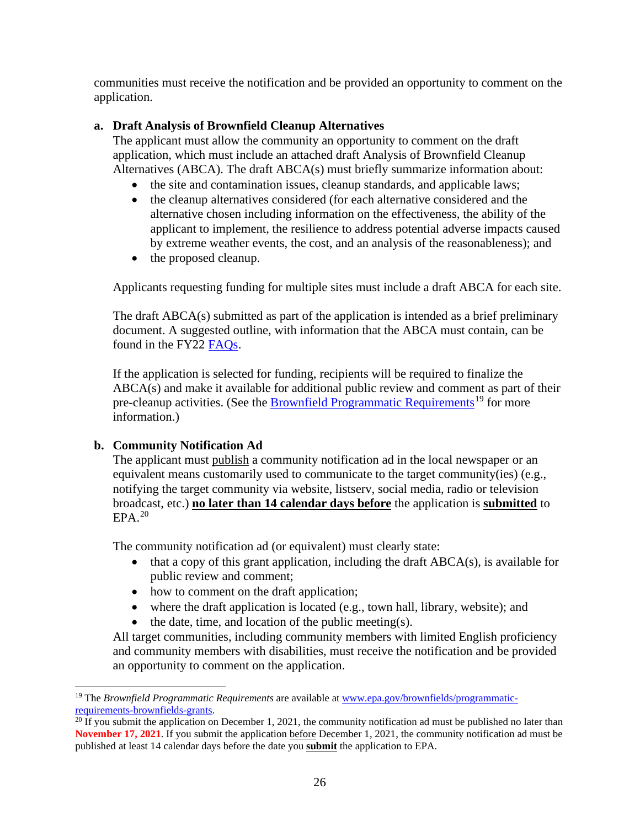communities must receive the notification and be provided an opportunity to comment on the application.

## **a. Draft Analysis of Brownfield Cleanup Alternatives**

The applicant must allow the community an opportunity to comment on the draft application, which must include an attached draft Analysis of Brownfield Cleanup Alternatives (ABCA). The draft ABCA(s) must briefly summarize information about:

- the site and contamination issues, cleanup standards, and applicable laws;
- the cleanup alternatives considered (for each alternative considered and the alternative chosen including information on the effectiveness, the ability of the applicant to implement, the resilience to address potential adverse impacts caused by extreme weather events, the cost, and an analysis of the reasonableness); and
- the proposed cleanup.

Applicants requesting funding for multiple sites must include a draft ABCA for each site.

The draft ABCA(s) submitted as part of the application is intended as a brief preliminary document. A suggested outline, with information that the ABCA must contain, can be found in the FY22 [FAQs.](https://www.epa.gov/brownfields/frequently-asked-questions-about-multipurpose-assessment-rlf-and-cleanup-grants)

If the application is selected for funding, recipients will be required to finalize the ABCA(s) and make it available for additional public review and comment as part of their pre-cleanup activities. (See the **Brownfield [Programmatic Requirements](https://www.epa.gov/brownfields/programmatic-requirements-brownfields-grants)<sup>[19](#page-25-0)</sup> for more** information.)

## **b. Community Notification Ad**

The applicant must publish a community notification ad in the local newspaper or an equivalent means customarily used to communicate to the target community(ies) (e.g., notifying the target community via website, listserv, social media, radio or television broadcast, etc.) **no later than 14 calendar days before** the application is **submitted** to  $EPA.<sup>20</sup>$  $EPA.<sup>20</sup>$  $EPA.<sup>20</sup>$ 

The community notification ad (or equivalent) must clearly state:

- $\bullet$  that a copy of this grant application, including the draft ABCA(s), is available for public review and comment;
- how to comment on the draft application;
- where the draft application is located (e.g., town hall, library, website); and
- $\bullet$  the date, time, and location of the public meeting(s).

All target communities, including community members with limited English proficiency and community members with disabilities, must receive the notification and be provided an opportunity to comment on the application.

<span id="page-25-0"></span><sup>&</sup>lt;sup>19</sup> The *Brownfield Programmatic Requirements* are available at <u>www.epa.gov/brownfields/programmatic-requirements-brownfields-grants.</u>

<span id="page-25-1"></span> $\frac{20 \text{ If you submit the application on December 1, 2021, the community notification and must be published no later than}$ **November 17, 2021**. If you submit the application before December 1, 2021, the community notification ad must be published at least 14 calendar days before the date you **submit** the application to EPA.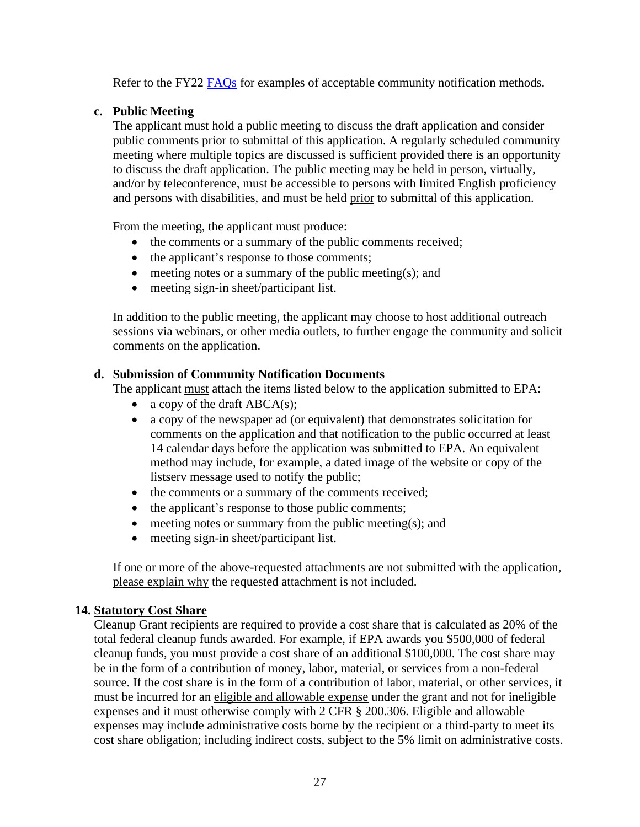Refer to the FY22 [FAQs](https://www.epa.gov/brownfields/frequently-asked-questions-about-multipurpose-assessment-rlf-and-cleanup-grants) for examples of acceptable community notification methods.

#### **c. Public Meeting**

The applicant must hold a public meeting to discuss the draft application and consider public comments prior to submittal of this application. A regularly scheduled community meeting where multiple topics are discussed is sufficient provided there is an opportunity to discuss the draft application. The public meeting may be held in person, virtually, and/or by teleconference, must be accessible to persons with limited English proficiency and persons with disabilities, and must be held prior to submittal of this application.

From the meeting, the applicant must produce:

- the comments or a summary of the public comments received;
- the applicant's response to those comments;
- meeting notes or a summary of the public meeting(s); and
- meeting sign-in sheet/participant list.

In addition to the public meeting, the applicant may choose to host additional outreach sessions via webinars, or other media outlets, to further engage the community and solicit comments on the application.

#### **d. Submission of Community Notification Documents**

The applicant must attach the items listed below to the application submitted to EPA:

- a copy of the draft  $ABCA(s)$ ;
- a copy of the newspaper ad (or equivalent) that demonstrates solicitation for comments on the application and that notification to the public occurred at least 14 calendar days before the application was submitted to EPA. An equivalent method may include, for example, a dated image of the website or copy of the listserv message used to notify the public;
- the comments or a summary of the comments received;
- the applicant's response to those public comments;
- meeting notes or summary from the public meeting(s); and
- meeting sign-in sheet/participant list.

If one or more of the above-requested attachments are not submitted with the application, please explain why the requested attachment is not included.

## <span id="page-26-0"></span>**14. Statutory Cost Share**

Cleanup Grant recipients are required to provide a cost share that is calculated as 20% of the total federal cleanup funds awarded. For example, if EPA awards you \$500,000 of federal cleanup funds, you must provide a cost share of an additional \$100,000. The cost share may be in the form of a contribution of money, labor, material, or services from a non-federal source. If the cost share is in the form of a contribution of labor, material, or other services, it must be incurred for an eligible and allowable expense under the grant and not for ineligible expenses and it must otherwise comply with 2 CFR § 200.306. Eligible and allowable expenses may include administrative costs borne by the recipient or a third-party to meet its cost share obligation; including indirect costs, subject to the 5% limit on administrative costs.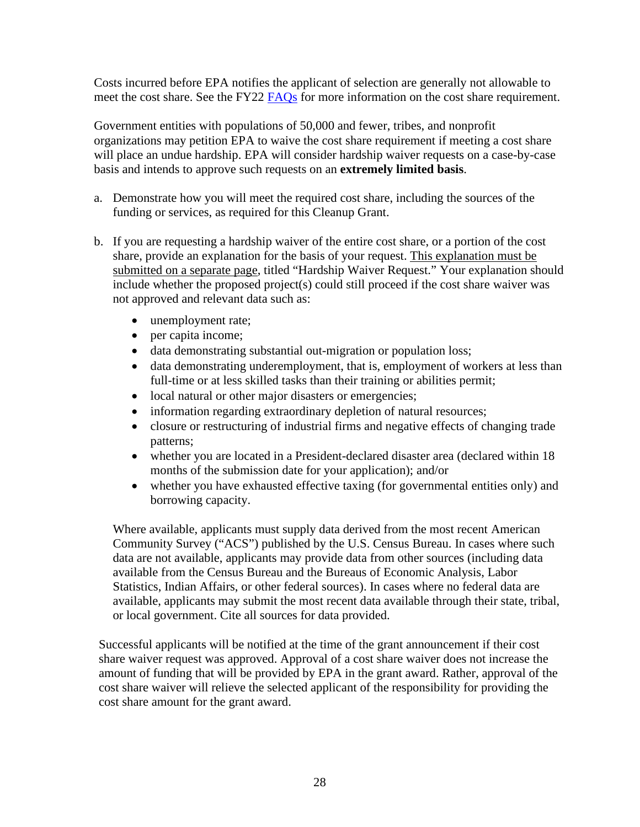Costs incurred before EPA notifies the applicant of selection are generally not allowable to meet the cost share. See the FY22 [FAQs](https://www.epa.gov/brownfields/frequently-asked-questions-about-multipurpose-assessment-rlf-and-cleanup-grants) for more information on the cost share requirement.

Government entities with populations of 50,000 and fewer, tribes, and nonprofit organizations may petition EPA to waive the cost share requirement if meeting a cost share will place an undue hardship. EPA will consider hardship waiver requests on a case-by-case basis and intends to approve such requests on an **extremely limited basis**.

- a. Demonstrate how you will meet the required cost share, including the sources of the funding or services, as required for this Cleanup Grant.
- b. If you are requesting a hardship waiver of the entire cost share, or a portion of the cost share, provide an explanation for the basis of your request. This explanation must be submitted on a separate page, titled "Hardship Waiver Request." Your explanation should include whether the proposed project(s) could still proceed if the cost share waiver was not approved and relevant data such as:
	- unemployment rate;
	- per capita income;
	- data demonstrating substantial out-migration or population loss;
	- data demonstrating underemployment, that is, employment of workers at less than full-time or at less skilled tasks than their training or abilities permit;
	- local natural or other major disasters or emergencies;
	- information regarding extraordinary depletion of natural resources;
	- closure or restructuring of industrial firms and negative effects of changing trade patterns;
	- whether you are located in a President-declared disaster area (declared within 18) months of the submission date for your application); and/or
	- whether you have exhausted effective taxing (for governmental entities only) and borrowing capacity.

Where available, applicants must supply data derived from the most recent American Community Survey ("ACS") published by the U.S. Census Bureau. In cases where such data are not available, applicants may provide data from other sources (including data available from the Census Bureau and the Bureaus of Economic Analysis, Labor Statistics, Indian Affairs, or other federal sources). In cases where no federal data are available, applicants may submit the most recent data available through their state, tribal, or local government. Cite all sources for data provided.

Successful applicants will be notified at the time of the grant announcement if their cost share waiver request was approved. Approval of a cost share waiver does not increase the amount of funding that will be provided by EPA in the grant award. Rather, approval of the cost share waiver will relieve the selected applicant of the responsibility for providing the cost share amount for the grant award.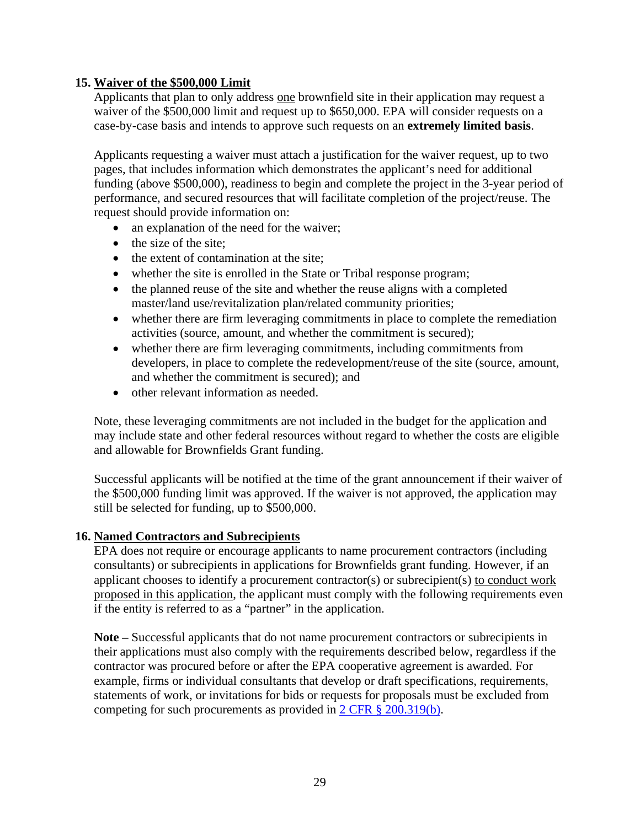#### <span id="page-28-1"></span>**15. Waiver of the \$500,000 Limit**

Applicants that plan to only address one brownfield site in their application may request a waiver of the \$500,000 limit and request up to \$650,000. EPA will consider requests on a case-by-case basis and intends to approve such requests on an **extremely limited basis**.

Applicants requesting a waiver must attach a justification for the waiver request, up to two pages, that includes information which demonstrates the applicant's need for additional funding (above \$500,000), readiness to begin and complete the project in the 3-year period of performance, and secured resources that will facilitate completion of the project/reuse. The request should provide information on:

- an explanation of the need for the waiver;
- the size of the site;
- the extent of contamination at the site;
- whether the site is enrolled in the State or Tribal response program;
- the planned reuse of the site and whether the reuse aligns with a completed master/land use/revitalization plan/related community priorities;
- whether there are firm leveraging commitments in place to complete the remediation activities (source, amount, and whether the commitment is secured);
- whether there are firm leveraging commitments, including commitments from developers, in place to complete the redevelopment/reuse of the site (source, amount, and whether the commitment is secured); and
- other relevant information as needed.

Note, these leveraging commitments are not included in the budget for the application and may include state and other federal resources without regard to whether the costs are eligible and allowable for Brownfields Grant funding.

Successful applicants will be notified at the time of the grant announcement if their waiver of the \$500,000 funding limit was approved. If the waiver is not approved, the application may still be selected for funding, up to \$500,000.

#### <span id="page-28-0"></span>**16. Named Contractors and Subrecipients**

EPA does not require or encourage applicants to name procurement contractors (including consultants) or subrecipients in applications for Brownfields grant funding. However, if an applicant chooses to identify a procurement contractor(s) or subrecipient(s) to conduct work proposed in this application, the applicant must comply with the following requirements even if the entity is referred to as a "partner" in the application.

**Note –** Successful applicants that do not name procurement contractors or subrecipients in their applications must also comply with the requirements described below, regardless if the contractor was procured before or after the EPA cooperative agreement is awarded. For example, firms or individual consultants that develop or draft specifications, requirements, statements of work, or invitations for bids or requests for proposals must be excluded from competing for such procurements as provided in [2 CFR § 200.319\(b\).](https://www.ecfr.gov/cgi-bin/text-idx?SID=e45d2457d8430f61b740da1f8449be00&mc=true&node=se2.1.200_1319&rgn=div8)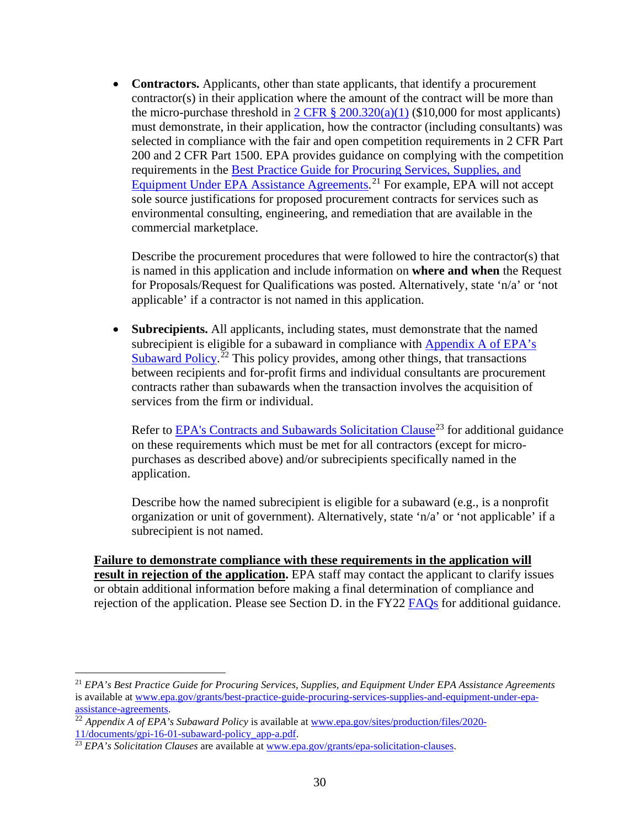• **Contractors.** Applicants, other than state applicants, that identify a procurement contractor(s) in their application where the amount of the contract will be more than the micro-purchase threshold in  $2 \text{ CFR } \frac{8}{9}$  200.320(a)(1) (\$10,000 for most applicants) must demonstrate, in their application, how the contractor (including consultants) was selected in compliance with the fair and open competition requirements in 2 CFR Part 200 and 2 CFR Part 1500. EPA provides guidance on complying with the competition requirements in the [Best Practice Guide for Procuring Services, Supplies, and](https://www.epa.gov/grants/best-practice-guide-procuring-services-supplies-and-equipment-under-epa-assistance-agreements)  [Equipment Under EPA Assistance Agreements.](https://www.epa.gov/grants/best-practice-guide-procuring-services-supplies-and-equipment-under-epa-assistance-agreements)<sup>[21](#page-29-0)</sup> For example, EPA will not accept sole source justifications for proposed procurement contracts for services such as environmental consulting, engineering, and remediation that are available in the commercial marketplace.

Describe the procurement procedures that were followed to hire the contractor(s) that is named in this application and include information on **where and when** the Request for Proposals/Request for Qualifications was posted. Alternatively, state 'n/a' or 'not applicable' if a contractor is not named in this application.

• **Subrecipients.** All applicants, including states, must demonstrate that the named subrecipient is eligible for a subaward in compliance with Appendix A of EPA's [Subaward Policy.](https://www.epa.gov/sites/production/files/2020-11/documents/gpi-16-01-subaward-policy_app-a.pdf)<sup>[22](#page-29-1)</sup> This policy provides, among other things, that transactions between recipients and for-profit firms and individual consultants are procurement contracts rather than subawards when the transaction involves the acquisition of services from the firm or individual.

Refer to [EPA's Contracts and Subawards Solicitation Clause](https://www.epa.gov/grants/epa-solicitation-clauses)<sup>[23](#page-29-2)</sup> for additional guidance on these requirements which must be met for all contractors (except for micropurchases as described above) and/or subrecipients specifically named in the application.

Describe how the named subrecipient is eligible for a subaward (e.g., is a nonprofit organization or unit of government). Alternatively, state 'n/a' or 'not applicable' if a subrecipient is not named.

**Failure to demonstrate compliance with these requirements in the application will result in rejection of the application.** EPA staff may contact the applicant to clarify issues or obtain additional information before making a final determination of compliance and rejection of the application. Please see Section D. in the FY22 [FAQs](https://www.epa.gov/brownfields/frequently-asked-questions-about-multipurpose-assessment-rlf-and-cleanup-grants) for additional guidance.

<span id="page-29-0"></span><sup>21</sup> *EPA's Best Practice Guide for Procuring Services, Supplies, and Equipment Under EPA Assistance Agreements* is available at www.epa.gov/grants/best-practice-guide-procuring-services-supplies-and-equipment-under-epa-<br>assistance-agreements.

<span id="page-29-1"></span><sup>&</sup>lt;sup>22</sup> *Appendix A of EPA's Subaward Policy* is available a[t www.epa.gov/sites/production/files/2020-](http://www.epa.gov/sites/production/files/2020-11/documents/gpi-16-01-subaward-policy_app-a.pdf) [11/documents/gpi-16-01-subaward-policy\\_app-a.pdf.](http://www.epa.gov/sites/production/files/2020-11/documents/gpi-16-01-subaward-policy_app-a.pdf) <sup>23</sup> *EPA's Solicitation Clauses* are available at <u>www.epa.gov/grants/epa-solicitation-clauses</u>.

<span id="page-29-2"></span>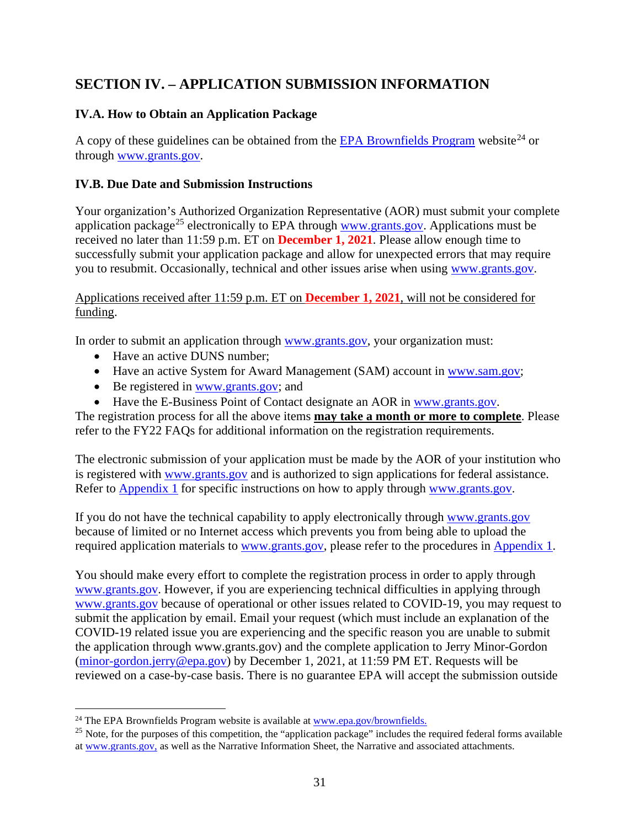# <span id="page-30-1"></span>**SECTION IV. – APPLICATION SUBMISSION INFORMATION**

## <span id="page-30-2"></span>**IV.A. How to Obtain an Application Package**

A copy of these guidelines can be obtained from the [EPA Brownfields Program](https://www.epa.gov/brownfields/multipurpose-assessment-rlf-and-cleanup-marc-grant-application-resources) website<sup>[24](#page-30-3)</sup> or through [www.grants.gov.](https://www.grants.gov/)

## <span id="page-30-0"></span>**IV.B. Due Date and Submission Instructions**

Your organization's Authorized Organization Representative (AOR) must submit your complete application package<sup>[25](#page-30-4)</sup> electronically to EPA through [www.grants.gov.](https://www.grants.gov/) Applications must be received no later than 11:59 p.m. ET on **December 1, 2021**. Please allow enough time to successfully submit your application package and allow for unexpected errors that may require you to resubmit. Occasionally, technical and other issues arise when using [www.grants.gov.](https://www.grants.gov/)

Applications received after 11:59 p.m. ET on **December 1, 2021**, will not be considered for funding.

In order to submit an application through [www.grants.gov,](https://www.grants.gov/) your organization must:

- Have an active DUNS number:
- Have an active System for Award Management (SAM) account in [www.sam.gov;](https://www.sam.gov/SAM/)
- Be registered in [www.grants.gov;](https://www.grants.gov/) and
- Have the E-Business Point of Contact designate an AOR in [www.grants.gov.](http://www.grants.gov/)

The registration process for all the above items **may take a month or more to complete**. Please refer to the FY22 FAQs for additional information on the registration requirements.

The electronic submission of your application must be made by the AOR of your institution who is registered with [www.grants.gov](https://www.grants.gov/) and is authorized to sign applications for federal assistance. Refer to [Appendix 1](#page-57-0) for specific instructions on how to apply through [www.grants.gov.](https://www.grants.gov/)

If you do not have the technical capability to apply electronically through [www.grants.gov](https://www.grants.gov/) because of limited or no Internet access which prevents you from being able to upload the required application materials to [www.grants.gov,](https://www.grants.gov/) please refer to the procedures in [Appendix 1.](#page-57-0)

You should make every effort to complete the registration process in order to apply through [www.grants.gov.](http://www.grants.gov/) However, if you are experiencing technical difficulties in applying through [www.grants.gov](http://www.grants.gov/) because of operational or other issues related to COVID-19, you may request to submit the application by email. Email your request (which must include an explanation of the COVID-19 related issue you are experiencing and the specific reason you are unable to submit the application through www.grants.gov) and the complete application to Jerry Minor-Gordon [\(minor-gordon.jerry@epa.gov\)](mailto:minor-gordon.jerry@epa.gov) by December 1, 2021, at 11:59 PM ET. Requests will be reviewed on a case-by-case basis. There is no guarantee EPA will accept the submission outside

<span id="page-30-3"></span> $24$  The EPA Brownfields Program website is available at  $www.epa.gov/brownfields.$ 

<span id="page-30-4"></span> $25$  Note, for the purposes of this competition, the "application package" includes the required federal forms available a[t www.grants.gov,](https://www.grants.gov/) as well as the Narrative Information Sheet, the Narrative and associated attachments.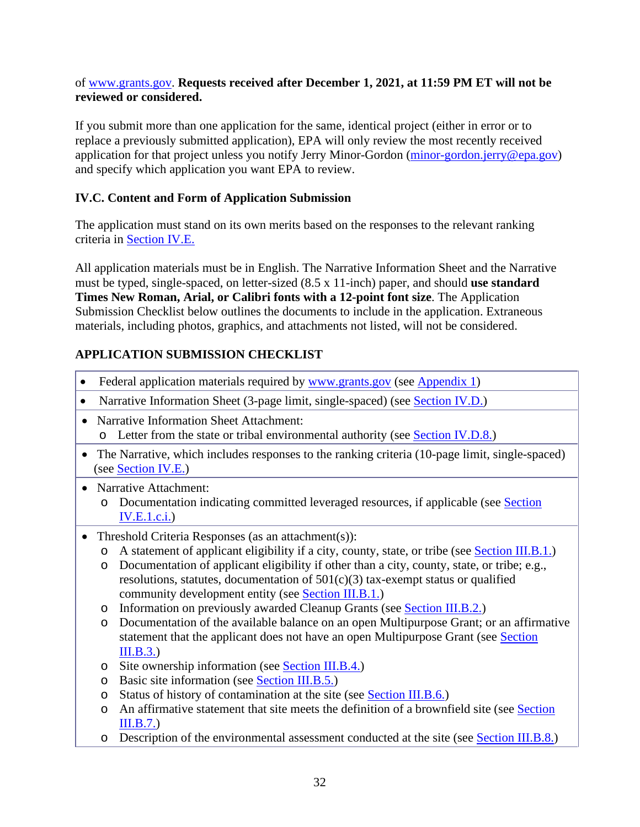#### of [www.grants.gov.](http://www.grants.gov/) **Requests received after December 1, 2021, at 11:59 PM ET will not be reviewed or considered.**

If you submit more than one application for the same, identical project (either in error or to replace a previously submitted application), EPA will only review the most recently received application for that project unless you notify Jerry Minor-Gordon [\(minor-gordon.jerry@epa.gov\)](mailto:minor-gordon.jerry@epa.gov) and specify which application you want EPA to review.

## <span id="page-31-0"></span>**IV.C. Content and Form of Application Submission**

The application must stand on its own merits based on the responses to the relevant ranking criteria in [Section IV.E.](#page-34-0) 

All application materials must be in English. The Narrative Information Sheet and the Narrative must be typed, single-spaced, on letter-sized (8.5 x 11-inch) paper, and should **use standard Times New Roman, Arial, or Calibri fonts with a 12-point font size**. The Application Submission Checklist below outlines the documents to include in the application. Extraneous materials, including photos, graphics, and attachments not listed, will not be considered.

## **APPLICATION SUBMISSION CHECKLIST**

- Federal application materials required by www.grants.gov (see [Appendix 1\)](#page-57-0)
- Narrative Information Sheet (3-page limit, single-spaced) (see [Section IV.D.\)](#page-12-0)
- Narrative Information Sheet Attachment: o Letter from the state or tribal environmental authority (see [Section IV.D.8.\)](#page-34-1)
- The Narrative, which includes responses to the ranking criteria (10-page limit, single-spaced) (see [Section IV.E.\)](#page-34-0)
- Narrative Attachment:
	- o Documentation indicating committed leveraged resources, if applicable (see [Section](#page-36-1)  [IV.E.1.c.i.\)](#page-36-1)
- Threshold Criteria Responses (as an attachment(s)):
	- o A statement of applicant eligibility if a city, county, state, or tribe (see [Section III.B.1.\)](#page-12-0)
	- o Documentation of applicant eligibility if other than a city, county, state, or tribe; e.g., resolutions, statutes, documentation of 501(c)(3) tax-exempt status or qualified community development entity (see [Section III.B.1.\)](#page-12-0)
	- o Information on previously awarded Cleanup Grants (see [Section III.B.2.\)](#page-12-1)
	- o Documentation of the available balance on an open Multipurpose Grant; or an affirmative statement that the applicant does not have an open Multipurpose Grant (see Section [III.B.3.\)](#page-12-2)
	- o Site ownership information (see [Section III.B.4.\)](#page-13-0)
	- o Basic site information (see [Section III.B.5.\)](#page-13-2)
	- o Status of history of contamination at the site (see [Section III.B.6.\)](#page-13-3)
	- o An affirmative statement that site meets the definition of a brownfield site (see [Section](#page-13-4)  [III.B.7.\)](#page-13-4)
	- o Description of the environmental assessment conducted at the site (see [Section III.B.8.\)](#page-14-0)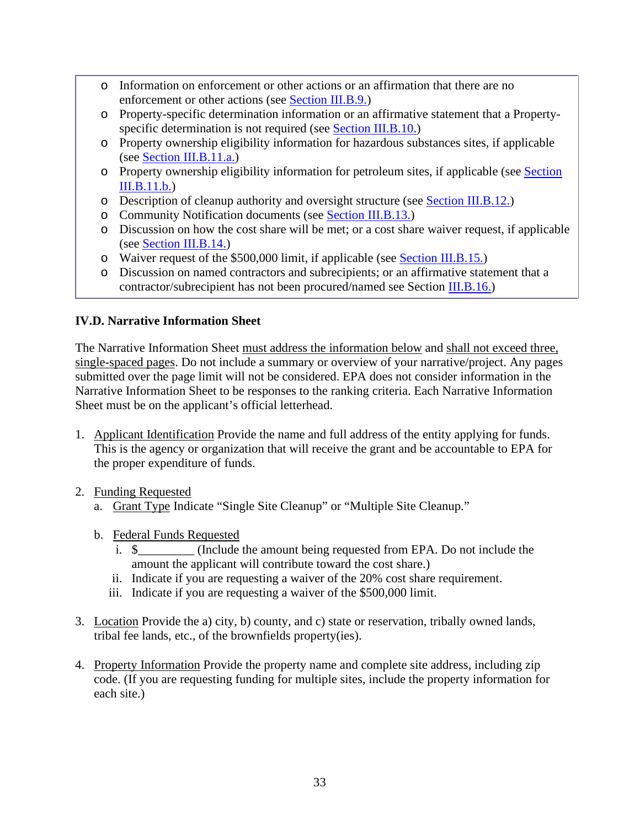- o Information on enforcement or other actions or an affirmation that there are no enforcement or other actions (see [Section III.B.9.\)](#page-14-1)
- o Property-specific determination information or an affirmative statement that a Property-specific determination is not required (see [Section III.B.10.\)](#page-14-2)
- o Property ownership eligibility information for hazardous substances sites, if applicable (see [Section III.B.11.a.\)](#page-16-2)
- o Property ownership eligibility information for petroleum sites, if applicable (see [Section](#page-22-2)  [III.B.11.b.\)](#page-22-2)
- o Description of cleanup authority and oversight structure (see [Section III.B.12.\)](#page-24-0)
- o Community Notification documents (see [Section III.B.13.\)](#page-24-1)
- o Discussion on how the cost share will be met; or a cost share waiver request, if applicable (see [Section III.B.14.\)](#page-26-0)
- o Waiver request of the \$500,000 limit, if applicable (see [Section III.B.15.\)](#page-28-1)
- o Discussion on named contractors and subrecipients; or an affirmative statement that a contractor/subrecipient has not been procured/named see Section **III.B.16.**)

## <span id="page-32-0"></span>**IV.D. Narrative Information Sheet**

The Narrative Information Sheet must address the information below and shall not exceed three, single-spaced pages. Do not include a summary or overview of your narrative/project. Any pages submitted over the page limit will not be considered. EPA does not consider information in the Narrative Information Sheet to be responses to the ranking criteria. Each Narrative Information Sheet must be on the applicant's official letterhead.

- 1. Applicant Identification Provide the name and full address of the entity applying for funds. This is the agency or organization that will receive the grant and be accountable to EPA for the proper expenditure of funds.
- 2. Funding Requested
	- a. Grant Type Indicate "Single Site Cleanup" or "Multiple Site Cleanup."
	- b. Federal Funds Requested
		- i. \$\_\_\_\_\_\_\_\_\_ (Include the amount being requested from EPA. Do not include the amount the applicant will contribute toward the cost share.)
		- ii. Indicate if you are requesting a waiver of the 20% cost share requirement.
		- iii. Indicate if you are requesting a waiver of the \$500,000 limit.
- 3. Location Provide the a) city, b) county, and c) state or reservation, tribally owned lands, tribal fee lands, etc., of the brownfields property(ies).
- 4. Property Information Provide the property name and complete site address, including zip code. (If you are requesting funding for multiple sites, include the property information for each site.)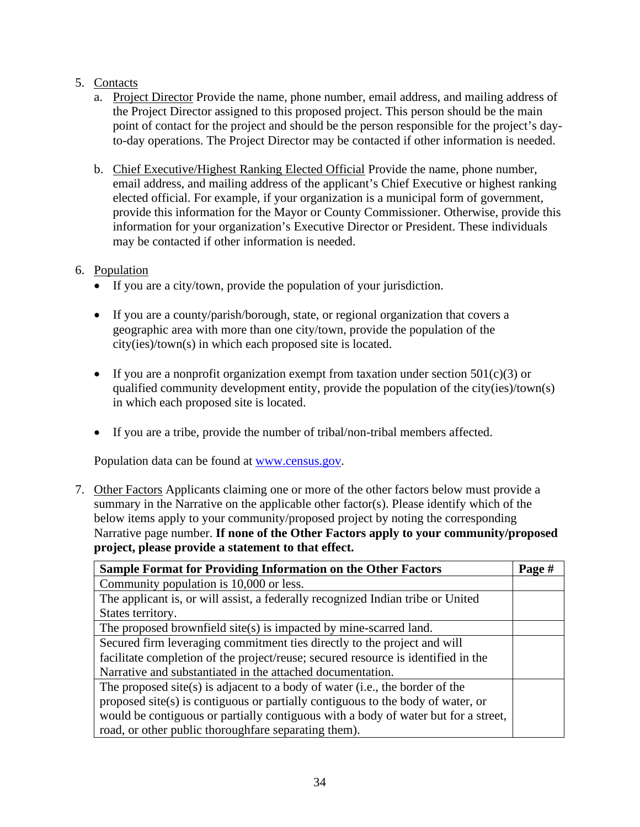## 5. Contacts

- a. Project Director Provide the name, phone number, email address, and mailing address of the Project Director assigned to this proposed project. This person should be the main point of contact for the project and should be the person responsible for the project's dayto-day operations. The Project Director may be contacted if other information is needed.
- b. Chief Executive/Highest Ranking Elected Official Provide the name, phone number, email address, and mailing address of the applicant's Chief Executive or highest ranking elected official. For example, if your organization is a municipal form of government, provide this information for the Mayor or County Commissioner. Otherwise, provide this information for your organization's Executive Director or President. These individuals may be contacted if other information is needed.

## 6. Population

- If you are a city/town, provide the population of your jurisdiction.
- If you are a county/parish/borough, state, or regional organization that covers a geographic area with more than one city/town, provide the population of the city(ies)/town(s) in which each proposed site is located.
- If you are a nonprofit organization exempt from taxation under section  $501(c)(3)$  or qualified community development entity, provide the population of the city(ies)/town(s) in which each proposed site is located.
- If you are a tribe, provide the number of tribal/non-tribal members affected.

Population data can be found at www.census.gov.

7. Other Factors Applicants claiming one or more of the other factors below must provide a summary in the Narrative on the applicable other factor(s). Please identify which of the below items apply to your community/proposed project by noting the corresponding Narrative page number. **If none of the Other Factors apply to your community/proposed project, please provide a statement to that effect.**

| <b>Sample Format for Providing Information on the Other Factors</b>                |  |  |
|------------------------------------------------------------------------------------|--|--|
| Community population is 10,000 or less.                                            |  |  |
| The applicant is, or will assist, a federally recognized Indian tribe or United    |  |  |
| States territory.                                                                  |  |  |
| The proposed brownfield site(s) is impacted by mine-scarred land.                  |  |  |
| Secured firm leveraging commitment ties directly to the project and will           |  |  |
| facilitate completion of the project/reuse; secured resource is identified in the  |  |  |
| Narrative and substantiated in the attached documentation.                         |  |  |
| The proposed site(s) is adjacent to a body of water (i.e., the border of the       |  |  |
| proposed site(s) is contiguous or partially contiguous to the body of water, or    |  |  |
| would be contiguous or partially contiguous with a body of water but for a street, |  |  |
| road, or other public thorough fare separating them.                               |  |  |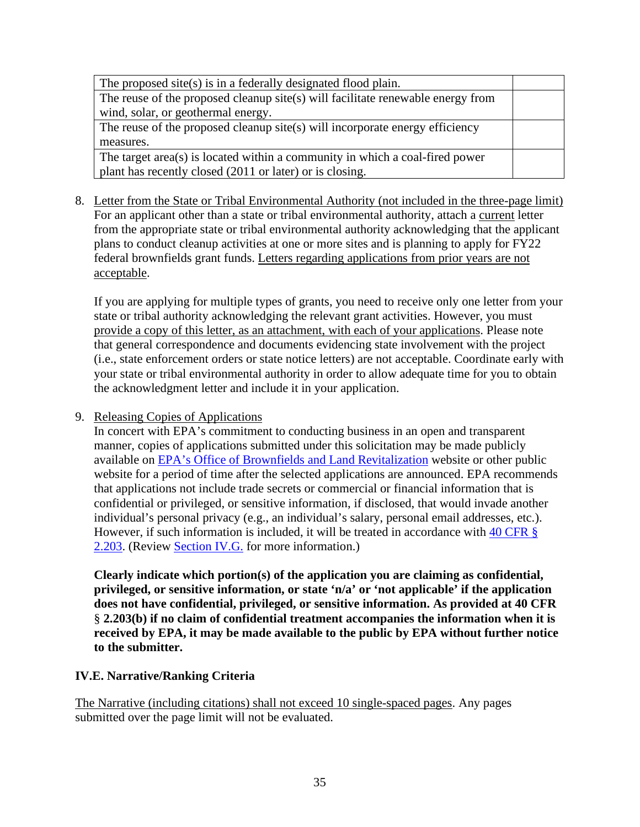| The proposed site(s) is in a federally designated flood plain.                  |  |
|---------------------------------------------------------------------------------|--|
| The reuse of the proposed cleanup site(s) will facilitate renewable energy from |  |
| wind, solar, or geothermal energy.                                              |  |
| The reuse of the proposed cleanup site(s) will incorporate energy efficiency    |  |
| measures.                                                                       |  |
| The target area(s) is located within a community in which a coal-fired power    |  |
| plant has recently closed (2011 or later) or is closing.                        |  |

<span id="page-34-1"></span>8. Letter from the State or Tribal Environmental Authority (not included in the three-page limit) For an applicant other than a state or tribal environmental authority, attach a current letter from the appropriate state or tribal environmental authority acknowledging that the applicant plans to conduct cleanup activities at one or more sites and is planning to apply for FY22 federal brownfields grant funds. Letters regarding applications from prior years are not acceptable.

If you are applying for multiple types of grants, you need to receive only one letter from your state or tribal authority acknowledging the relevant grant activities. However, you must provide a copy of this letter, as an attachment, with each of your applications. Please note that general correspondence and documents evidencing state involvement with the project (i.e., state enforcement orders or state notice letters) are not acceptable. Coordinate early with your state or tribal environmental authority in order to allow adequate time for you to obtain the acknowledgment letter and include it in your application.

9. Releasing Copies of Applications

In concert with EPA's commitment to conducting business in an open and transparent manner, copies of applications submitted under this solicitation may be made publicly available on EPA's Office of Brownfields [and Land Revitalization](http://www.epa.gov/brownfields) website or other public website for a period of time after the selected applications are announced. EPA recommends that applications not include trade secrets or commercial or financial information that is confidential or privileged, or sensitive information, if disclosed, that would invade another individual's personal privacy (e.g., an individual's salary, personal email addresses, etc.). However, if such information is included, it will be treated in accordance with [40 CFR §](https://www.ecfr.gov/cgi-bin/text-idx?SID=df0298e9bb3c2b42c5e5f4f2454a6eb6&mc=true&node=se40.1.2_1203&rgn=div8)  [2.203.](https://www.ecfr.gov/cgi-bin/text-idx?SID=df0298e9bb3c2b42c5e5f4f2454a6eb6&mc=true&node=se40.1.2_1203&rgn=div8) (Review Section IV.G. for more information.)

**Clearly indicate which portion(s) of the application you are claiming as confidential, privileged, or sensitive information, or state 'n/a' or 'not applicable' if the application does not have confidential, privileged, or sensitive information. As provided at 40 CFR**  § **2.203(b) if no claim of confidential treatment accompanies the information when it is received by EPA, it may be made available to the public by EPA without further notice to the submitter.**

#### <span id="page-34-0"></span>**IV.E. Narrative/Ranking Criteria**

The Narrative (including citations) shall not exceed 10 single-spaced pages. Any pages submitted over the page limit will not be evaluated.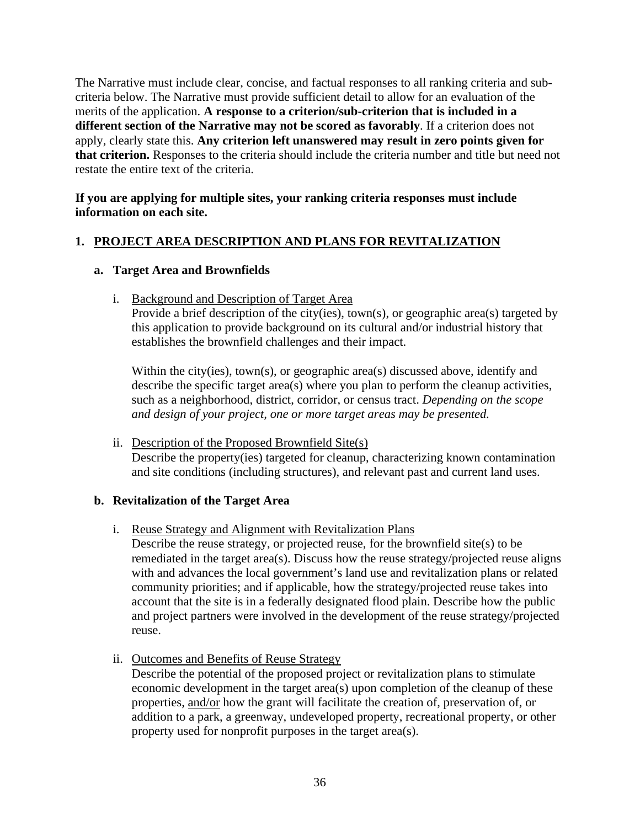The Narrative must include clear, concise, and factual responses to all ranking criteria and subcriteria below. The Narrative must provide sufficient detail to allow for an evaluation of the merits of the application. **A response to a criterion/sub-criterion that is included in a different section of the Narrative may not be scored as favorably**. If a criterion does not apply, clearly state this. **Any criterion left unanswered may result in zero points given for that criterion.** Responses to the criteria should include the criteria number and title but need not restate the entire text of the criteria.

#### **If you are applying for multiple sites, your ranking criteria responses must include information on each site.**

## <span id="page-35-0"></span>**1. PROJECT AREA DESCRIPTION AND PLANS FOR REVITALIZATION**

#### **a. Target Area and Brownfields**

i. Background and Description of Target Area

Provide a brief description of the city(ies), town(s), or geographic area(s) targeted by this application to provide background on its cultural and/or industrial history that establishes the brownfield challenges and their impact.

Within the city(ies), town(s), or geographic area(s) discussed above, identify and describe the specific target area(s) where you plan to perform the cleanup activities, such as a neighborhood, district, corridor, or census tract. *Depending on the scope and design of your project, one or more target areas may be presented.*

ii. Description of the Proposed Brownfield Site(s) Describe the property(ies) targeted for cleanup, characterizing known contamination and site conditions (including structures), and relevant past and current land uses.

#### **b. Revitalization of the Target Area**

i. Reuse Strategy and Alignment with Revitalization Plans

Describe the reuse strategy, or projected reuse, for the brownfield site(s) to be remediated in the target area(s). Discuss how the reuse strategy/projected reuse aligns with and advances the local government's land use and revitalization plans or related community priorities; and if applicable, how the strategy/projected reuse takes into account that the site is in a federally designated flood plain. Describe how the public and project partners were involved in the development of the reuse strategy/projected reuse.

ii. Outcomes and Benefits of Reuse Strategy

Describe the potential of the proposed project or revitalization plans to stimulate economic development in the target area(s) upon completion of the cleanup of these properties, and/or how the grant will facilitate the creation of, preservation of, or addition to a park, a greenway, undeveloped property, recreational property, or other property used for nonprofit purposes in the target area(s).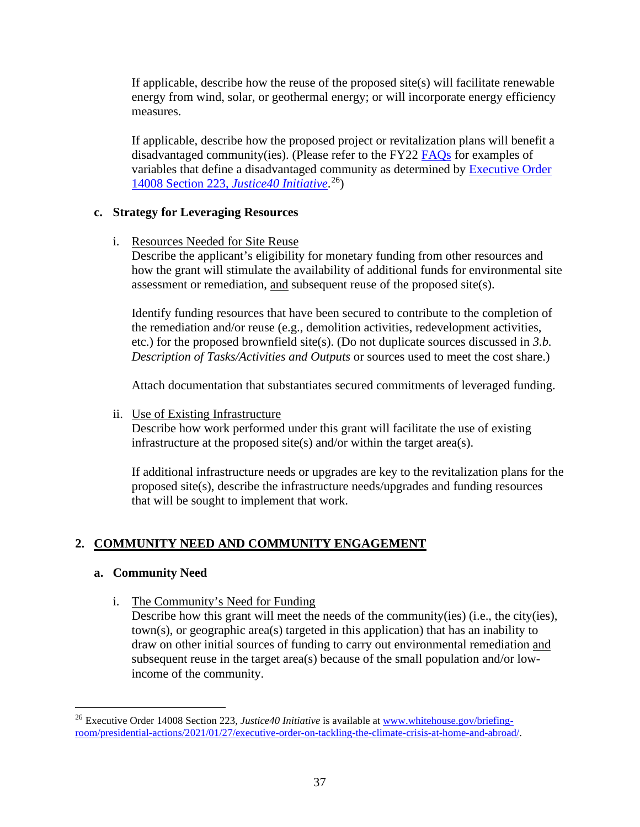If applicable, describe how the reuse of the proposed site(s) will facilitate renewable energy from wind, solar, or geothermal energy; or will incorporate energy efficiency measures.

If applicable, describe how the proposed project or revitalization plans will benefit a disadvantaged community(ies). (Please refer to the FY22 [FAQs](https://www.epa.gov/brownfields/frequently-asked-questions-about-multipurpose-assessment-rlf-and-cleanup-grants) for examples of variables that define a disadvantaged community as determined by [Executive Order](https://www.whitehouse.gov/briefing-room/presidential-actions/2021/01/27/executive-order-on-tackling-the-climate-crisis-at-home-and-abroad/)  [14008 Section 223,](https://www.whitehouse.gov/briefing-room/presidential-actions/2021/01/27/executive-order-on-tackling-the-climate-crisis-at-home-and-abroad/) *Justice40 Initiative*. [26](#page-36-2))

#### <span id="page-36-1"></span>**c. Strategy for Leveraging Resources**

i. Resources Needed for Site Reuse

Describe the applicant's eligibility for monetary funding from other resources and how the grant will stimulate the availability of additional funds for environmental site assessment or remediation, and subsequent reuse of the proposed site(s).

Identify funding resources that have been secured to contribute to the completion of the remediation and/or reuse (e.g., demolition activities, redevelopment activities, etc.) for the proposed brownfield site(s). (Do not duplicate sources discussed in *3.b. Description of Tasks/Activities and Outputs* or sources used to meet the cost share.)

Attach documentation that substantiates secured commitments of leveraged funding.

ii. Use of Existing Infrastructure

Describe how work performed under this grant will facilitate the use of existing infrastructure at the proposed site(s) and/or within the target area(s).

If additional infrastructure needs or upgrades are key to the revitalization plans for the proposed site(s), describe the infrastructure needs/upgrades and funding resources that will be sought to implement that work.

## <span id="page-36-0"></span>**2. COMMUNITY NEED AND COMMUNITY ENGAGEMENT**

#### **a. Community Need**

i. The Community's Need for Funding

Describe how this grant will meet the needs of the community(ies) (i.e., the city(ies), town(s), or geographic area(s) targeted in this application) that has an inability to draw on other initial sources of funding to carry out environmental remediation and subsequent reuse in the target area(s) because of the small population and/or lowincome of the community.

<span id="page-36-2"></span><sup>&</sup>lt;sup>26</sup> Executive Order 14008 Section 223, *Justice40 Initiative* is available at [www.whitehouse.gov/briefing](https://www.whitehouse.gov/briefing-room/presidential-actions/2021/01/27/executive-order-on-tackling-the-climate-crisis-at-home-and-abroad/)[room/presidential-actions/2021/01/27/executive-order-on-tackling-the-climate-crisis-at-home-and-abroad/.](https://www.whitehouse.gov/briefing-room/presidential-actions/2021/01/27/executive-order-on-tackling-the-climate-crisis-at-home-and-abroad/)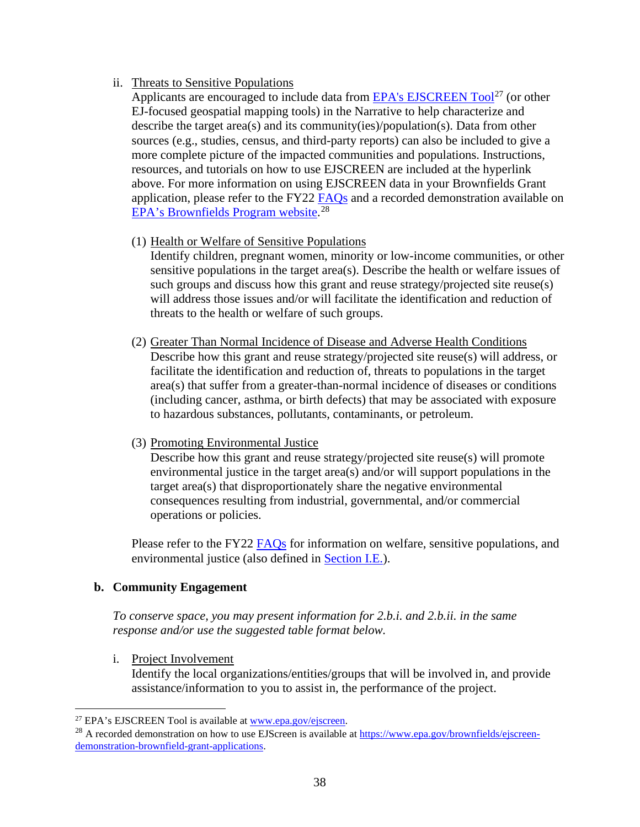#### ii. Threats to Sensitive Populations

Applicants are encouraged to include data from EPA's EJSCREEN  $Tool^{27}$  $Tool^{27}$  $Tool^{27}$  (or other EJ-focused geospatial mapping tools) in the Narrative to help characterize and describe the target area(s) and its community(ies)/population(s). Data from other sources (e.g., studies, census, and third-party reports) can also be included to give a more complete picture of the impacted communities and populations. Instructions, resources, and tutorials on how to use EJSCREEN are included at the hyperlink above. For more information on using EJSCREEN data in your Brownfields Grant application, please refer to the FY22 [FAQs](https://www.epa.gov/brownfields/frequently-asked-questions-about-multipurpose-assessment-rlf-and-cleanup-grants) and a recorded demonstration available on [EPA's Brownfields Program website.](https://www.epa.gov/brownfields/ejscreen-demonstration-brownfield-grant-applications)<sup>[28](#page-37-1)</sup>

(1) Health or Welfare of Sensitive Populations

Identify children, pregnant women, minority or low-income communities, or other sensitive populations in the target area(s). Describe the health or welfare issues of such groups and discuss how this grant and reuse strategy/projected site reuse(s) will address those issues and/or will facilitate the identification and reduction of threats to the health or welfare of such groups.

- (2) Greater Than Normal Incidence of Disease and Adverse Health Conditions Describe how this grant and reuse strategy/projected site reuse(s) will address, or facilitate the identification and reduction of, threats to populations in the target area(s) that suffer from a greater-than-normal incidence of diseases or conditions (including cancer, asthma, or birth defects) that may be associated with exposure to hazardous substances, pollutants, contaminants, or petroleum.
- (3) Promoting Environmental Justice

Describe how this grant and reuse strategy/projected site reuse(s) will promote environmental justice in the target area(s) and/or will support populations in the target area(s) that disproportionately share the negative environmental consequences resulting from industrial, governmental, and/or commercial operations or policies.

Please refer to the FY22 [FAQs](https://www.epa.gov/brownfields/frequently-asked-questions-about-multipurpose-assessment-rlf-and-cleanup-grants) for information on welfare, sensitive populations, and environmental justice (also defined in [Section I.E.\)](#page-7-0).

#### <span id="page-37-2"></span>**b. Community Engagement**

*To conserve space, you may present information for 2.b.i. and 2.b.ii. in the same response and/or use the suggested table format below.*

i. Project Involvement

Identify the local organizations/entities/groups that will be involved in, and provide assistance/information to you to assist in, the performance of the project.

<span id="page-37-1"></span><span id="page-37-0"></span><sup>&</sup>lt;sup>27</sup> EPA's EJSCREEN Tool is available at <u>www.epa.gov/ejscreen</u>.<br><sup>28</sup> A recorded demonstration on how to use EJScreen is available at [https://www.epa.gov/brownfields/ejscreen](https://www.epa.gov/brownfields/ejscreen-demonstration-brownfield-grant-applications)[demonstration-brownfield-grant-applications.](https://www.epa.gov/brownfields/ejscreen-demonstration-brownfield-grant-applications)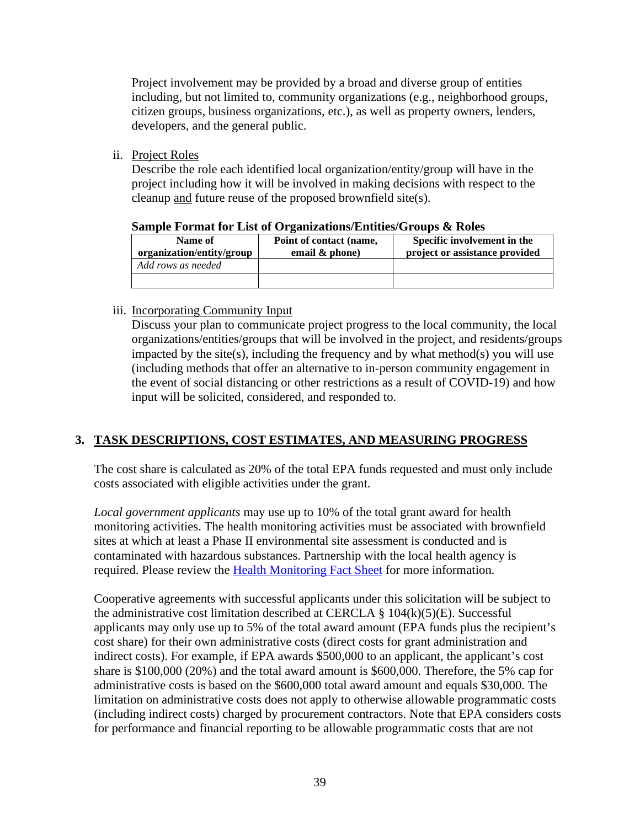Project involvement may be provided by a broad and diverse group of entities including, but not limited to, community organizations (e.g., neighborhood groups, citizen groups, business organizations, etc.), as well as property owners, lenders, developers, and the general public.

ii. Project Roles

Describe the role each identified local organization/entity/group will have in the project including how it will be involved in making decisions with respect to the cleanup and future reuse of the proposed brownfield site(s).

| Name of<br>organization/entity/group | Point of contact (name,<br>email $\&$ phone) | Specific involvement in the<br>project or assistance provided |  |  |
|--------------------------------------|----------------------------------------------|---------------------------------------------------------------|--|--|
| Add rows as needed                   |                                              |                                                               |  |  |
|                                      |                                              |                                                               |  |  |

#### **Sample Format for List of Organizations/Entities/Groups & Roles**

#### iii. Incorporating Community Input

Discuss your plan to communicate project progress to the local community, the local organizations/entities/groups that will be involved in the project, and residents/groups impacted by the site(s), including the frequency and by what method(s) you will use (including methods that offer an alternative to in-person community engagement in the event of social distancing or other restrictions as a result of COVID-19) and how input will be solicited, considered, and responded to.

## <span id="page-38-0"></span>**3. TASK DESCRIPTIONS, COST ESTIMATES, AND MEASURING PROGRESS**

The cost share is calculated as 20% of the total EPA funds requested and must only include costs associated with eligible activities under the grant.

*Local government applicants* may use up to 10% of the total grant award for health monitoring activities. The health monitoring activities must be associated with brownfield sites at which at least a Phase II environmental site assessment is conducted and is contaminated with hazardous substances. Partnership with the local health agency is required. Please review the [Health Monitoring Fact Sheet](https://www.epa.gov/brownfields/brownfields-public-health-and-health-monitoring) for more information.

Cooperative agreements with successful applicants under this solicitation will be subject to the administrative cost limitation described at CERCLA  $\S$  104(k)(5)(E). Successful applicants may only use up to 5% of the total award amount (EPA funds plus the recipient's cost share) for their own administrative costs (direct costs for grant administration and indirect costs). For example, if EPA awards \$500,000 to an applicant, the applicant's cost share is \$100,000 (20%) and the total award amount is \$600,000. Therefore, the 5% cap for administrative costs is based on the \$600,000 total award amount and equals \$30,000. The limitation on administrative costs does not apply to otherwise allowable programmatic costs (including indirect costs) charged by procurement contractors. Note that EPA considers costs for performance and financial reporting to be allowable programmatic costs that are not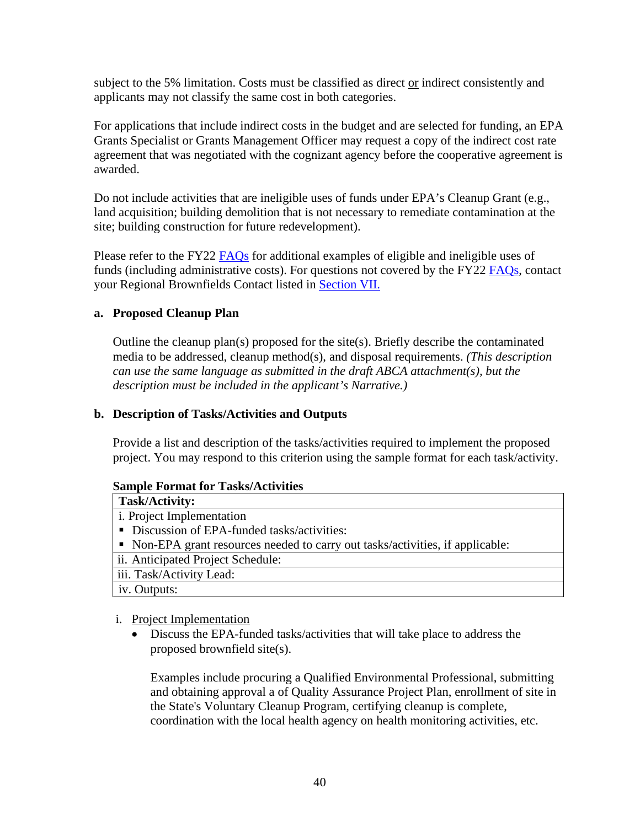subject to the 5% limitation. Costs must be classified as direct or indirect consistently and applicants may not classify the same cost in both categories.

For applications that include indirect costs in the budget and are selected for funding, an EPA Grants Specialist or Grants Management Officer may request a copy of the indirect cost rate agreement that was negotiated with the cognizant agency before the cooperative agreement is awarded.

Do not include activities that are ineligible uses of funds under EPA's Cleanup Grant (e.g., land acquisition; building demolition that is not necessary to remediate contamination at the site; building construction for future redevelopment).

Please refer to the FY22 [FAQs](https://www.epa.gov/brownfields/frequently-asked-questions-about-multipurpose-assessment-rlf-and-cleanup-grants) for additional examples of eligible and ineligible uses of funds (including administrative costs). For questions not covered by the FY22 [FAQs,](https://www.epa.gov/brownfields/frequently-asked-questions-about-multipurpose-assessment-rlf-and-cleanup-grants) contact your Regional Brownfields Contact listed in [Section VII.](#page-56-0)

#### **a. Proposed Cleanup Plan**

Outline the cleanup plan(s) proposed for the site(s). Briefly describe the contaminated media to be addressed, cleanup method(s), and disposal requirements. *(This description can use the same language as submitted in the draft ABCA attachment(s), but the description must be included in the applicant's Narrative.)* 

#### <span id="page-39-0"></span>**b. Description of Tasks/Activities and Outputs**

Provide a list and description of the tasks/activities required to implement the proposed project. You may respond to this criterion using the sample format for each task/activity.

#### **Sample Format for Tasks/Activities**

| <b>Task/Activity:</b>                                                          |
|--------------------------------------------------------------------------------|
| <i>i</i> . Project Implementation                                              |
| • Discussion of EPA-funded tasks/activities:                                   |
| • Non-EPA grant resources needed to carry out tasks/activities, if applicable: |
| ii. Anticipated Project Schedule:                                              |
| iii. Task/Activity Lead:                                                       |
| iv. Outputs:                                                                   |

#### i. Project Implementation

• Discuss the EPA-funded tasks/activities that will take place to address the proposed brownfield site(s).

Examples include procuring a Qualified Environmental Professional, submitting and obtaining approval a of Quality Assurance Project Plan, enrollment of site in the State's Voluntary Cleanup Program, certifying cleanup is complete, coordination with the local health agency on health monitoring activities, etc.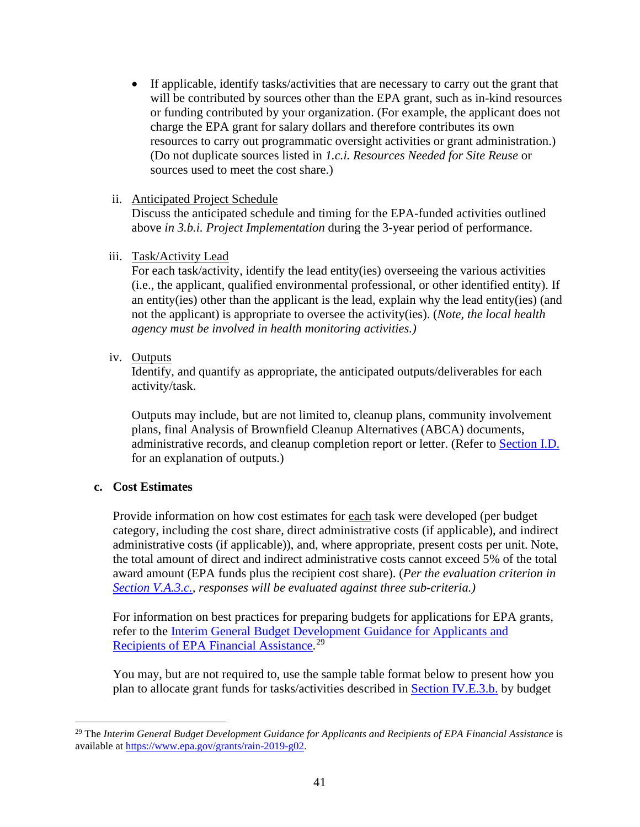• If applicable, identify tasks/activities that are necessary to carry out the grant that will be contributed by sources other than the EPA grant, such as in-kind resources or funding contributed by your organization. (For example, the applicant does not charge the EPA grant for salary dollars and therefore contributes its own resources to carry out programmatic oversight activities or grant administration.) (Do not duplicate sources listed in *1.c.i. Resources Needed for Site Reuse* or sources used to meet the cost share.)

#### ii. Anticipated Project Schedule

Discuss the anticipated schedule and timing for the EPA-funded activities outlined above *in 3.b.i. Project Implementation* during the 3-year period of performance.

#### iii. Task/Activity Lead

For each task/activity, identify the lead entity(ies) overseeing the various activities (i.e., the applicant, qualified environmental professional, or other identified entity). If an entity(ies) other than the applicant is the lead, explain why the lead entity(ies) (and not the applicant) is appropriate to oversee the activity(ies). (*Note, the local health agency must be involved in health monitoring activities.)*

iv. Outputs

Identify, and quantify as appropriate, the anticipated outputs/deliverables for each activity/task.

Outputs may include, but are not limited to, cleanup plans, community involvement plans, final Analysis of Brownfield Cleanup Alternatives (ABCA) documents, administrative records, and cleanup completion report or letter. (Refer to [Section I.D.](#page-6-1) for an explanation of outputs.)

#### <span id="page-40-1"></span>**c. Cost Estimates**

Provide information on how cost estimates for each task were developed (per budget category, including the cost share, direct administrative costs (if applicable), and indirect administrative costs (if applicable)), and, where appropriate, present costs per unit. Note, the total amount of direct and indirect administrative costs cannot exceed 5% of the total award amount (EPA funds plus the recipient cost share). (*Per the evaluation criterion in [Section V.A.3.c.,](#page-49-0) responses will be evaluated against three sub-criteria.)*

For information on best practices for preparing budgets for applications for EPA grants, refer to the [Interim General Budget Development Guidance for Applicants and](https://www.epa.gov/grants/rain-2019-g02)  [Recipients of EPA Financial Assistance.](https://www.epa.gov/grants/rain-2019-g02)<sup>[29](#page-40-0)</sup>

You may, but are not required to, use the sample table format below to present how you plan to allocate grant funds for tasks/activities described in [Section IV.E.3.b.](#page-39-0) by budget

<span id="page-40-0"></span><sup>&</sup>lt;sup>29</sup> The *Interim General Budget Development Guidance for Applicants and Recipients of EPA Financial Assistance is* available at [https://www.epa.gov/grants/rain-2019-g02.](https://www.epa.gov/grants/rain-2019-g02)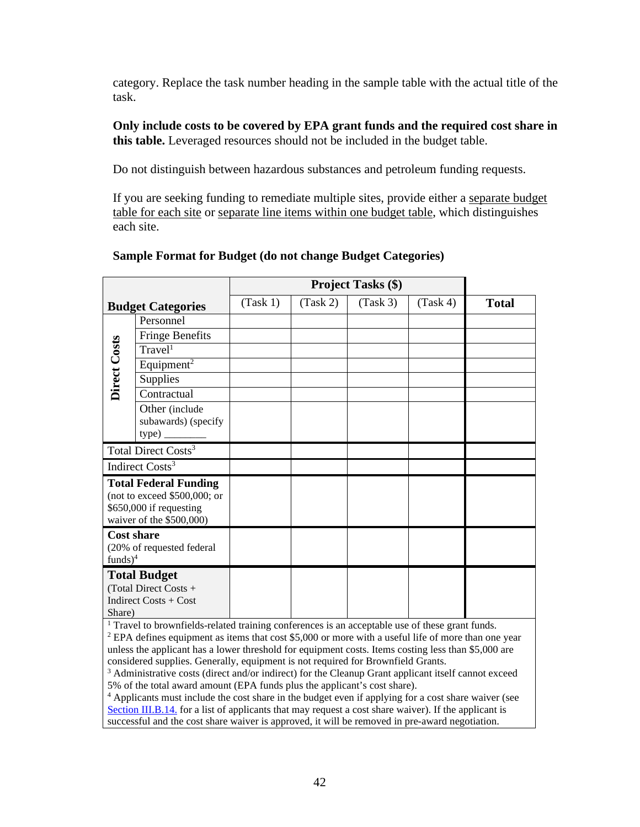category. Replace the task number heading in the sample table with the actual title of the task.

**Only include costs to be covered by EPA grant funds and the required cost share in this table.** Leveraged resources should not be included in the budget table.

Do not distinguish between hazardous substances and petroleum funding requests.

If you are seeking funding to remediate multiple sites, provide either a separate budget table for each site or separate line items within one budget table, which distinguishes each site.

|                                                                                                                       |                                                 | <b>Project Tasks (\$)</b> |          |          |          |              |
|-----------------------------------------------------------------------------------------------------------------------|-------------------------------------------------|---------------------------|----------|----------|----------|--------------|
|                                                                                                                       | <b>Budget Categories</b>                        | (Task 1)                  | (Task 2) | (Task 3) | (Task 4) | <b>Total</b> |
| Direct Costs                                                                                                          | Personnel                                       |                           |          |          |          |              |
|                                                                                                                       | <b>Fringe Benefits</b>                          |                           |          |          |          |              |
|                                                                                                                       | Travel <sup>1</sup>                             |                           |          |          |          |              |
|                                                                                                                       | Equipment <sup>2</sup>                          |                           |          |          |          |              |
|                                                                                                                       | <b>Supplies</b>                                 |                           |          |          |          |              |
|                                                                                                                       | Contractual                                     |                           |          |          |          |              |
|                                                                                                                       | Other (include<br>subawards) (specify<br>type). |                           |          |          |          |              |
| Total Direct Costs <sup>3</sup>                                                                                       |                                                 |                           |          |          |          |              |
| Indirect Costs <sup>3</sup>                                                                                           |                                                 |                           |          |          |          |              |
| <b>Total Federal Funding</b><br>(not to exceed $$500,000$ ; or<br>\$650,000 if requesting<br>waiver of the \$500,000) |                                                 |                           |          |          |          |              |
| <b>Cost share</b><br>(20% of requested federal                                                                        |                                                 |                           |          |          |          |              |
| $funds)^4$                                                                                                            |                                                 |                           |          |          |          |              |
| <b>Total Budget</b>                                                                                                   |                                                 |                           |          |          |          |              |
| (Total Direct Costs +                                                                                                 |                                                 |                           |          |          |          |              |
| Indirect Costs + Cost<br>Share)                                                                                       |                                                 |                           |          |          |          |              |
|                                                                                                                       |                                                 |                           |          |          |          |              |

#### **Sample Format for Budget (do not change Budget Categories)**

 $<sup>1</sup>$  Travel to brownfields-related training conferences is an acceptable use of these grant funds.</sup>

<sup>2</sup> EPA defines equipment as items that cost \$5,000 or more with a useful life of more than one year unless the applicant has a lower threshold for equipment costs. Items costing less than \$5,000 are considered supplies. Generally, equipment is not required for Brownfield Grants.

 $3$  Administrative costs (direct and/or indirect) for the Cleanup Grant applicant itself cannot exceed 5% of the total award amount (EPA funds plus the applicant's cost share).

<sup>4</sup> Applicants must include the cost share in the budget even if applying for a cost share waiver (see [Section III.B.14.](#page-26-0) for a list of applicants that may request a cost share waiver). If the applicant is successful and the cost share waiver is approved, it will be removed in pre-award negotiation.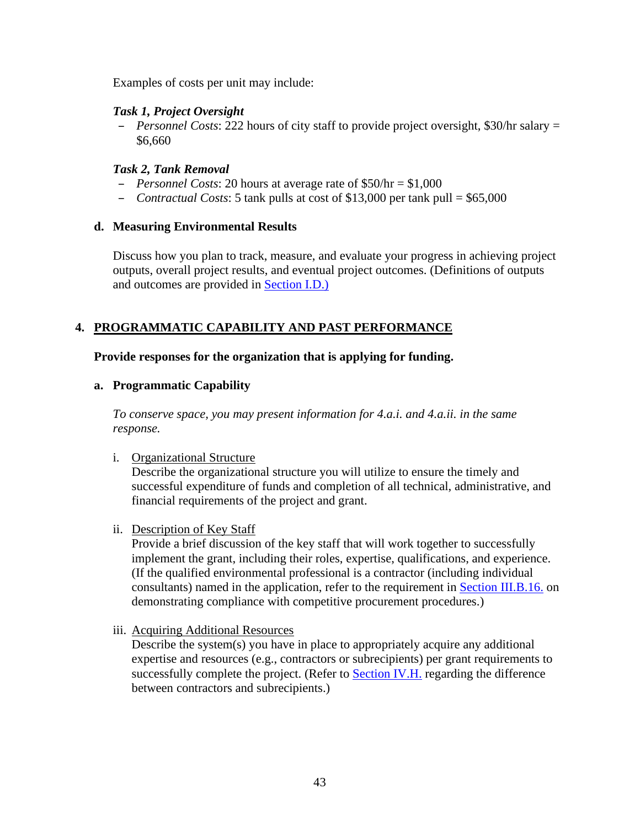Examples of costs per unit may include:

#### *Task 1, Project Oversight*

– *Personnel Costs*: 222 hours of city staff to provide project oversight, \$30/hr salary = \$6,660

### *Task 2, Tank Removal*

- *Personnel Costs*: 20 hours at average rate of \$50/hr = \$1,000
- *Contractual Costs*: 5 tank pulls at cost of \$13,000 per tank pull = \$65,000

#### **d. Measuring Environmental Results**

Discuss how you plan to track, measure, and evaluate your progress in achieving project outputs, overall project results, and eventual project outcomes. (Definitions of outputs and outcomes are provided in [Section I.D.\)](#page-6-1)

## <span id="page-42-0"></span>**4. PROGRAMMATIC CAPABILITY AND PAST PERFORMANCE**

#### **Provide responses for the organization that is applying for funding.**

#### <span id="page-42-1"></span>**a. Programmatic Capability**

*To conserve space, you may present information for 4.a.i. and 4.a.ii. in the same response.*

#### i. Organizational Structure

Describe the organizational structure you will utilize to ensure the timely and successful expenditure of funds and completion of all technical, administrative, and financial requirements of the project and grant.

ii. Description of Key Staff

Provide a brief discussion of the key staff that will work together to successfully implement the grant, including their roles, expertise, qualifications, and experience. (If the qualified environmental professional is a contractor (including individual consultants) named in the application, refer to the requirement in [Section III.B.16.](#page-28-0) on demonstrating compliance with competitive procurement procedures.)

iii. Acquiring Additional Resources

Describe the system(s) you have in place to appropriately acquire any additional expertise and resources (e.g., contractors or subrecipients) per grant requirements to successfully complete the project. (Refer to [Section IV.H.](#page-45-0) regarding the difference between contractors and subrecipients.)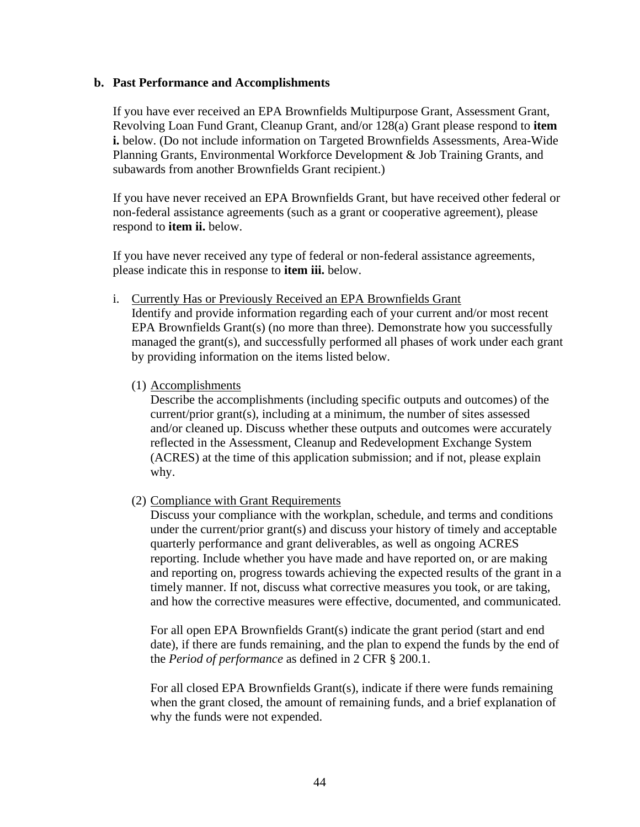#### **b. Past Performance and Accomplishments**

If you have ever received an EPA Brownfields Multipurpose Grant, Assessment Grant, Revolving Loan Fund Grant, Cleanup Grant, and/or 128(a) Grant please respond to **item i.** below. (Do not include information on Targeted Brownfields Assessments, Area-Wide Planning Grants, Environmental Workforce Development & Job Training Grants, and subawards from another Brownfields Grant recipient.)

If you have never received an EPA Brownfields Grant, but have received other federal or non-federal assistance agreements (such as a grant or cooperative agreement), please respond to **item ii.** below.

If you have never received any type of federal or non-federal assistance agreements, please indicate this in response to **item iii.** below.

i. Currently Has or Previously Received an EPA Brownfields Grant

Identify and provide information regarding each of your current and/or most recent EPA Brownfields Grant(s) (no more than three). Demonstrate how you successfully managed the grant(s), and successfully performed all phases of work under each grant by providing information on the items listed below.

(1) Accomplishments

Describe the accomplishments (including specific outputs and outcomes) of the current/prior grant(s), including at a minimum, the number of sites assessed and/or cleaned up. Discuss whether these outputs and outcomes were accurately reflected in the Assessment, Cleanup and Redevelopment Exchange System (ACRES) at the time of this application submission; and if not, please explain why.

(2) Compliance with Grant Requirements

Discuss your compliance with the workplan, schedule, and terms and conditions under the current/prior grant(s) and discuss your history of timely and acceptable quarterly performance and grant deliverables, as well as ongoing ACRES reporting. Include whether you have made and have reported on, or are making and reporting on, progress towards achieving the expected results of the grant in a timely manner. If not, discuss what corrective measures you took, or are taking, and how the corrective measures were effective, documented, and communicated.

For all open EPA Brownfields Grant(s) indicate the grant period (start and end date), if there are funds remaining, and the plan to expend the funds by the end of the *Period of performance* as defined in 2 CFR § 200.1.

For all closed EPA Brownfields Grant(s), indicate if there were funds remaining when the grant closed, the amount of remaining funds, and a brief explanation of why the funds were not expended.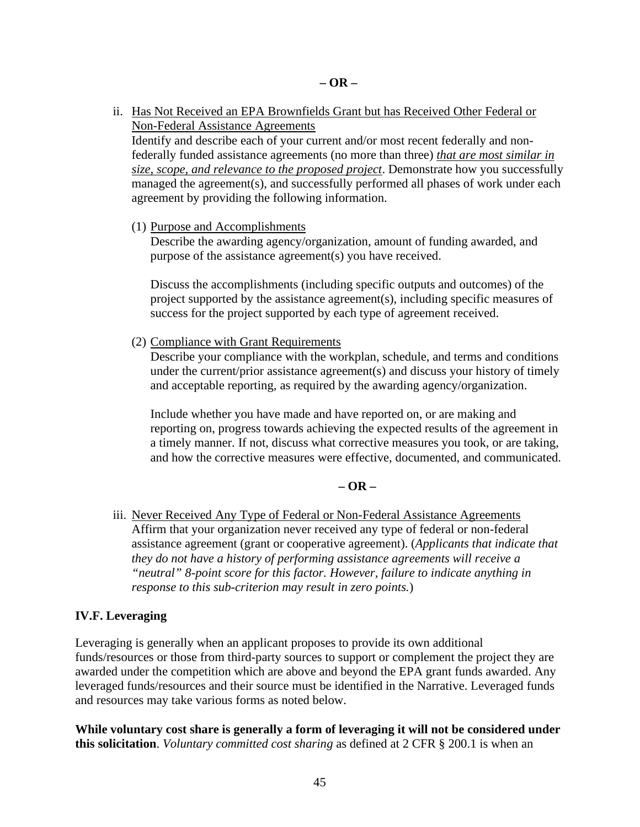ii. Has Not Received an EPA Brownfields Grant but has Received Other Federal or Non-Federal Assistance Agreements

Identify and describe each of your current and/or most recent federally and nonfederally funded assistance agreements (no more than three) *that are most similar in size, scope, and relevance to the proposed project*. Demonstrate how you successfully managed the agreement(s), and successfully performed all phases of work under each agreement by providing the following information.

(1) Purpose and Accomplishments

Describe the awarding agency/organization, amount of funding awarded, and purpose of the assistance agreement(s) you have received.

Discuss the accomplishments (including specific outputs and outcomes) of the project supported by the assistance agreement(s), including specific measures of success for the project supported by each type of agreement received.

(2) Compliance with Grant Requirements

Describe your compliance with the workplan, schedule, and terms and conditions under the current/prior assistance agreement(s) and discuss your history of timely and acceptable reporting, as required by the awarding agency/organization.

Include whether you have made and have reported on, or are making and reporting on, progress towards achieving the expected results of the agreement in a timely manner. If not, discuss what corrective measures you took, or are taking, and how the corrective measures were effective, documented, and communicated.

#### **– OR –**

iii. Never Received Any Type of Federal or Non-Federal Assistance Agreements Affirm that your organization never received any type of federal or non-federal assistance agreement (grant or cooperative agreement). (*Applicants that indicate that they do not have a history of performing assistance agreements will receive a "neutral" 8-point score for this factor. However, failure to indicate anything in response to this sub-criterion may result in zero points.*)

#### <span id="page-44-0"></span>**IV.F. Leveraging**

Leveraging is generally when an applicant proposes to provide its own additional funds/resources or those from third-party sources to support or complement the project they are awarded under the competition which are above and beyond the EPA grant funds awarded. Any leveraged funds/resources and their source must be identified in the Narrative. Leveraged funds and resources may take various forms as noted below.

**While voluntary cost share is generally a form of leveraging it will not be considered under this solicitation**. *Voluntary committed cost sharing* as defined at 2 CFR § 200.1 is when an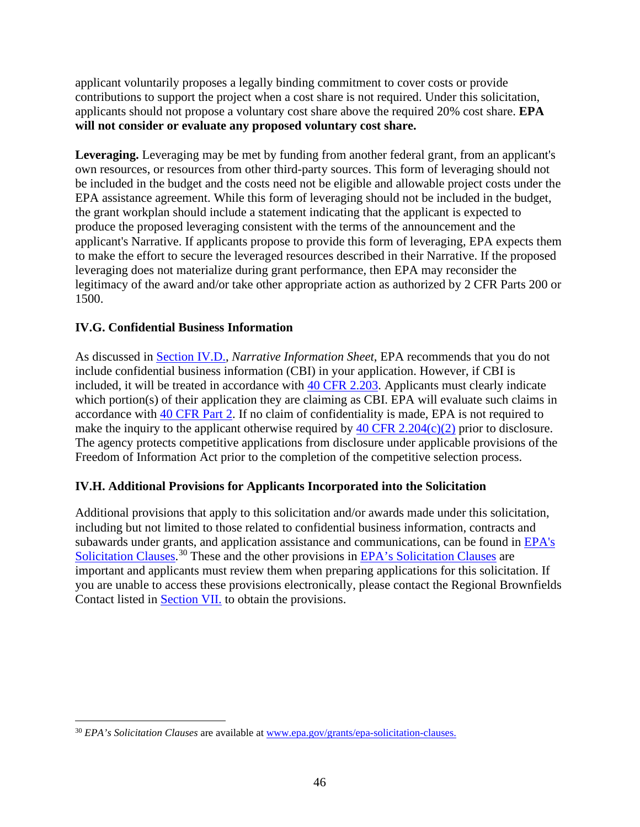applicant voluntarily proposes a legally binding commitment to cover costs or provide contributions to support the project when a cost share is not required. Under this solicitation, applicants should not propose a voluntary cost share above the required 20% cost share. **EPA will not consider or evaluate any proposed voluntary cost share.**

**Leveraging.** Leveraging may be met by funding from another federal grant, from an applicant's own resources, or resources from other third-party sources. This form of leveraging should not be included in the budget and the costs need not be eligible and allowable project costs under the EPA assistance agreement. While this form of leveraging should not be included in the budget, the grant workplan should include a statement indicating that the applicant is expected to produce the proposed leveraging consistent with the terms of the announcement and the applicant's Narrative. If applicants propose to provide this form of leveraging, EPA expects them to make the effort to secure the leveraged resources described in their Narrative. If the proposed leveraging does not materialize during grant performance, then EPA may reconsider the legitimacy of the award and/or take other appropriate action as authorized by 2 CFR Parts 200 or 1500.

## <span id="page-45-1"></span>**IV.G. Confidential Business Information**

As discussed in [Section IV.D.,](#page-32-0) *Narrative Information Sheet*, EPA recommends that you do not include confidential business information (CBI) in your application. However, if CBI is included, it will be treated in accordance with [40 CFR 2.203.](https://www.ecfr.gov/cgi-bin/text-idx?SID=df0298e9bb3c2b42c5e5f4f2454a6eb6&mc=true&node=se40.1.2_1203&rgn=div8) Applicants must clearly indicate which portion(s) of their application they are claiming as CBI. EPA will evaluate such claims in accordance with [40 CFR Part 2.](https://www.ecfr.gov/cgi-bin/retrieveECFR?gp=&SID=df0298e9bb3c2b42c5e5f4f2454a6eb6&mc=true&n=pt40.1.2&r=PART&ty=HTML) If no claim of confidentiality is made, EPA is not required to make the inquiry to the applicant otherwise required by  $40 \text{ CFR } 2.204(c)(2)$  prior to disclosure. The agency protects competitive applications from disclosure under applicable provisions of the Freedom of Information Act prior to the completion of the competitive selection process.

#### <span id="page-45-0"></span>**IV.H. Additional Provisions for Applicants Incorporated into the Solicitation**

Additional provisions that apply to this solicitation and/or awards made under this solicitation, including but not limited to those related to confidential business information, contracts and subawards under grants, and application assistance and communications, can be found in [EPA's](http://www.epa.gov/grants/epa-solicitation-clauses)  [Solicitation Clauses.](http://www.epa.gov/grants/epa-solicitation-clauses)<sup>[30](#page-45-2)</sup> These and the other provisions in **EPA**'s Solicitation Clauses are important and applicants must review them when preparing applications for this solicitation. If you are unable to access these provisions electronically, please contact the Regional Brownfields Contact listed in [Section VII.](#page-56-0) to obtain the provisions.

<span id="page-45-2"></span><sup>30</sup> *EPA's Solicitation Clauses* are available at [www.epa.gov/grants/epa-solicitation-clauses.](http://www.epa.gov/grants/epa-solicitation-clauses)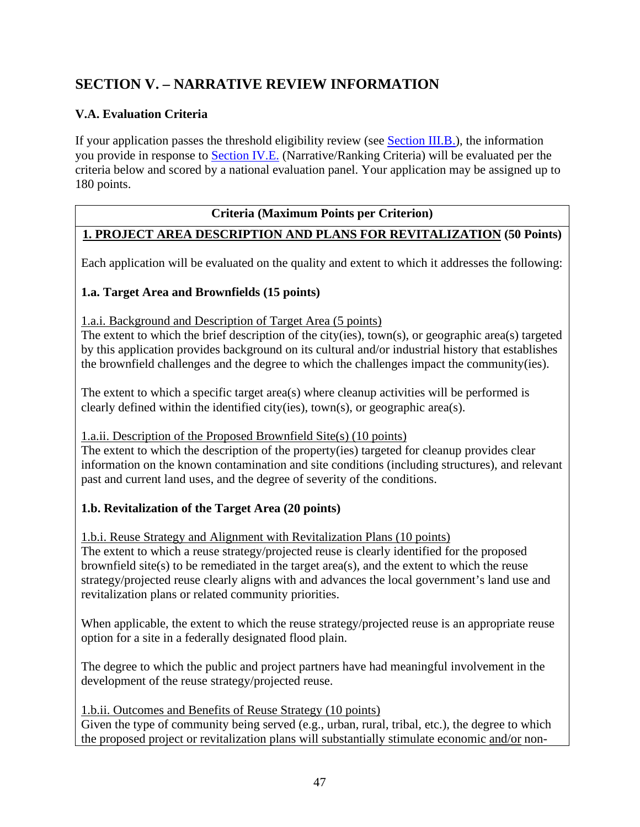# <span id="page-46-0"></span>**SECTION V. – NARRATIVE REVIEW INFORMATION**

## <span id="page-46-1"></span>**V.A. Evaluation Criteria**

If your application passes the threshold eligibility review (see [Section III.B.\)](#page-10-0), the information you provide in response to [Section IV.E.](#page-34-0) (Narrative/Ranking Criteria) will be evaluated per the criteria below and scored by a national evaluation panel. Your application may be assigned up to 180 points.

## **Criteria (Maximum Points per Criterion)**

## **1. PROJECT AREA DESCRIPTION AND PLANS FOR REVITALIZATION (50 Points)**

Each application will be evaluated on the quality and extent to which it addresses the following:

## **1.a. Target Area and Brownfields (15 points)**

1.a.i. Background and Description of Target Area (5 points)

The extent to which the brief description of the city(ies), town(s), or geographic area(s) targeted by this application provides background on its cultural and/or industrial history that establishes the brownfield challenges and the degree to which the challenges impact the community(ies).

The extent to which a specific target area(s) where cleanup activities will be performed is clearly defined within the identified city(ies), town(s), or geographic area(s).

#### 1.a.ii. Description of the Proposed Brownfield Site(s) (10 points)

The extent to which the description of the property(ies) targeted for cleanup provides clear information on the known contamination and site conditions (including structures), and relevant past and current land uses, and the degree of severity of the conditions.

#### **1.b. Revitalization of the Target Area (20 points)**

1.b.i. Reuse Strategy and Alignment with Revitalization Plans (10 points)

The extent to which a reuse strategy/projected reuse is clearly identified for the proposed brownfield site(s) to be remediated in the target area(s), and the extent to which the reuse strategy/projected reuse clearly aligns with and advances the local government's land use and revitalization plans or related community priorities.

When applicable, the extent to which the reuse strategy/projected reuse is an appropriate reuse option for a site in a federally designated flood plain.

The degree to which the public and project partners have had meaningful involvement in the development of the reuse strategy/projected reuse.

1.b.ii. Outcomes and Benefits of Reuse Strategy (10 points)

Given the type of community being served (e.g., urban, rural, tribal, etc.), the degree to which the proposed project or revitalization plans will substantially stimulate economic and/or non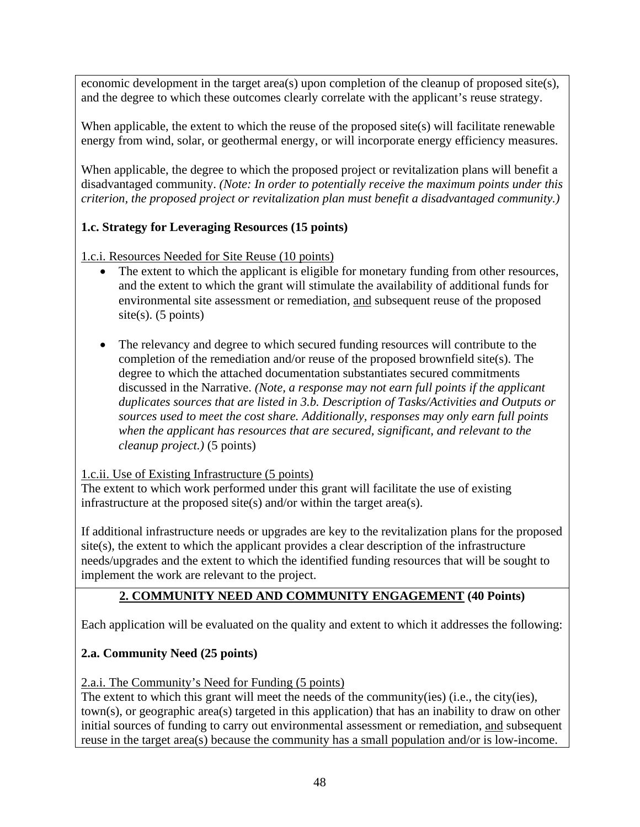economic development in the target area(s) upon completion of the cleanup of proposed site(s), and the degree to which these outcomes clearly correlate with the applicant's reuse strategy.

When applicable, the extent to which the reuse of the proposed site(s) will facilitate renewable energy from wind, solar, or geothermal energy, or will incorporate energy efficiency measures.

When applicable, the degree to which the proposed project or revitalization plans will benefit a disadvantaged community. *(Note: In order to potentially receive the maximum points under this criterion, the proposed project or revitalization plan must benefit a disadvantaged community.)* 

## **1.c. Strategy for Leveraging Resources (15 points)**

1.c.i. Resources Needed for Site Reuse (10 points)

- The extent to which the applicant is eligible for monetary funding from other resources, and the extent to which the grant will stimulate the availability of additional funds for environmental site assessment or remediation, and subsequent reuse of the proposed site(s).  $(5 \text{ points})$
- The relevancy and degree to which secured funding resources will contribute to the completion of the remediation and/or reuse of the proposed brownfield site(s). The degree to which the attached documentation substantiates secured commitments discussed in the Narrative. *(Note, a response may not earn full points if the applicant duplicates sources that are listed in 3.b. Description of Tasks/Activities and Outputs or sources used to meet the cost share. Additionally, responses may only earn full points when the applicant has resources that are secured, significant, and relevant to the cleanup project.)* (5 points)

## 1.c.ii. Use of Existing Infrastructure (5 points)

The extent to which work performed under this grant will facilitate the use of existing infrastructure at the proposed site(s) and/or within the target area(s).

If additional infrastructure needs or upgrades are key to the revitalization plans for the proposed site(s), the extent to which the applicant provides a clear description of the infrastructure needs/upgrades and the extent to which the identified funding resources that will be sought to implement the work are relevant to the project.

## **2. COMMUNITY NEED AND COMMUNITY ENGAGEMENT (40 Points)**

Each application will be evaluated on the quality and extent to which it addresses the following:

## **2.a. Community Need (25 points)**

2.a.i. The Community's Need for Funding (5 points)

The extent to which this grant will meet the needs of the community(ies) (i.e., the city(ies), town(s), or geographic area(s) targeted in this application) that has an inability to draw on other initial sources of funding to carry out environmental assessment or remediation, and subsequent reuse in the target area(s) because the community has a small population and/or is low-income.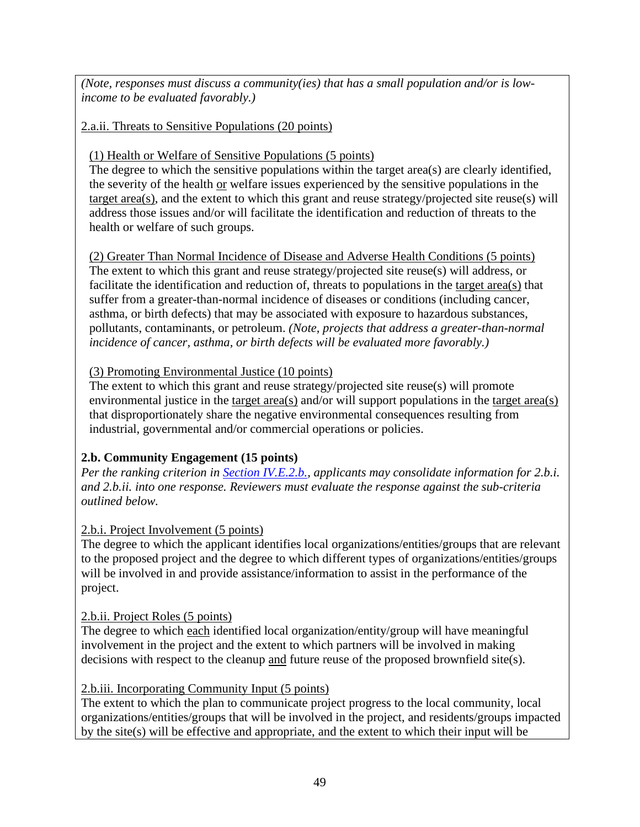*(Note, responses must discuss a community(ies) that has a small population and/or is lowincome to be evaluated favorably.)* 

## 2.a.ii. Threats to Sensitive Populations (20 points)

## (1) Health or Welfare of Sensitive Populations (5 points)

The degree to which the sensitive populations within the target area(s) are clearly identified, the severity of the health or welfare issues experienced by the sensitive populations in the target area(s), and the extent to which this grant and reuse strategy/projected site reuse(s) will address those issues and/or will facilitate the identification and reduction of threats to the health or welfare of such groups.

(2) Greater Than Normal Incidence of Disease and Adverse Health Conditions (5 points) The extent to which this grant and reuse strategy/projected site reuse(s) will address, or facilitate the identification and reduction of, threats to populations in the target area(s) that suffer from a greater-than-normal incidence of diseases or conditions (including cancer, asthma, or birth defects) that may be associated with exposure to hazardous substances, pollutants, contaminants, or petroleum. *(Note, projects that address a greater-than-normal incidence of cancer, asthma, or birth defects will be evaluated more favorably.)*

## (3) Promoting Environmental Justice (10 points)

The extent to which this grant and reuse strategy/projected site reuse(s) will promote environmental justice in the target area(s) and/or will support populations in the target area(s) that disproportionately share the negative environmental consequences resulting from industrial, governmental and/or commercial operations or policies.

## **2.b. Community Engagement (15 points)**

*Per the ranking criterion in [Section IV.E.2.b.,](#page-37-2) applicants may consolidate information for 2.b.i. and 2.b.ii. into one response. Reviewers must evaluate the response against the sub-criteria outlined below.* 

## 2.b.i. Project Involvement (5 points)

The degree to which the applicant identifies local organizations/entities/groups that are relevant to the proposed project and the degree to which different types of organizations/entities/groups will be involved in and provide assistance/information to assist in the performance of the project.

#### 2.b.ii. Project Roles (5 points)

The degree to which each identified local organization/entity/group will have meaningful involvement in the project and the extent to which partners will be involved in making decisions with respect to the cleanup and future reuse of the proposed brownfield site(s).

#### 2.b.iii. Incorporating Community Input (5 points)

The extent to which the plan to communicate project progress to the local community, local organizations/entities/groups that will be involved in the project, and residents/groups impacted by the site(s) will be effective and appropriate, and the extent to which their input will be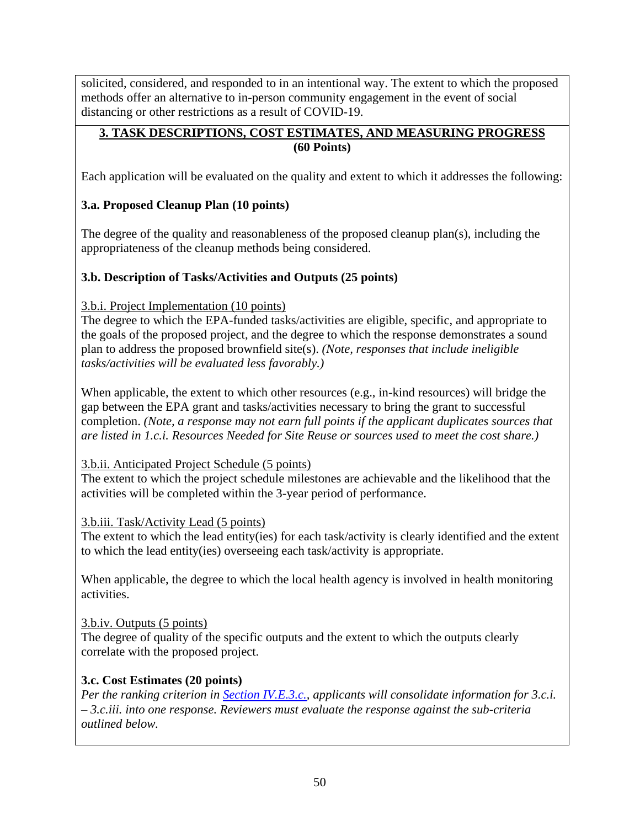solicited, considered, and responded to in an intentional way. The extent to which the proposed methods offer an alternative to in-person community engagement in the event of social distancing or other restrictions as a result of COVID-19.

## **3. TASK DESCRIPTIONS, COST ESTIMATES, AND MEASURING PROGRESS (60 Points)**

Each application will be evaluated on the quality and extent to which it addresses the following:

## **3.a. Proposed Cleanup Plan (10 points)**

The degree of the quality and reasonableness of the proposed cleanup plan(s), including the appropriateness of the cleanup methods being considered.

## **3.b. Description of Tasks/Activities and Outputs (25 points)**

## 3.b.i. Project Implementation (10 points)

The degree to which the EPA-funded tasks/activities are eligible, specific, and appropriate to the goals of the proposed project, and the degree to which the response demonstrates a sound plan to address the proposed brownfield site(s). *(Note, responses that include ineligible tasks/activities will be evaluated less favorably.)* 

When applicable, the extent to which other resources (e.g., in-kind resources) will bridge the gap between the EPA grant and tasks/activities necessary to bring the grant to successful completion. *(Note, a response may not earn full points if the applicant duplicates sources that are listed in 1.c.i. Resources Needed for Site Reuse or sources used to meet the cost share.)* 

## 3.b.ii. Anticipated Project Schedule (5 points)

The extent to which the project schedule milestones are achievable and the likelihood that the activities will be completed within the 3-year period of performance.

## 3.b.iii. Task/Activity Lead (5 points)

The extent to which the lead entity(ies) for each task/activity is clearly identified and the extent to which the lead entity(ies) overseeing each task/activity is appropriate.

When applicable, the degree to which the local health agency is involved in health monitoring activities.

## 3.b.iv. Outputs (5 points)

The degree of quality of the specific outputs and the extent to which the outputs clearly correlate with the proposed project.

## <span id="page-49-0"></span>**3.c. Cost Estimates (20 points)**

*Per the ranking criterion in [Section IV.E.3.c.,](#page-40-1) applicants will consolidate information for 3.c.i. – 3.c.iii. into one response. Reviewers must evaluate the response against the sub-criteria outlined below.*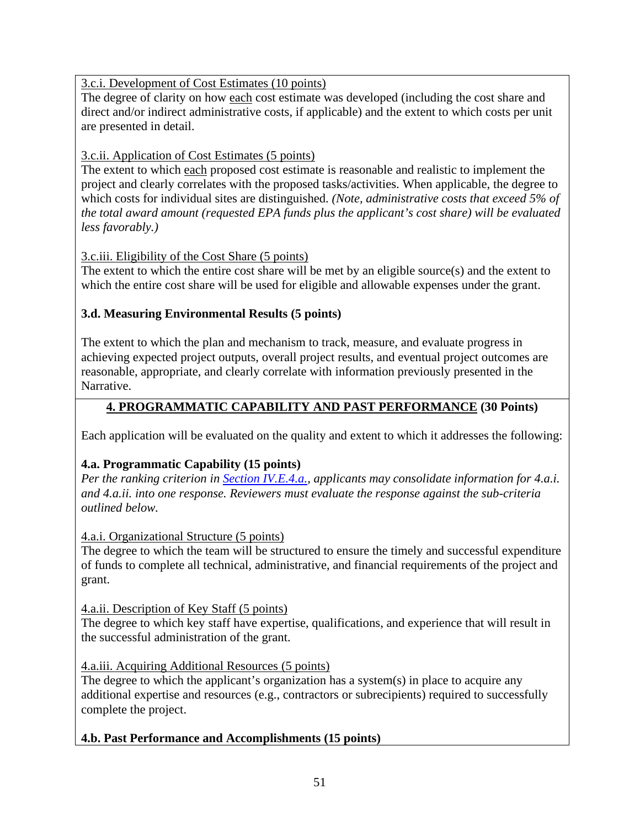## 3.c.i. Development of Cost Estimates (10 points)

The degree of clarity on how each cost estimate was developed (including the cost share and direct and/or indirect administrative costs, if applicable) and the extent to which costs per unit are presented in detail.

## 3.c.ii. Application of Cost Estimates (5 points)

The extent to which each proposed cost estimate is reasonable and realistic to implement the project and clearly correlates with the proposed tasks/activities. When applicable, the degree to which costs for individual sites are distinguished. *(Note, administrative costs that exceed 5% of the total award amount (requested EPA funds plus the applicant's cost share) will be evaluated less favorably.)*

## 3.c.iii. Eligibility of the Cost Share (5 points)

The extent to which the entire cost share will be met by an eligible source(s) and the extent to which the entire cost share will be used for eligible and allowable expenses under the grant.

## **3.d. Measuring Environmental Results (5 points)**

The extent to which the plan and mechanism to track, measure, and evaluate progress in achieving expected project outputs, overall project results, and eventual project outcomes are reasonable, appropriate, and clearly correlate with information previously presented in the Narrative.

## **4. PROGRAMMATIC CAPABILITY AND PAST PERFORMANCE (30 Points)**

Each application will be evaluated on the quality and extent to which it addresses the following:

## **4.a. Programmatic Capability (15 points)**

*Per the ranking criterion in [Section IV.E.4.a.,](#page-42-1) applicants may consolidate information for 4.a.i. and 4.a.ii. into one response. Reviewers must evaluate the response against the sub-criteria outlined below.* 

4.a.i. Organizational Structure (5 points)

The degree to which the team will be structured to ensure the timely and successful expenditure of funds to complete all technical, administrative, and financial requirements of the project and grant.

#### 4.a.ii. Description of Key Staff (5 points)

The degree to which key staff have expertise, qualifications, and experience that will result in the successful administration of the grant.

#### 4.a.iii. Acquiring Additional Resources (5 points)

The degree to which the applicant's organization has a system(s) in place to acquire any additional expertise and resources (e.g., contractors or subrecipients) required to successfully complete the project.

## **4.b. Past Performance and Accomplishments (15 points)**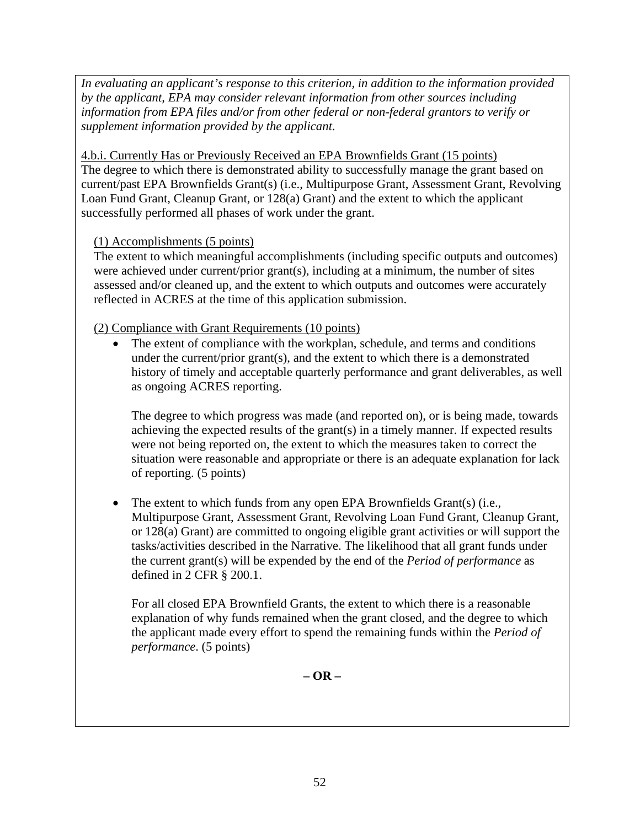*In evaluating an applicant's response to this criterion, in addition to the information provided by the applicant, EPA may consider relevant information from other sources including information from EPA files and/or from other federal or non-federal grantors to verify or supplement information provided by the applicant.* 

4.b.i. Currently Has or Previously Received an EPA Brownfields Grant (15 points) The degree to which there is demonstrated ability to successfully manage the grant based on current/past EPA Brownfields Grant(s) (i.e., Multipurpose Grant, Assessment Grant, Revolving Loan Fund Grant, Cleanup Grant, or 128(a) Grant) and the extent to which the applicant successfully performed all phases of work under the grant.

## (1) Accomplishments (5 points)

The extent to which meaningful accomplishments (including specific outputs and outcomes) were achieved under current/prior grant(s), including at a minimum, the number of sites assessed and/or cleaned up, and the extent to which outputs and outcomes were accurately reflected in ACRES at the time of this application submission.

(2) Compliance with Grant Requirements (10 points)

The extent of compliance with the workplan, schedule, and terms and conditions under the current/prior grant(s), and the extent to which there is a demonstrated history of timely and acceptable quarterly performance and grant deliverables, as well as ongoing ACRES reporting.

The degree to which progress was made (and reported on), or is being made, towards achieving the expected results of the grant(s) in a timely manner. If expected results were not being reported on, the extent to which the measures taken to correct the situation were reasonable and appropriate or there is an adequate explanation for lack of reporting. (5 points)

• The extent to which funds from any open EPA Brownfields Grant(s) (i.e., Multipurpose Grant, Assessment Grant, Revolving Loan Fund Grant, Cleanup Grant, or 128(a) Grant) are committed to ongoing eligible grant activities or will support the tasks/activities described in the Narrative. The likelihood that all grant funds under the current grant(s) will be expended by the end of the *Period of performance* as defined in 2 CFR § 200.1.

For all closed EPA Brownfield Grants, the extent to which there is a reasonable explanation of why funds remained when the grant closed, and the degree to which the applicant made every effort to spend the remaining funds within the *Period of performance*. (5 points)

**– OR –**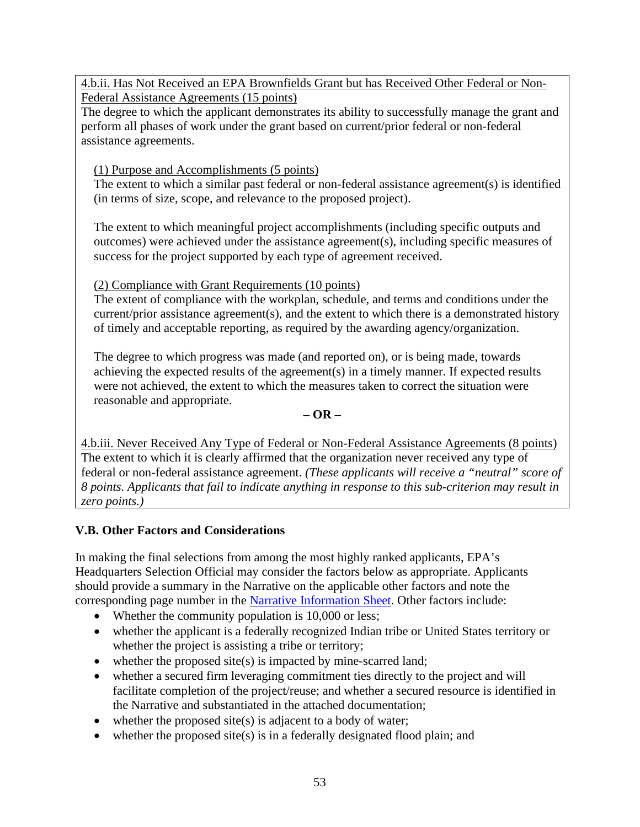4.b.ii. Has Not Received an EPA Brownfields Grant but has Received Other Federal or Non-Federal Assistance Agreements (15 points)

The degree to which the applicant demonstrates its ability to successfully manage the grant and perform all phases of work under the grant based on current/prior federal or non-federal assistance agreements.

## (1) Purpose and Accomplishments (5 points)

The extent to which a similar past federal or non-federal assistance agreement(s) is identified (in terms of size, scope, and relevance to the proposed project).

The extent to which meaningful project accomplishments (including specific outputs and outcomes) were achieved under the assistance agreement(s), including specific measures of success for the project supported by each type of agreement received.

## (2) Compliance with Grant Requirements (10 points)

The extent of compliance with the workplan, schedule, and terms and conditions under the current/prior assistance agreement(s), and the extent to which there is a demonstrated history of timely and acceptable reporting, as required by the awarding agency/organization.

The degree to which progress was made (and reported on), or is being made, towards achieving the expected results of the agreement(s) in a timely manner. If expected results were not achieved, the extent to which the measures taken to correct the situation were reasonable and appropriate.

### **– OR –**

4.b.iii. Never Received Any Type of Federal or Non-Federal Assistance Agreements (8 points) The extent to which it is clearly affirmed that the organization never received any type of federal or non-federal assistance agreement. *(These applicants will receive a "neutral" score of 8 points. Applicants that fail to indicate anything in response to this sub-criterion may result in zero points.)*

## <span id="page-52-0"></span>**V.B. Other Factors and Considerations**

In making the final selections from among the most highly ranked applicants, EPA's Headquarters Selection Official may consider the factors below as appropriate. Applicants should provide a summary in the Narrative on the applicable other factors and note the corresponding page number in the [Narrative Information Sheet.](#page-32-0) Other factors include:

- Whether the community population is 10,000 or less;
- whether the applicant is a federally recognized Indian tribe or United States territory or whether the project is assisting a tribe or territory;
- whether the proposed site(s) is impacted by mine-scarred land;
- whether a secured firm leveraging commitment ties directly to the project and will facilitate completion of the project/reuse; and whether a secured resource is identified in the Narrative and substantiated in the attached documentation;
- whether the proposed site(s) is adjacent to a body of water;
- whether the proposed site(s) is in a federally designated flood plain; and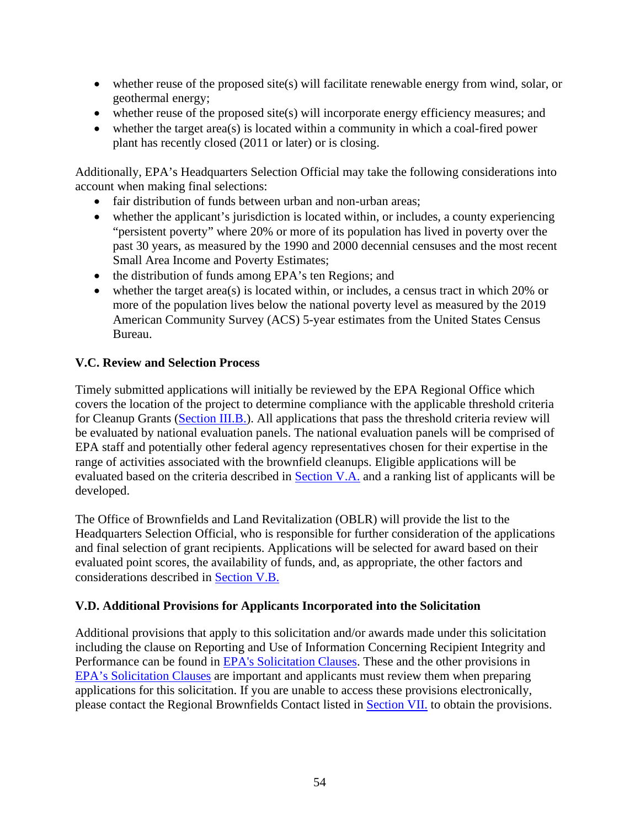- whether reuse of the proposed site(s) will facilitate renewable energy from wind, solar, or geothermal energy;
- whether reuse of the proposed site(s) will incorporate energy efficiency measures; and
- whether the target area(s) is located within a community in which a coal-fired power plant has recently closed (2011 or later) or is closing.

Additionally, EPA's Headquarters Selection Official may take the following considerations into account when making final selections:

- fair distribution of funds between urban and non-urban areas;
- whether the applicant's jurisdiction is located within, or includes, a county experiencing "persistent poverty" where 20% or more of its population has lived in poverty over the past 30 years, as measured by the 1990 and 2000 decennial censuses and the most recent Small Area Income and Poverty Estimates;
- the distribution of funds among EPA's ten Regions; and
- whether the target area(s) is located within, or includes, a census tract in which 20% or more of the population lives below the national poverty level as measured by the 2019 American Community Survey (ACS) 5-year estimates from the United States Census Bureau.

## <span id="page-53-0"></span>**V.C. Review and Selection Process**

Timely submitted applications will initially be reviewed by the EPA Regional Office which covers the location of the project to determine compliance with the applicable threshold criteria for Cleanup Grants [\(Section III.B.\)](#page-10-0). All applications that pass the threshold criteria review will be evaluated by national evaluation panels. The national evaluation panels will be comprised of EPA staff and potentially other federal agency representatives chosen for their expertise in the range of activities associated with the brownfield cleanups. Eligible applications will be evaluated based on the criteria described in [Section V.A.](#page-46-1) and a ranking list of applicants will be developed.

The Office of Brownfields and Land Revitalization (OBLR) will provide the list to the Headquarters Selection Official, who is responsible for further consideration of the applications and final selection of grant recipients. Applications will be selected for award based on their evaluated point scores, the availability of funds, and, as appropriate, the other factors and considerations described in [Section V.B.](#page-52-0)

#### <span id="page-53-1"></span>**V.D. Additional Provisions for Applicants Incorporated into the Solicitation**

Additional provisions that apply to this solicitation and/or awards made under this solicitation including the clause on Reporting and Use of Information Concerning Recipient Integrity and Performance can be found in [EPA's Solicitation Clauses.](http://www.epa.gov/grants/epa-solicitation-clauses) These and the other provisions in [EPA's Solicitation Clauses](http://www.epa.gov/grants/epa-solicitation-clauses) are important and applicants must review them when preparing applications for this solicitation. If you are unable to access these provisions electronically, please contact the Regional Brownfields Contact listed in [Section VII.](#page-56-0) to obtain the provisions.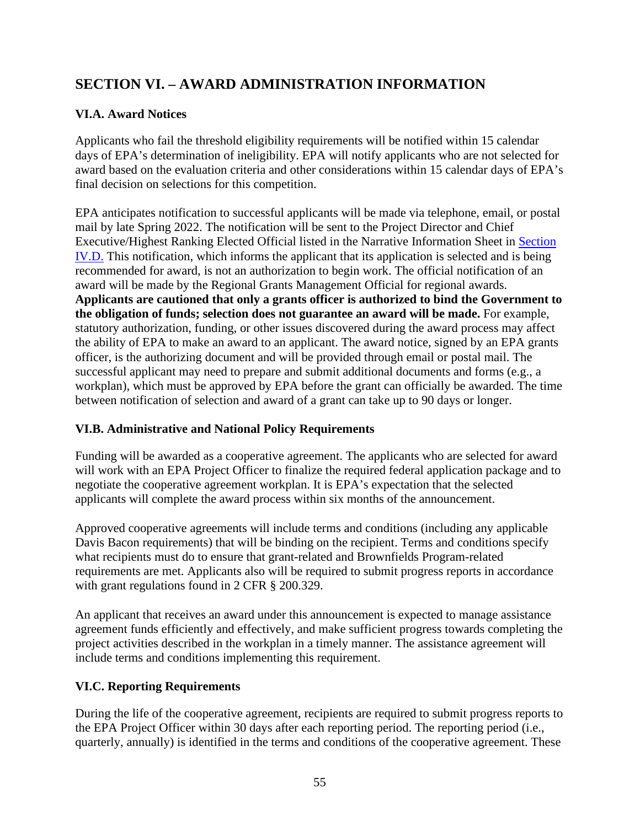# <span id="page-54-0"></span>**SECTION VI. – AWARD ADMINISTRATION INFORMATION**

## <span id="page-54-1"></span>**VI.A. Award Notices**

Applicants who fail the threshold eligibility requirements will be notified within 15 calendar days of EPA's determination of ineligibility. EPA will notify applicants who are not selected for award based on the evaluation criteria and other considerations within 15 calendar days of EPA's final decision on selections for this competition.

EPA anticipates notification to successful applicants will be made via telephone, email, or postal mail by late Spring 2022. The notification will be sent to the Project Director and Chief Executive/Highest Ranking Elected Official listed in the Narrative Information Sheet in [Section](#page-32-0)  [IV.D.](#page-32-0) This notification, which informs the applicant that its application is selected and is being recommended for award, is not an authorization to begin work. The official notification of an award will be made by the Regional Grants Management Official for regional awards. **Applicants are cautioned that only a grants officer is authorized to bind the Government to the obligation of funds; selection does not guarantee an award will be made.** For example, statutory authorization, funding, or other issues discovered during the award process may affect the ability of EPA to make an award to an applicant. The award notice, signed by an EPA grants officer, is the authorizing document and will be provided through email or postal mail. The successful applicant may need to prepare and submit additional documents and forms (e.g., a workplan), which must be approved by EPA before the grant can officially be awarded. The time between notification of selection and award of a grant can take up to 90 days or longer.

## <span id="page-54-2"></span>**VI.B. Administrative and National Policy Requirements**

Funding will be awarded as a cooperative agreement. The applicants who are selected for award will work with an EPA Project Officer to finalize the required federal application package and to negotiate the cooperative agreement workplan. It is EPA's expectation that the selected applicants will complete the award process within six months of the announcement.

Approved cooperative agreements will include terms and conditions (including any applicable Davis Bacon requirements) that will be binding on the recipient. Terms and conditions specify what recipients must do to ensure that grant-related and Brownfields Program-related requirements are met. Applicants also will be required to submit progress reports in accordance with grant regulations found in 2 CFR § 200.329.

An applicant that receives an award under this announcement is expected to manage assistance agreement funds efficiently and effectively, and make sufficient progress towards completing the project activities described in the workplan in a timely manner. The assistance agreement will include terms and conditions implementing this requirement.

## <span id="page-54-3"></span>**VI.C. Reporting Requirements**

During the life of the cooperative agreement, recipients are required to submit progress reports to the EPA Project Officer within 30 days after each reporting period. The reporting period (i.e., quarterly, annually) is identified in the terms and conditions of the cooperative agreement. These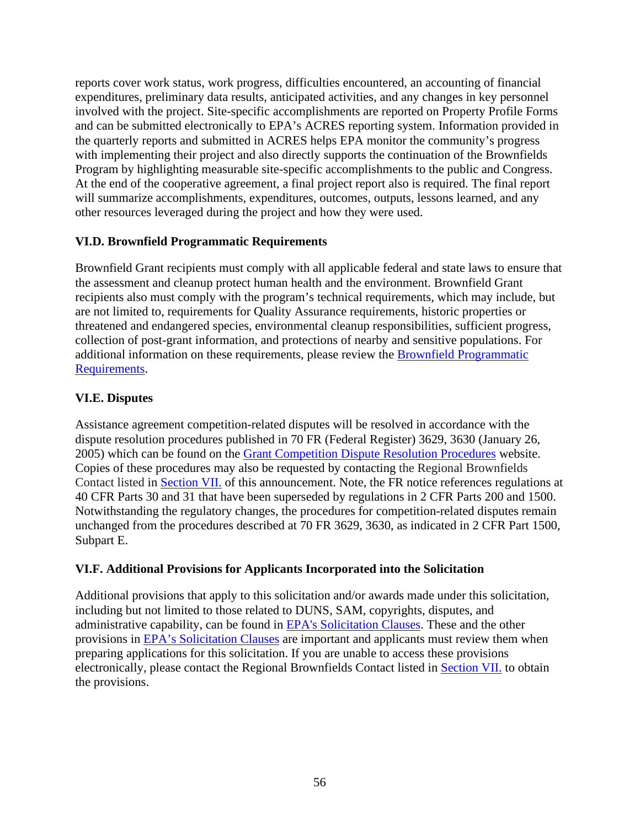reports cover work status, work progress, difficulties encountered, an accounting of financial expenditures, preliminary data results, anticipated activities, and any changes in key personnel involved with the project. Site-specific accomplishments are reported on Property Profile Forms and can be submitted electronically to EPA's ACRES reporting system. Information provided in the quarterly reports and submitted in ACRES helps EPA monitor the community's progress with implementing their project and also directly supports the continuation of the Brownfields Program by highlighting measurable site-specific accomplishments to the public and Congress. At the end of the cooperative agreement, a final project report also is required. The final report will summarize accomplishments, expenditures, outcomes, outputs, lessons learned, and any other resources leveraged during the project and how they were used.

#### <span id="page-55-0"></span>**VI.D. Brownfield Programmatic Requirements**

Brownfield Grant recipients must comply with all applicable federal and state laws to ensure that the assessment and cleanup protect human health and the environment. Brownfield Grant recipients also must comply with the program's technical requirements, which may include, but are not limited to, requirements for Quality Assurance requirements, historic properties or threatened and endangered species, environmental cleanup responsibilities, sufficient progress, collection of post-grant information, and protections of nearby and sensitive populations. For additional information on these requirements, please review the [Brownfield Programmatic](https://www.epa.gov/brownfields/programmatic-requirements-brownfields-grants)  [Requirements.](https://www.epa.gov/brownfields/programmatic-requirements-brownfields-grants)

## <span id="page-55-1"></span>**VI.E. Disputes**

Assistance agreement competition-related disputes will be resolved in accordance with the dispute resolution procedures published in 70 FR (Federal Register) 3629, 3630 (January 26, 2005) which can be found on the [Grant Competition Dispute Resolution Procedures](https://www.epa.gov/grants/grant-competition-dispute-resolution-procedures) website. Copies of these procedures may also be requested by contacting the Regional Brownfields Contact listed in [Section VII.](#page-56-0) of this announcement. Note, the FR notice references regulations at 40 CFR Parts 30 and 31 that have been superseded by regulations in 2 CFR Parts 200 and 1500. Notwithstanding the regulatory changes, the procedures for competition-related disputes remain unchanged from the procedures described at 70 FR 3629, 3630, as indicated in 2 CFR Part 1500, Subpart E.

#### <span id="page-55-2"></span>**VI.F. Additional Provisions for Applicants Incorporated into the Solicitation**

Additional provisions that apply to this solicitation and/or awards made under this solicitation, including but not limited to those related to DUNS, SAM, copyrights, disputes, and administrative capability, can be found in [EPA's Solicitation Clauses.](http://www.epa.gov/grants/epa-solicitation-clauses) These and the other provisions in [EPA's Solicitation Clauses](http://www.epa.gov/grants/epa-solicitation-clauses) are important and applicants must review them when preparing applications for this solicitation. If you are unable to access these provisions electronically, please contact the Regional Brownfields Contact listed in [Section VII.](#page-56-0) to obtain the provisions.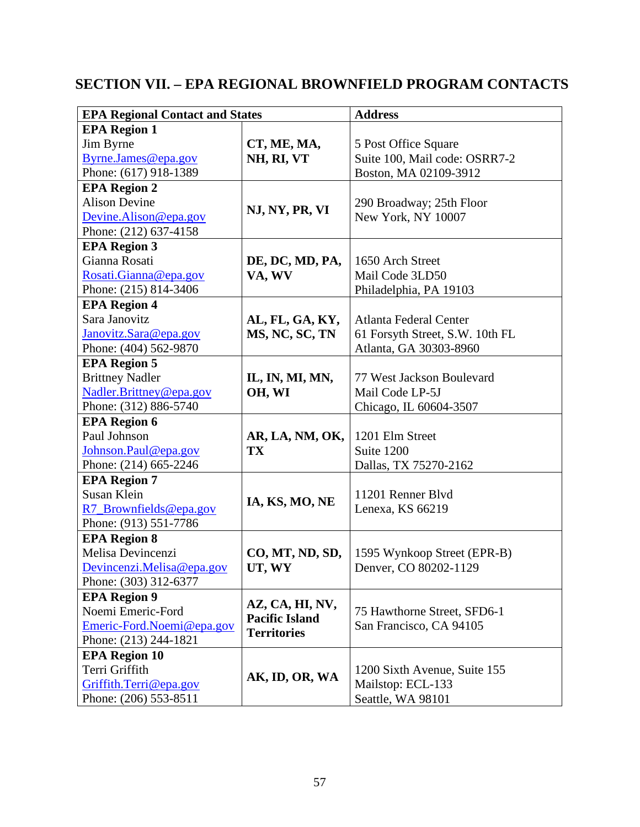# <span id="page-56-0"></span>**SECTION VII. – EPA REGIONAL BROWNFIELD PROGRAM CONTACTS**

| <b>EPA Regional Contact and States</b> |                       | <b>Address</b>                                         |  |  |
|----------------------------------------|-----------------------|--------------------------------------------------------|--|--|
| <b>EPA Region 1</b>                    |                       |                                                        |  |  |
| Jim Byrne                              | CT, ME, MA,           | 5 Post Office Square                                   |  |  |
| Byrne.James@epa.gov                    | NH, RI, VT            | Suite 100, Mail code: OSRR7-2<br>Boston, MA 02109-3912 |  |  |
| Phone: (617) 918-1389                  |                       |                                                        |  |  |
| <b>EPA Region 2</b>                    |                       |                                                        |  |  |
| <b>Alison Devine</b>                   |                       | 290 Broadway; 25th Floor<br>New York, NY 10007         |  |  |
| Devine.Alison@epa.gov                  | NJ, NY, PR, VI        |                                                        |  |  |
| Phone: (212) 637-4158                  |                       |                                                        |  |  |
| <b>EPA Region 3</b>                    |                       |                                                        |  |  |
| Gianna Rosati                          | DE, DC, MD, PA,       | 1650 Arch Street<br>Mail Code 3LD50                    |  |  |
| Rosati.Gianna@epa.gov                  | VA, WV                |                                                        |  |  |
| Phone: (215) 814-3406                  |                       | Philadelphia, PA 19103                                 |  |  |
| <b>EPA Region 4</b>                    |                       |                                                        |  |  |
| Sara Janovitz                          | AL, FL, GA, KY,       | <b>Atlanta Federal Center</b>                          |  |  |
| Janovitz.Sara@epa.gov                  | MS, NC, SC, TN        | 61 Forsyth Street, S.W. 10th FL                        |  |  |
| Phone: (404) 562-9870                  |                       | Atlanta, GA 30303-8960                                 |  |  |
| <b>EPA Region 5</b>                    |                       |                                                        |  |  |
| <b>Brittney Nadler</b>                 | IL, IN, MI, MN,       | 77 West Jackson Boulevard                              |  |  |
| Nadler.Brittney@epa.gov                | OH, WI                | Mail Code LP-5J<br>Chicago, IL 60604-3507              |  |  |
| Phone: (312) 886-5740                  |                       |                                                        |  |  |
| <b>EPA Region 6</b>                    |                       |                                                        |  |  |
| Paul Johnson                           | AR, LA, NM, OK,       | 1201 Elm Street                                        |  |  |
| Johnson.Paul@epa.gov                   | TX                    | Suite 1200                                             |  |  |
| Phone: (214) 665-2246                  |                       | Dallas, TX 75270-2162                                  |  |  |
| <b>EPA Region 7</b>                    |                       | 11201 Renner Blvd<br>Lenexa, KS 66219                  |  |  |
| Susan Klein                            |                       |                                                        |  |  |
| R7_Brownfields@epa.gov                 | IA, KS, MO, NE        |                                                        |  |  |
| Phone: (913) 551-7786                  |                       |                                                        |  |  |
| <b>EPA Region 8</b>                    |                       |                                                        |  |  |
| Melisa Devincenzi                      | CO, MT, ND, SD,       | 1595 Wynkoop Street (EPR-B)<br>Denver, CO 80202-1129   |  |  |
| Devincenzi.Melisa@epa.gov              | UT, WY                |                                                        |  |  |
| Phone: (303) 312-6377                  |                       |                                                        |  |  |
| <b>EPA Region 9</b>                    | AZ, CA, HI, NV,       |                                                        |  |  |
| Noemi Emeric-Ford                      | <b>Pacific Island</b> | 75 Hawthorne Street, SFD6-1                            |  |  |
| Emeric-Ford.Noemi@epa.gov              | <b>Territories</b>    | San Francisco, CA 94105                                |  |  |
| Phone: (213) 244-1821                  |                       |                                                        |  |  |
| <b>EPA Region 10</b>                   |                       |                                                        |  |  |
| Terri Griffith                         | AK, ID, OR, WA        | 1200 Sixth Avenue, Suite 155<br>Mailstop: ECL-133      |  |  |
| Griffith.Terri@epa.gov                 |                       |                                                        |  |  |
| Phone: (206) 553-8511                  |                       | Seattle, WA 98101                                      |  |  |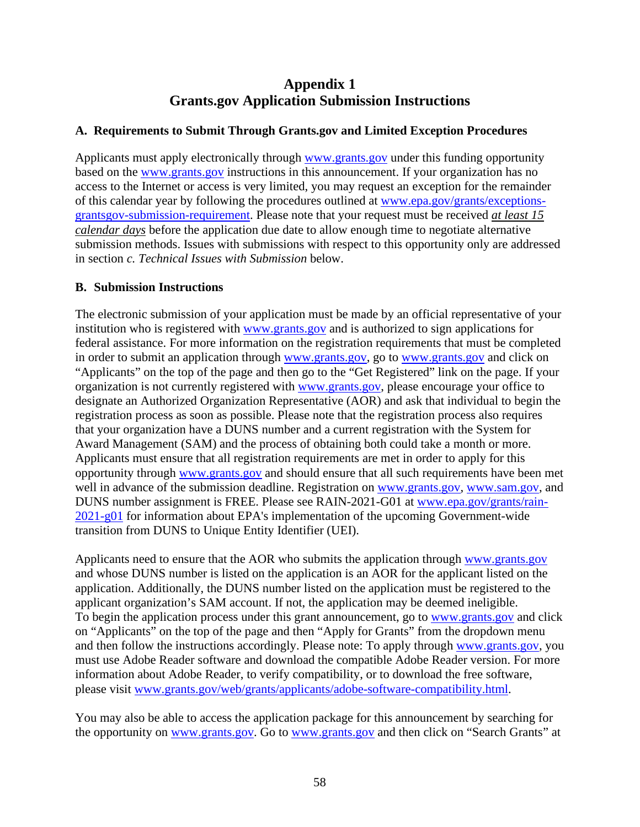# **Appendix 1 Grants.gov Application Submission Instructions**

#### <span id="page-57-1"></span><span id="page-57-0"></span>**A. Requirements to Submit Through Grants.gov and Limited Exception Procedures**

Applicants must apply electronically through [www.grants.gov](https://www.grants.gov/) under this funding opportunity based on the [www.grants.gov](https://www.grants.gov/) instructions in this announcement. If your organization has no access to the Internet or access is very limited, you may request an exception for the remainder of this calendar year by following the procedures outlined at [www.epa.gov/grants/exceptions](http://www.epa.gov/grants/exceptions-grantsgov-submission-requirement)[grantsgov-submission-requirement.](http://www.epa.gov/grants/exceptions-grantsgov-submission-requirement) Please note that your request must be received *at least 15 calendar days* before the application due date to allow enough time to negotiate alternative submission methods. Issues with submissions with respect to this opportunity only are addressed in section *c. Technical Issues with Submission* below.

## <span id="page-57-2"></span>**B. Submission Instructions**

The electronic submission of your application must be made by an official representative of your institution who is registered with [www.grants.gov](https://www.grants.gov/) and is authorized to sign applications for federal assistance. For more information on the registration requirements that must be completed in order to submit an application through [www.grants.gov,](https://www.grants.gov/) go to [www.grants.gov](https://www.grants.gov/) and click on "Applicants" on the top of the page and then go to the "Get Registered" link on the page. If your organization is not currently registered with [www.grants.gov,](https://www.grants.gov/) please encourage your office to designate an Authorized Organization Representative (AOR) and ask that individual to begin the registration process as soon as possible. Please note that the registration process also requires that your organization have a DUNS number and a current registration with the System for Award Management (SAM) and the process of obtaining both could take a month or more. Applicants must ensure that all registration requirements are met in order to apply for this opportunity through [www.grants.gov](https://www.grants.gov/) and should ensure that all such requirements have been met well in advance of the submission deadline. Registration on [www.grants.gov,](https://www.grants.gov/) [www.sam.gov,](https://www.sam.gov/SAM/) and DUNS number assignment is FREE. Please see RAIN-2021-G01 at [www.epa.gov/grants/rain-](http://www.epa.gov/grants/rain-2021-g01)[2021-g01](http://www.epa.gov/grants/rain-2021-g01) for information about EPA's implementation of the upcoming Government-wide transition from DUNS to Unique Entity Identifier (UEI).

Applicants need to ensure that the AOR who submits the application through [www.grants.gov](https://www.grants.gov/) and whose DUNS number is listed on the application is an AOR for the applicant listed on the application. Additionally, the DUNS number listed on the application must be registered to the applicant organization's SAM account. If not, the application may be deemed ineligible. To begin the application process under this grant announcement, go to [www.grants.gov](https://www.grants.gov/) and click on "Applicants" on the top of the page and then "Apply for Grants" from the dropdown menu and then follow the instructions accordingly. Please note: To apply through [www.grants.gov,](https://www.grants.gov/) you must use Adobe Reader software and download the compatible Adobe Reader version. For more information about Adobe Reader, to verify compatibility, or to download the free software, please visit [www.grants.gov/web/grants/applicants/adobe-software-compatibility.html.](http://www.grants.gov/web/grants/applicants/adobe-software-compatibility.html)

You may also be able to access the application package for this announcement by searching for the opportunity on [www.grants.gov.](https://www.grants.gov/) Go to [www.grants.gov](https://www.grants.gov/) and then click on "Search Grants" at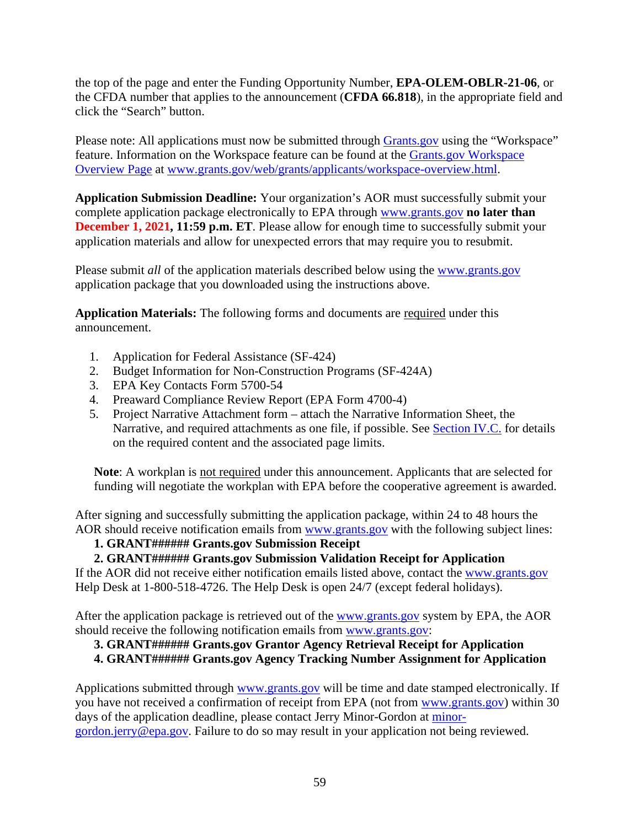the top of the page and enter the Funding Opportunity Number, **EPA-OLEM-OBLR-21-06**, or the CFDA number that applies to the announcement (**CFDA 66.818**), in the appropriate field and click the "Search" button.

Please note: All applications must now be submitted through [Grants.gov](https://www.grants.gov/) using the "Workspace" feature. Information on the Workspace feature can be found at the [Grants.gov Workspace](https://www.grants.gov/web/grants/applicants/workspace-overview.html)  [Overview Page](https://www.grants.gov/web/grants/applicants/workspace-overview.html) at [www.grants.gov/web/grants/applicants/workspace-overview.html.](http://www.grants.gov/web/grants/applicants/workspace-overview.html)

**Application Submission Deadline:** Your organization's AOR must successfully submit your complete application package electronically to EPA through [www.grants.gov](https://www.grants.gov/) **no later than December 1, 2021, 11:59 p.m. ET**. Please allow for enough time to successfully submit your application materials and allow for unexpected errors that may require you to resubmit.

Please submit *all* of the application materials described below using the [www.grants.gov](https://www.grants.gov/) application package that you downloaded using the instructions above.

**Application Materials:** The following forms and documents are required under this announcement.

- 1. Application for Federal Assistance (SF-424)
- 2. Budget Information for Non-Construction Programs (SF-424A)
- 3. EPA Key Contacts Form 5700-54
- 4. Preaward Compliance Review Report (EPA Form 4700-4)
- 5. Project Narrative Attachment form attach the Narrative Information Sheet, the Narrative, and required attachments as one file, if possible. See [Section IV.C.](https://usepa.sharepoint.com/sites/OSWER/OBLR/Shared%20Documents/MARC/FY21%20MAC/Jerry) for details on the required content and the associated page limits.

**Note**: A workplan is not required under this announcement. Applicants that are selected for funding will negotiate the workplan with EPA before the cooperative agreement is awarded.

After signing and successfully submitting the application package, within 24 to 48 hours the AOR should receive notification emails from [www.grants.gov](https://www.grants.gov/) with the following subject lines:

### **1. GRANT###### Grants.gov Submission Receipt**

## **2. GRANT###### Grants.gov Submission Validation Receipt for Application**

If the AOR did not receive either notification emails listed above, contact the [www.grants.gov](https://www.grants.gov/) Help Desk at 1-800-518-4726. The Help Desk is open 24/7 (except federal holidays).

After the application package is retrieved out of the [www.grants.gov](https://www.grants.gov/) system by EPA, the AOR should receive the following notification emails from [www.grants.gov:](https://www.grants.gov/)

## **3. GRANT###### Grants.gov Grantor Agency Retrieval Receipt for Application**

#### **4. GRANT###### Grants.gov Agency Tracking Number Assignment for Application**

Applications submitted through [www.grants.gov](https://www.grants.gov/) will be time and date stamped electronically. If you have not received a confirmation of receipt from EPA (not from [www.grants.gov\)](https://www.grants.gov/) within 30 days of the application deadline, please contact Jerry Minor-Gordon at [minor](mailto:minor-gordon.jerry@epa.gov)[gordon.jerry@epa.gov.](mailto:minor-gordon.jerry@epa.gov) Failure to do so may result in your application not being reviewed.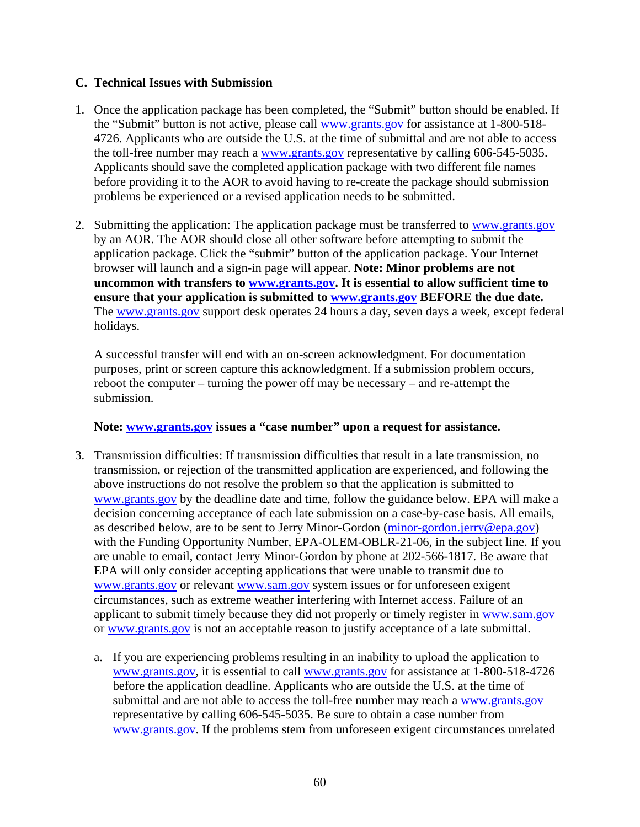#### <span id="page-59-0"></span>**C. Technical Issues with Submission**

- 1. Once the application package has been completed, the "Submit" button should be enabled. If the "Submit" button is not active, please call [www.grants.gov](https://www.grants.gov/) for assistance at 1-800-518- 4726. Applicants who are outside the U.S. at the time of submittal and are not able to access the toll-free number may reach a [www.grants.gov](https://www.grants.gov/) representative by calling 606-545-5035. Applicants should save the completed application package with two different file names before providing it to the AOR to avoid having to re-create the package should submission problems be experienced or a revised application needs to be submitted.
- 2. Submitting the application: The application package must be transferred to [www.grants.gov](https://www.grants.gov/) by an AOR. The AOR should close all other software before attempting to submit the application package. Click the "submit" button of the application package. Your Internet browser will launch and a sign-in page will appear. **Note: Minor problems are not uncommon with transfers to [www.grants.gov.](https://www.grants.gov/) It is essential to allow sufficient time to ensure that your application is submitted to [www.grants.gov](https://www.grants.gov/) BEFORE the due date.** The [www.grants.gov](https://www.grants.gov/) support desk operates 24 hours a day, seven days a week, except federal holidays.

A successful transfer will end with an on-screen acknowledgment. For documentation purposes, print or screen capture this acknowledgment. If a submission problem occurs, reboot the computer – turning the power off may be necessary – and re-attempt the submission.

#### **Note: [www.grants.gov](https://www.grants.gov/) issues a "case number" upon a request for assistance.**

- 3. Transmission difficulties: If transmission difficulties that result in a late transmission, no transmission, or rejection of the transmitted application are experienced, and following the above instructions do not resolve the problem so that the application is submitted to [www.grants.gov](https://www.grants.gov/) by the deadline date and time, follow the guidance below. EPA will make a decision concerning acceptance of each late submission on a case-by-case basis. All emails, as described below, are to be sent to Jerry Minor-Gordon [\(minor-gordon.jerry@epa.gov\)](mailto:minor-gordon.jerry@epa.gov) with the Funding Opportunity Number, EPA-OLEM-OBLR-21-06, in the subject line. If you are unable to email, contact Jerry Minor-Gordon by phone at 202-566-1817. Be aware that EPA will only consider accepting applications that were unable to transmit due to [www.grants.gov](https://www.grants.gov/) or relevant [www.sam.gov](https://www.sam.gov/SAM/) system issues or for unforeseen exigent circumstances, such as extreme weather interfering with Internet access. Failure of an applicant to submit timely because they did not properly or timely register in [www.sam.gov](https://www.sam.gov/SAM/) or [www.grants.gov](https://www.grants.gov/) is not an acceptable reason to justify acceptance of a late submittal.
	- a. If you are experiencing problems resulting in an inability to upload the application to [www.grants.gov,](https://www.grants.gov/) it is essential to call [www.grants.gov](https://www.grants.gov/) for assistance at 1-800-518-4726 before the application deadline. Applicants who are outside the U.S. at the time of submittal and are not able to access the toll-free number may reach a [www.grants.gov](https://www.grants.gov/) representative by calling 606-545-5035. Be sure to obtain a case number from [www.grants.gov.](https://www.grants.gov/) If the problems stem from unforeseen exigent circumstances unrelated